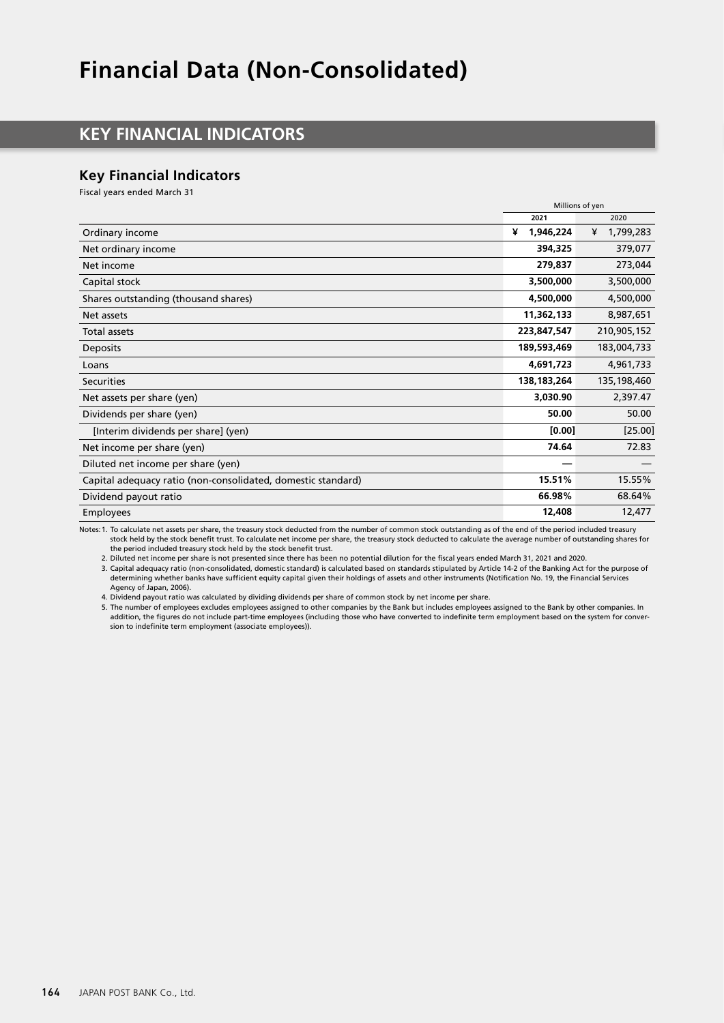# **Financial Data (Non-Consolidated)**

# **KEY FINANCIAL INDICATORS**

## **Key Financial Indicators**

Fiscal years ended March 31

|                                                              | Millions of yen |                |
|--------------------------------------------------------------|-----------------|----------------|
|                                                              | 2021            | 2020           |
| Ordinary income                                              | 1,946,224<br>¥  | 1,799,283<br>¥ |
| Net ordinary income                                          | 394,325         | 379,077        |
| Net income                                                   | 279,837         | 273,044        |
| Capital stock                                                | 3,500,000       | 3,500,000      |
| Shares outstanding (thousand shares)                         | 4,500,000       | 4,500,000      |
| Net assets                                                   | 11,362,133      | 8,987,651      |
| <b>Total assets</b>                                          | 223,847,547     | 210,905,152    |
| Deposits                                                     | 189,593,469     | 183,004,733    |
| Loans                                                        | 4,691,723       | 4,961,733      |
| <b>Securities</b>                                            | 138,183,264     | 135,198,460    |
| Net assets per share (yen)                                   | 3,030.90        | 2,397.47       |
| Dividends per share (yen)                                    | 50.00           | 50.00          |
| [Interim dividends per share] (yen)                          | [0.00]          | [25.00]        |
| Net income per share (yen)                                   | 74.64           | 72.83          |
| Diluted net income per share (yen)                           |                 |                |
| Capital adequacy ratio (non-consolidated, domestic standard) | 15.51%          | 15.55%         |
| Dividend payout ratio                                        | 66.98%          | 68.64%         |
| <b>Employees</b>                                             | 12,408          | 12,477         |

Notes:1. To calculate net assets per share, the treasury stock deducted from the number of common stock outstanding as of the end of the period included treasury stock held by the stock benefit trust. To calculate net income per share, the treasury stock deducted to calculate the average number of outstanding shares for the period included treasury stock held by the stock benefit trust.

2. Diluted net income per share is not presented since there has been no potential dilution for the fiscal years ended March 31, 2021 and 2020.

3. Capital adequacy ratio (non-consolidated, domestic standard) is calculated based on standards stipulated by Article 14-2 of the Banking Act for the purpose of determining whether banks have sufficient equity capital given their holdings of assets and other instruments (Notification No. 19, the Financial Services Agency of Japan, 2006).

4. Dividend payout ratio was calculated by dividing dividends per share of common stock by net income per share.

5. The number of employees excludes employees assigned to other companies by the Bank but includes employees assigned to the Bank by other companies. In addition, the figures do not include part-time employees (including those who have converted to indefinite term employment based on the system for conversion to indefinite term employment (associate employees)).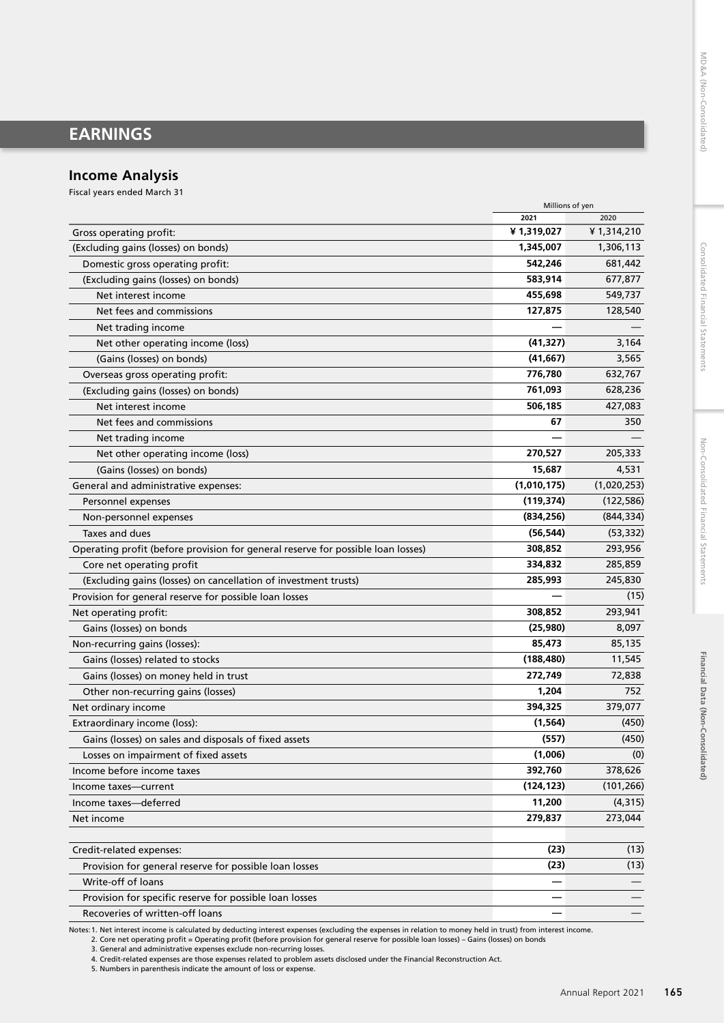# **EARNINGS**

## **Income Analysis**

Fiscal years ended March 31

|                                                                                  | Millions of yen |             |
|----------------------------------------------------------------------------------|-----------------|-------------|
|                                                                                  | 2021            | 2020        |
| Gross operating profit:                                                          | ¥1,319,027      | ¥1,314,210  |
| (Excluding gains (losses) on bonds)                                              | 1,345,007       | 1,306,113   |
| Domestic gross operating profit:                                                 | 542,246         | 681,442     |
| (Excluding gains (losses) on bonds)                                              | 583,914         | 677,877     |
| Net interest income                                                              | 455,698         | 549,737     |
| Net fees and commissions                                                         | 127,875         | 128,540     |
| Net trading income                                                               |                 |             |
| Net other operating income (loss)                                                | (41, 327)       | 3,164       |
| (Gains (losses) on bonds)                                                        | (41, 667)       | 3,565       |
| Overseas gross operating profit:                                                 | 776,780         | 632,767     |
| (Excluding gains (losses) on bonds)                                              | 761,093         | 628,236     |
| Net interest income                                                              | 506,185         | 427,083     |
| Net fees and commissions                                                         | 67              | 350         |
| Net trading income                                                               |                 |             |
| Net other operating income (loss)                                                | 270,527         | 205,333     |
| (Gains (losses) on bonds)                                                        | 15,687          | 4,531       |
| General and administrative expenses:                                             | (1,010,175)     | (1,020,253) |
| Personnel expenses                                                               | (119, 374)      | (122, 586)  |
| Non-personnel expenses                                                           | (834, 256)      | (844, 334)  |
| Taxes and dues                                                                   | (56, 544)       | (53, 332)   |
| Operating profit (before provision for general reserve for possible loan losses) | 308,852         | 293,956     |
| Core net operating profit                                                        | 334,832         | 285,859     |
| (Excluding gains (losses) on cancellation of investment trusts)                  | 285,993         | 245,830     |
| Provision for general reserve for possible loan losses                           |                 | (15)        |
| Net operating profit:                                                            | 308,852         | 293,941     |
| Gains (losses) on bonds                                                          | (25,980)        | 8,097       |
| Non-recurring gains (losses):                                                    | 85,473          | 85,135      |
| Gains (losses) related to stocks                                                 | (188, 480)      | 11,545      |
| Gains (losses) on money held in trust                                            | 272,749         | 72,838      |
| Other non-recurring gains (losses)                                               | 1,204           | 752         |
| Net ordinary income                                                              | 394,325         | 379,077     |
| Extraordinary income (loss):                                                     | (1, 564)        | (450)       |
| Gains (losses) on sales and disposals of fixed assets                            | (557)           | (450)       |
| Losses on impairment of fixed assets                                             | (1,006)         | (0)         |
| Income before income taxes                                                       | 392,760         | 378,626     |
| Income taxes-current                                                             | (124, 123)      | (101, 266)  |
| Income taxes-deferred                                                            | 11,200          | (4, 315)    |
| Net income                                                                       | 279,837         | 273,044     |
|                                                                                  |                 |             |
| Credit-related expenses:                                                         | (23)            | (13)        |
| Provision for general reserve for possible loan losses                           | (23)            | (13)        |
| Write-off of loans                                                               |                 |             |
| Provision for specific reserve for possible loan losses                          |                 |             |
| Recoveries of written-off loans                                                  |                 |             |

Notes: 1. Net interest income is calculated by deducting interest expenses (excluding the expenses in relation to money held in trust) from interest income.<br>2. Core net operating profit = Operating profit (before provision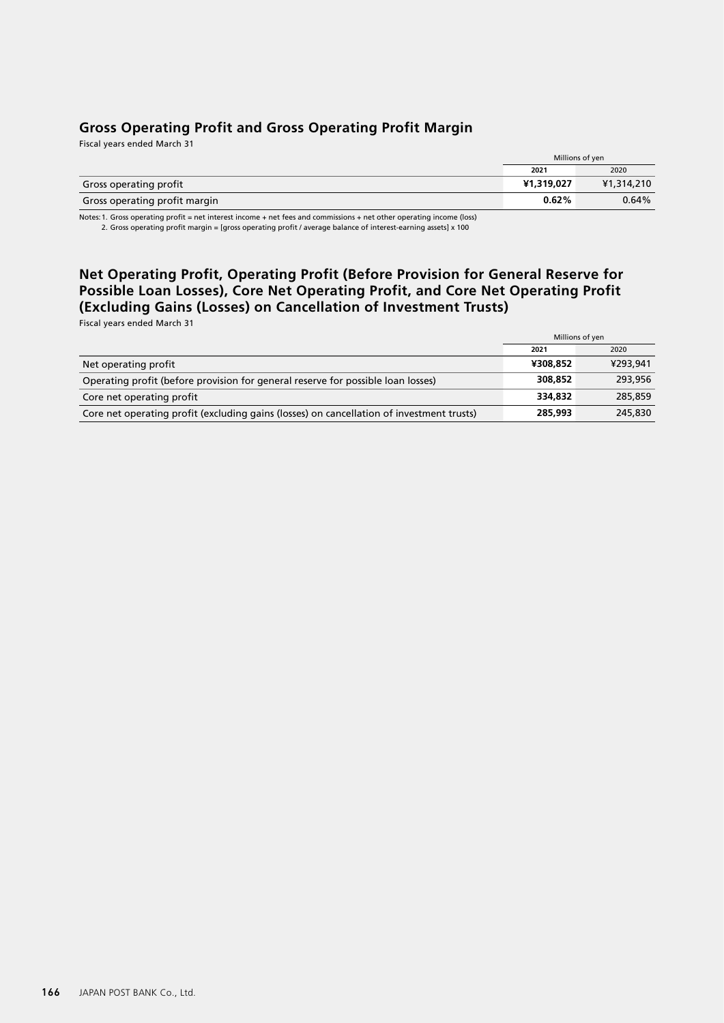## **Gross Operating Profit and Gross Operating Profit Margin**

Fiscal years ended March 31

|                               | Millions of yen |            |
|-------------------------------|-----------------|------------|
|                               | 2021            | 2020       |
| Gross operating profit        | ¥1,319,027      | ¥1,314,210 |
| Gross operating profit margin | $0.62\%$        | 0.64%      |

Notes:1. Gross operating profit = net interest income + net fees and commissions + net other operating income (loss) 2. Gross operating profit margin = [gross operating profit / average balance of interest-earning assets] x 100

# **Net Operating Profit, Operating Profit (Before Provision for General Reserve for Possible Loan Losses), Core Net Operating Profit, and Core Net Operating Profit (Excluding Gains (Losses) on Cancellation of Investment Trusts)**

Fiscal years ended March 31

|                                                                                           | Millions of yen |          |
|-------------------------------------------------------------------------------------------|-----------------|----------|
|                                                                                           | 2021            | 2020     |
| Net operating profit                                                                      | ¥308,852        | ¥293,941 |
| Operating profit (before provision for general reserve for possible loan losses)          | 308,852         | 293,956  |
| Core net operating profit                                                                 | 334.832         | 285,859  |
| Core net operating profit (excluding gains (losses) on cancellation of investment trusts) | 285,993         | 245,830  |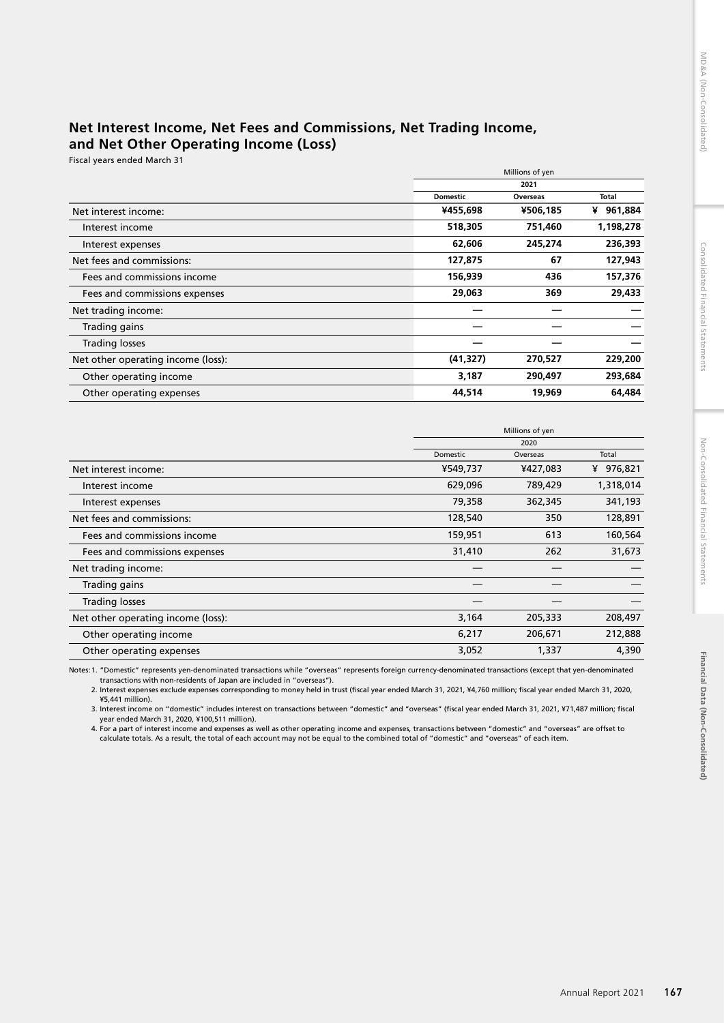## **Net Interest Income, Net Fees and Commissions, Net Trading Income, and Net Other Operating Income (Loss)**

Fiscal years ended March 31

|                                    | Millions of yen |          |              |
|------------------------------------|-----------------|----------|--------------|
|                                    |                 | 2021     |              |
|                                    | <b>Domestic</b> | Overseas | <b>Total</b> |
| Net interest income:               | ¥455,698        | ¥506,185 | 961,884<br>¥ |
| Interest income                    | 518,305         | 751,460  | 1,198,278    |
| Interest expenses                  | 62,606          | 245,274  | 236,393      |
| Net fees and commissions:          | 127,875         | 67       | 127,943      |
| Fees and commissions income        | 156,939         | 436      | 157,376      |
| Fees and commissions expenses      | 29,063          | 369      | 29,433       |
| Net trading income:                |                 |          |              |
| Trading gains                      |                 |          |              |
| <b>Trading losses</b>              |                 |          |              |
| Net other operating income (loss): | (41, 327)       | 270,527  | 229,200      |
| Other operating income             | 3,187           | 290,497  | 293,684      |
| Other operating expenses           | 44,514          | 19,969   | 64,484       |

|                                    |          | Millions of yen<br>2020 |           |  |
|------------------------------------|----------|-------------------------|-----------|--|
|                                    |          |                         |           |  |
|                                    | Domestic | Overseas                | Total     |  |
| Net interest income:               | ¥549,737 | ¥427,083                | ¥ 976,821 |  |
| Interest income                    | 629,096  | 789,429                 | 1,318,014 |  |
| Interest expenses                  | 79,358   | 362,345                 | 341,193   |  |
| Net fees and commissions:          | 128,540  | 350                     | 128,891   |  |
| Fees and commissions income        | 159,951  | 613                     | 160,564   |  |
| Fees and commissions expenses      | 31,410   | 262                     | 31,673    |  |
| Net trading income:                |          |                         |           |  |
| Trading gains                      |          |                         |           |  |
| <b>Trading losses</b>              |          |                         |           |  |
| Net other operating income (loss): | 3,164    | 205,333                 | 208,497   |  |
| Other operating income             | 6,217    | 206,671                 | 212,888   |  |
| Other operating expenses           | 3,052    | 1,337                   | 4,390     |  |

Notes:1. "Domestic" represents yen-denominated transactions while "overseas" represents foreign currency-denominated transactions (except that yen-denominated

transactions with non-residents of Japan are included in "overseas").<br>2. Interest expenses exclude expenses corresponding to money held in trust (fiscal year ended March 31, 2021, ¥4,760 million; fiscal year ended March 31 ¥5,441 million).

3. Interest income on "domestic" includes interest on transactions between "domestic" and "overseas" (fiscal year ended March 31, 2021, ¥71,487 million; fiscal year ended March 31, 2020, ¥100,511 million).

4. For a part of interest income and expenses as well as other operating income and expenses, transactions between "domestic" and "overseas" are offset to calculate totals. As a result, the total of each account may not be equal to the combined total of "domestic" and "overseas" of each item.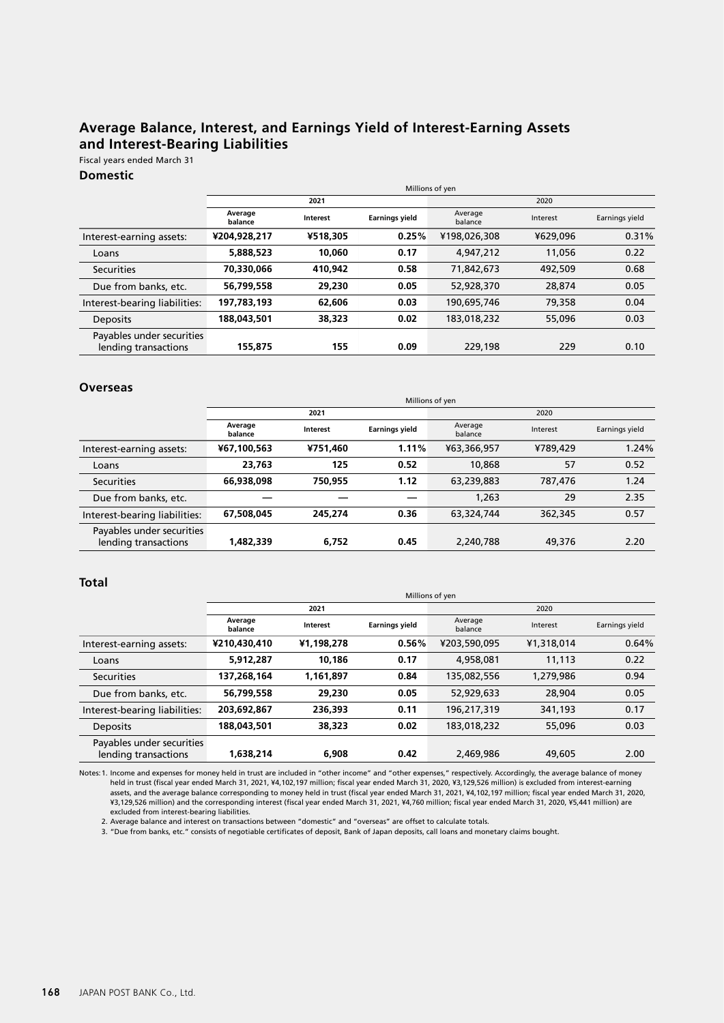# **Average Balance, Interest, and Earnings Yield of Interest-Earning Assets and Interest-Bearing Liabilities**

Fiscal years ended March 31

## **Domestic**

|                                                   |                    | Millions of yen |                       |                    |          |                |
|---------------------------------------------------|--------------------|-----------------|-----------------------|--------------------|----------|----------------|
|                                                   |                    | 2021            |                       |                    |          |                |
|                                                   | Average<br>balance | <b>Interest</b> | <b>Earnings yield</b> | Average<br>balance | Interest | Earnings yield |
| Interest-earning assets:                          | ¥204,928,217       | ¥518.305        | 0.25%                 | ¥198,026,308       | ¥629,096 | 0.31%          |
| Loans                                             | 5,888,523          | 10,060          | 0.17                  | 4,947,212          | 11,056   | 0.22           |
| <b>Securities</b>                                 | 70,330,066         | 410.942         | 0.58                  | 71,842,673         | 492,509  | 0.68           |
| Due from banks, etc.                              | 56,799,558         | 29,230          | 0.05                  | 52,928,370         | 28,874   | 0.05           |
| Interest-bearing liabilities:                     | 197.783.193        | 62,606          | 0.03                  | 190,695,746        | 79,358   | 0.04           |
| Deposits                                          | 188,043,501        | 38,323          | 0.02                  | 183,018,232        | 55,096   | 0.03           |
| Payables under securities<br>lending transactions | 155,875            | 155             | 0.09                  | 229,198            | 229      | 0.10           |

#### **Overseas**

|                                                   |                    | Millions of yen |                       |                    |          |                |  |
|---------------------------------------------------|--------------------|-----------------|-----------------------|--------------------|----------|----------------|--|
|                                                   |                    | 2021            |                       |                    | 2020     |                |  |
|                                                   | Average<br>balance | Interest        | <b>Earnings yield</b> | Average<br>balance | Interest | Earnings yield |  |
| Interest-earning assets:                          | ¥67,100,563        | ¥751.460        | 1.11%                 | ¥63,366,957        | ¥789.429 | 1.24%          |  |
| Loans                                             | 23,763             | 125             | 0.52                  | 10,868             | 57       | 0.52           |  |
| <b>Securities</b>                                 | 66,938,098         | 750.955         | 1.12                  | 63,239,883         | 787,476  | 1.24           |  |
| Due from banks, etc.                              |                    |                 |                       | 1,263              | 29       | 2.35           |  |
| Interest-bearing liabilities:                     | 67,508,045         | 245.274         | 0.36                  | 63,324,744         | 362,345  | 0.57           |  |
| Payables under securities<br>lending transactions | 1,482,339          | 6.752           | 0.45                  | 2,240,788          | 49,376   | 2.20           |  |

#### **Total**

|                                                   |                    | Millions of yen |                       |                    |            |                |  |
|---------------------------------------------------|--------------------|-----------------|-----------------------|--------------------|------------|----------------|--|
|                                                   |                    | 2021            |                       |                    | 2020       |                |  |
|                                                   | Average<br>balance | Interest        | <b>Earnings yield</b> | Average<br>balance | Interest   | Earnings yield |  |
| Interest-earning assets:                          | ¥210,430,410       | ¥1,198,278      | 0.56%                 | ¥203,590,095       | ¥1,318,014 | 0.64%          |  |
| Loans                                             | 5,912,287          | 10.186          | 0.17                  | 4,958,081          | 11,113     | 0.22           |  |
| <b>Securities</b>                                 | 137,268,164        | 1,161,897       | 0.84                  | 135,082,556        | 1,279,986  | 0.94           |  |
| Due from banks, etc.                              | 56,799,558         | 29,230          | 0.05                  | 52,929,633         | 28,904     | 0.05           |  |
| Interest-bearing liabilities:                     | 203.692.867        | 236,393         | 0.11                  | 196,217,319        | 341,193    | 0.17           |  |
| <b>Deposits</b>                                   | 188,043,501        | 38,323          | 0.02                  | 183,018,232        | 55,096     | 0.03           |  |
| Payables under securities<br>lending transactions | 1,638,214          | 6.908           | 0.42                  | 2,469,986          | 49,605     | 2.00           |  |

Notes: 1. Income and expenses for money held in trust are included in "other income" and "other expenses," respectively. Accordingly, the average balance of money<br>held in trust (fiscal year ended March 31, 2021, ¥4,102,197 excluded from interest-bearing liabilities.

2. Average balance and interest on transactions between "domestic" and "overseas" are offset to calculate totals.

3. "Due from banks, etc." consists of negotiable certificates of deposit, Bank of Japan deposits, call loans and monetary claims bought.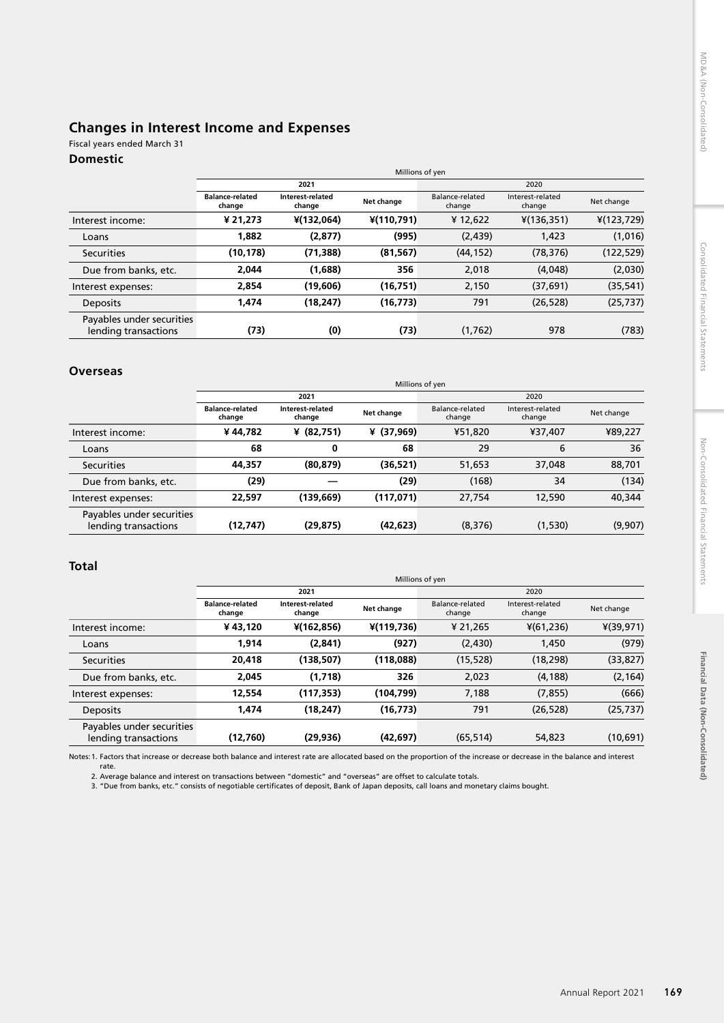## **Changes in Interest Income and Expenses**

## Fiscal years ended March 31

## **Domestic**

|                                                   |                                  | Millions of yen            |              |                           |                            |             |
|---------------------------------------------------|----------------------------------|----------------------------|--------------|---------------------------|----------------------------|-------------|
|                                                   |                                  | 2021                       |              |                           | 2020                       |             |
|                                                   | <b>Balance-related</b><br>change | Interest-related<br>change | Net change   | Balance-related<br>change | Interest-related<br>change | Net change  |
| Interest income:                                  | ¥ 21,273                         | ¥(132,064)                 | $*(110,791)$ | ¥12,622                   | $*(136, 351)$              | 4(123, 729) |
| Loans                                             | 1,882                            | (2, 877)                   | (995)        | (2, 439)                  | 1,423                      | (1,016)     |
| Securities                                        | (10,178)                         | (71, 388)                  | (81, 567)    | (44, 152)                 | (78, 376)                  | (122, 529)  |
| Due from banks, etc.                              | 2.044                            | (1,688)                    | 356          | 2,018                     | (4,048)                    | (2,030)     |
| Interest expenses:                                | 2,854                            | (19,606)                   | (16, 751)    | 2,150                     | (37, 691)                  | (35, 541)   |
| Deposits                                          | 1,474                            | (18, 247)                  | (16, 773)    | 791                       | (26, 528)                  | (25, 737)   |
| Payables under securities<br>lending transactions | (73)                             | (0)                        | (73)         | (1, 762)                  | 978                        | (783)       |

## **Overseas**

|                                                   |                                  | Millions of yen            |              |                           |                            |            |
|---------------------------------------------------|----------------------------------|----------------------------|--------------|---------------------------|----------------------------|------------|
|                                                   |                                  | 2021                       |              |                           | 2020                       |            |
|                                                   | <b>Balance-related</b><br>change | Interest-related<br>change | Net change   | Balance-related<br>change | Interest-related<br>change | Net change |
| Interest income:                                  | ¥44,782                          | ¥ $(82,751)$               | ¥ $(37,969)$ | ¥51,820                   | ¥37,407                    | ¥89,227    |
| Loans                                             | 68                               | 0                          | 68           | 29                        | 6                          | 36         |
| <b>Securities</b>                                 | 44,357                           | (80, 879)                  | (36,521)     | 51,653                    | 37,048                     | 88,701     |
| Due from banks, etc.                              | (29)                             |                            | (29)         | (168)                     | 34                         | (134)      |
| Interest expenses:                                | 22,597                           | (139, 669)                 | (117, 071)   | 27,754                    | 12,590                     | 40,344     |
| Payables under securities<br>lending transactions | (12, 747)                        | (29, 875)                  | (42, 623)    | (8, 376)                  | (1,530)                    | (9,907)    |

## **Total**

|                                                   |                                  | Millions of yen            |              |                           |                            |              |
|---------------------------------------------------|----------------------------------|----------------------------|--------------|---------------------------|----------------------------|--------------|
|                                                   |                                  | 2021                       |              |                           | 2020                       |              |
|                                                   | <b>Balance-related</b><br>change | Interest-related<br>change | Net change   | Balance-related<br>change | Interest-related<br>change | Net change   |
| Interest income:                                  | ¥43,120                          | $*(162, 856)$              | $*(119,736)$ | ¥ 21,265                  | $*(61,236)$                | $*(39, 971)$ |
| Loans                                             | 1,914                            | (2,841)                    | (927)        | (2,430)                   | 1,450                      | (979)        |
| Securities                                        | 20,418                           | (138, 507)                 | (118,088)    | (15, 528)                 | (18, 298)                  | (33, 827)    |
| Due from banks, etc.                              | 2,045                            | (1,718)                    | 326          | 2,023                     | (4, 188)                   | (2, 164)     |
| Interest expenses:                                | 12,554                           | (117, 353)                 | (104, 799)   | 7,188                     | (7, 855)                   | (666)        |
| <b>Deposits</b>                                   | 1,474                            | (18, 247)                  | (16, 773)    | 791                       | (26, 528)                  | (25, 737)    |
| Payables under securities<br>lending transactions | (12,760)                         | (29, 936)                  | (42, 697)    | (65, 514)                 | 54,823                     | (10,691)     |

Notes:1. Factors that increase or decrease both balance and interest rate are allocated based on the proportion of the increase or decrease in the balance and interest rate.

2. Average balance and interest on transactions between "domestic" and "overseas" are offset to calculate totals.<br>3. "Due from banks, etc." consists of negotiable certificates of deposit, Bank of Japan deposits, call loans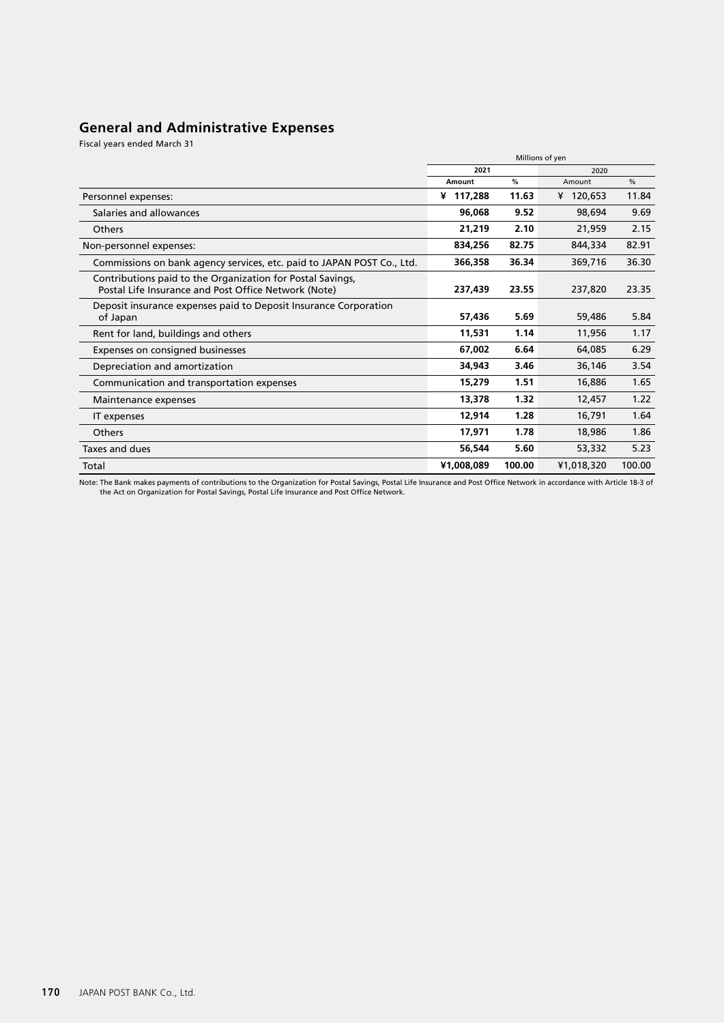# **General and Administrative Expenses**

Fiscal years ended March 31

|                                                                                                                    | Millions of yen               |        |            |        |
|--------------------------------------------------------------------------------------------------------------------|-------------------------------|--------|------------|--------|
|                                                                                                                    | 2021<br>2020<br>$\frac{0}{0}$ |        |            |        |
|                                                                                                                    | %<br>Amount                   |        | Amount     |        |
| Personnel expenses:                                                                                                | ¥ 117,288                     | 11.63  | ¥ 120,653  | 11.84  |
| Salaries and allowances                                                                                            | 96,068                        | 9.52   | 98,694     | 9.69   |
| <b>Others</b>                                                                                                      | 21,219                        | 2.10   | 21,959     | 2.15   |
| Non-personnel expenses:                                                                                            | 834,256                       | 82.75  | 844,334    | 82.91  |
| Commissions on bank agency services, etc. paid to JAPAN POST Co., Ltd.                                             | 366,358                       | 36.34  | 369,716    | 36.30  |
| Contributions paid to the Organization for Postal Savings,<br>Postal Life Insurance and Post Office Network (Note) | 237,439                       | 23.55  | 237,820    | 23.35  |
| Deposit insurance expenses paid to Deposit Insurance Corporation<br>of Japan                                       | 57,436                        | 5.69   | 59,486     | 5.84   |
| Rent for land, buildings and others                                                                                | 11,531                        | 1.14   | 11,956     | 1.17   |
| Expenses on consigned businesses                                                                                   | 67,002                        | 6.64   | 64,085     | 6.29   |
| Depreciation and amortization                                                                                      | 34,943                        | 3.46   | 36,146     | 3.54   |
| Communication and transportation expenses                                                                          | 15,279                        | 1.51   | 16,886     | 1.65   |
| Maintenance expenses                                                                                               | 13,378                        | 1.32   | 12,457     | 1.22   |
| IT expenses                                                                                                        | 12,914                        | 1.28   | 16,791     | 1.64   |
| Others                                                                                                             | 17,971                        | 1.78   | 18,986     | 1.86   |
| Taxes and dues                                                                                                     | 56,544                        | 5.60   | 53,332     | 5.23   |
| Total                                                                                                              | ¥1,008,089                    | 100.00 | ¥1,018,320 | 100.00 |

Note: The Bank makes payments of contributions to the Organization for Postal Savings, Postal Life Insurance and Post Office Network in accordance with Article 18-3 of<br>the Act on Organization for Postal Savings, Postal Lif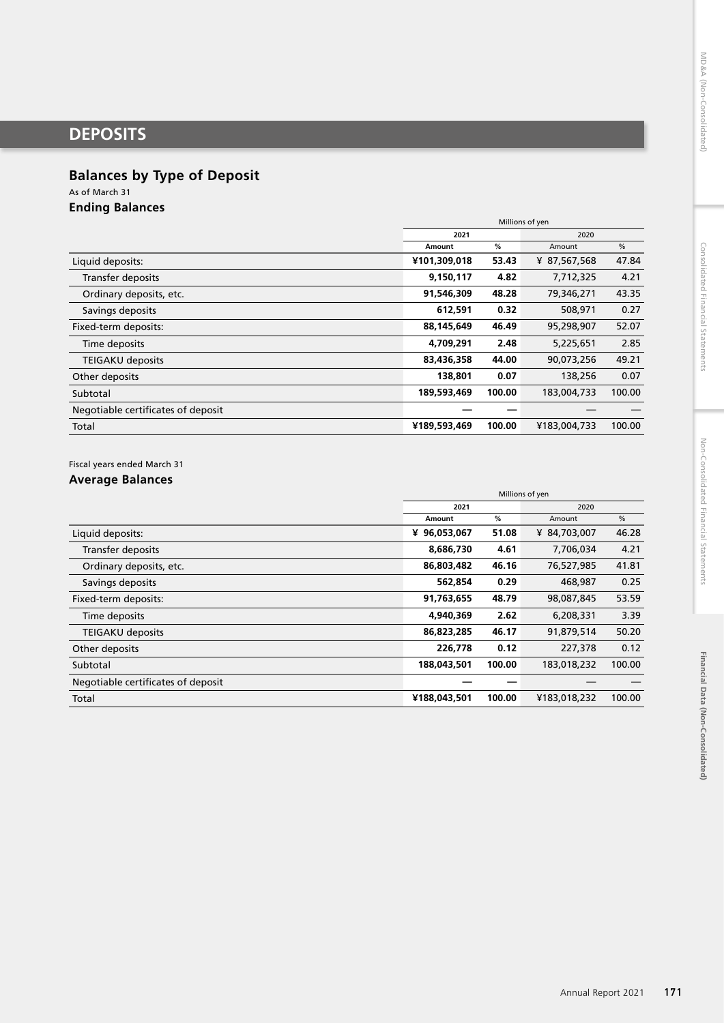# **DEPOSITS**

## **Balances by Type of Deposit**

As of March 31

**Ending Balances**

|                                    | Millions of yen |             |              |        |
|------------------------------------|-----------------|-------------|--------------|--------|
|                                    | 2021<br>2020    |             |              |        |
|                                    | Amount          | %<br>Amount |              | %      |
| Liquid deposits:                   | ¥101,309,018    | 53.43       | ¥ 87,567,568 | 47.84  |
| <b>Transfer deposits</b>           | 9,150,117       | 4.82        | 7,712,325    | 4.21   |
| Ordinary deposits, etc.            | 91,546,309      | 48.28       | 79,346,271   | 43.35  |
| Savings deposits                   | 612.591         | 0.32        | 508,971      | 0.27   |
| Fixed-term deposits:               | 88,145,649      | 46.49       | 95,298,907   | 52.07  |
| Time deposits                      | 4,709,291       | 2.48        | 5,225,651    | 2.85   |
| <b>TEIGAKU deposits</b>            | 83,436,358      | 44.00       | 90,073,256   | 49.21  |
| Other deposits                     | 138,801         | 0.07        | 138,256      | 0.07   |
| Subtotal                           | 189,593,469     | 100.00      | 183,004,733  | 100.00 |
| Negotiable certificates of deposit |                 |             |              |        |
| Total                              | ¥189,593,469    | 100.00      | ¥183,004,733 | 100.00 |

Fiscal years ended March 31

## **Average Balances**

|                                    | Millions of yen |             |              |        |
|------------------------------------|-----------------|-------------|--------------|--------|
|                                    | 2021<br>2020    |             |              |        |
|                                    | Amount          | %<br>Amount |              | %      |
| Liquid deposits:                   | ¥ 96,053,067    | 51.08       | ¥ 84,703,007 | 46.28  |
| Transfer deposits                  | 8,686,730       | 4.61        | 7,706,034    | 4.21   |
| Ordinary deposits, etc.            | 86,803,482      | 46.16       | 76,527,985   | 41.81  |
| Savings deposits                   | 562.854         | 0.29        | 468,987      | 0.25   |
| Fixed-term deposits:               | 91,763,655      | 48.79       | 98,087,845   | 53.59  |
| Time deposits                      | 4,940,369       | 2.62        | 6,208,331    | 3.39   |
| <b>TEIGAKU deposits</b>            | 86,823,285      | 46.17       | 91,879,514   | 50.20  |
| Other deposits                     | 226,778         | 0.12        | 227,378      | 0.12   |
| Subtotal                           | 188,043,501     | 100.00      | 183,018,232  | 100.00 |
| Negotiable certificates of deposit |                 |             |              |        |
| Total                              | ¥188,043,501    | 100.00      | ¥183,018,232 | 100.00 |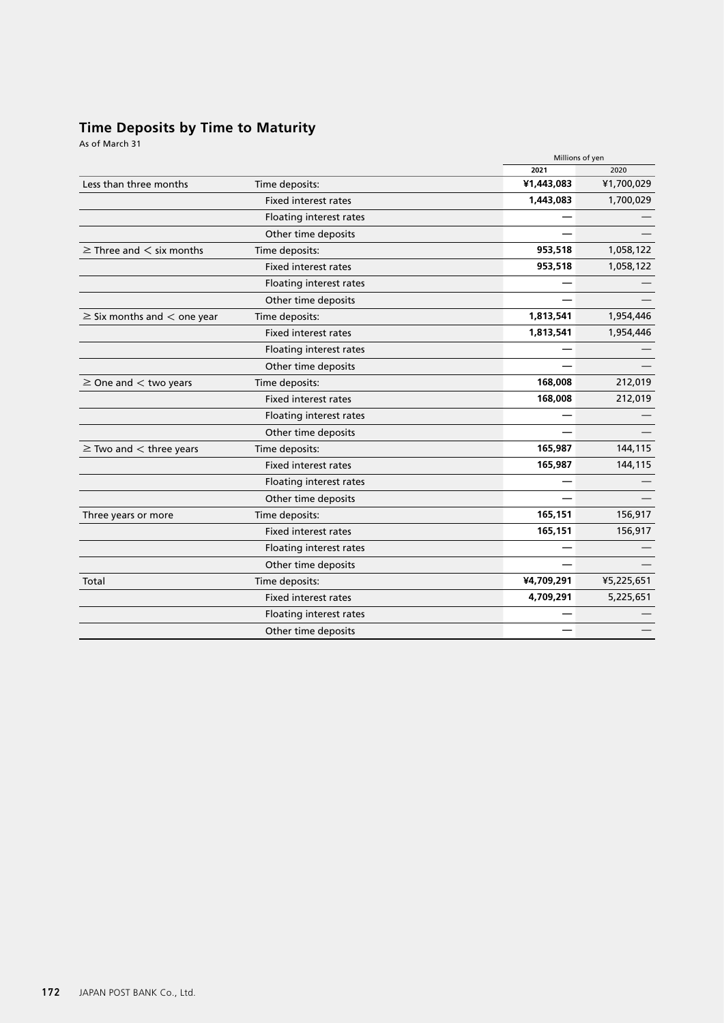## **Time Deposits by Time to Maturity**

As of March 31

|                             |            | Millions of yen |
|-----------------------------|------------|-----------------|
|                             | 2021       | 2020            |
| Time deposits:              | ¥1,443,083 | ¥1,700,029      |
| <b>Fixed interest rates</b> | 1,443,083  | 1,700,029       |
| Floating interest rates     |            |                 |
| Other time deposits         |            |                 |
| Time deposits:              | 953,518    | 1,058,122       |
| <b>Fixed interest rates</b> | 953,518    | 1,058,122       |
| Floating interest rates     |            |                 |
| Other time deposits         |            |                 |
| Time deposits:              | 1,813,541  | 1,954,446       |
| <b>Fixed interest rates</b> | 1,813,541  | 1,954,446       |
| Floating interest rates     |            |                 |
| Other time deposits         |            |                 |
| Time deposits:              | 168,008    | 212,019         |
| <b>Fixed interest rates</b> | 168,008    | 212,019         |
| Floating interest rates     |            |                 |
| Other time deposits         |            |                 |
| Time deposits:              | 165,987    | 144,115         |
| <b>Fixed interest rates</b> | 165,987    | 144,115         |
| Floating interest rates     |            |                 |
| Other time deposits         |            |                 |
| Time deposits:              | 165,151    | 156,917         |
| <b>Fixed interest rates</b> | 165,151    | 156,917         |
| Floating interest rates     |            |                 |
| Other time deposits         |            |                 |
| Time deposits:              | ¥4,709,291 | ¥5,225,651      |
| <b>Fixed interest rates</b> | 4,709,291  | 5,225,651       |
| Floating interest rates     |            |                 |
| Other time deposits         |            |                 |
|                             |            |                 |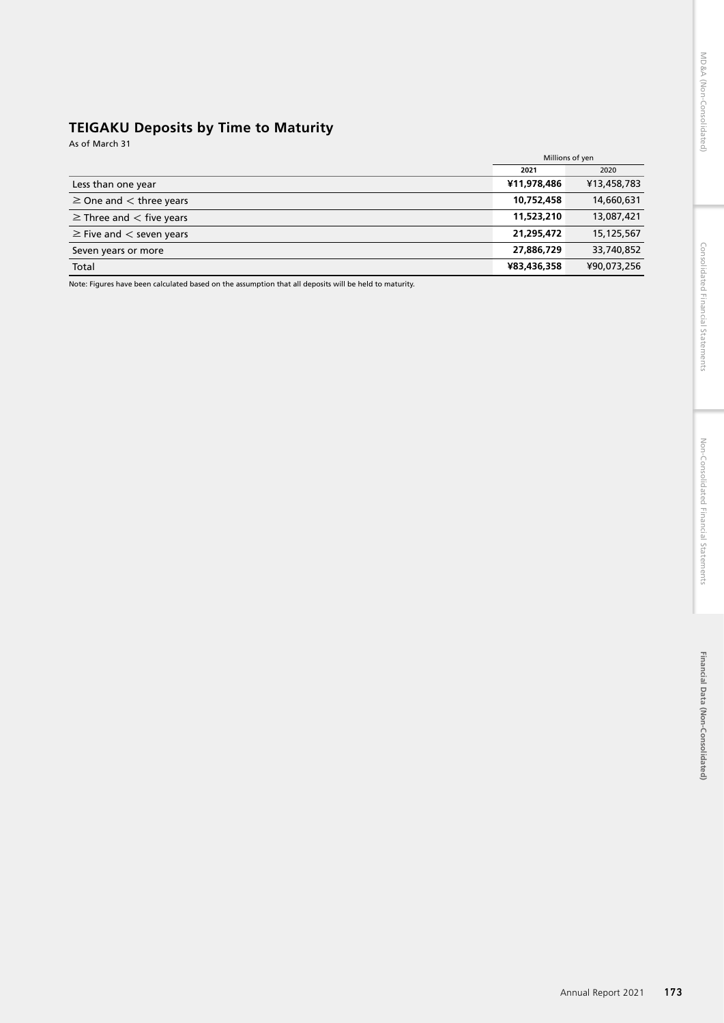# **TEIGAKU Deposits by Time to Maturity**

As of March 31

|                                   | 2021        | 2020        |
|-----------------------------------|-------------|-------------|
| Less than one year                | ¥11,978,486 | ¥13,458,783 |
| $\geq$ One and $\lt$ three years  | 10,752,458  | 14,660,631  |
| $\geq$ Three and $\lt$ five years | 11,523,210  | 13,087,421  |
| $\geq$ Five and $\lt$ seven years | 21,295,472  | 15,125,567  |
| Seven years or more               | 27,886,729  | 33,740,852  |
| Total                             | ¥83,436,358 | ¥90,073,256 |

Note: Figures have been calculated based on the assumption that all deposits will be held to maturity.

Millions of yen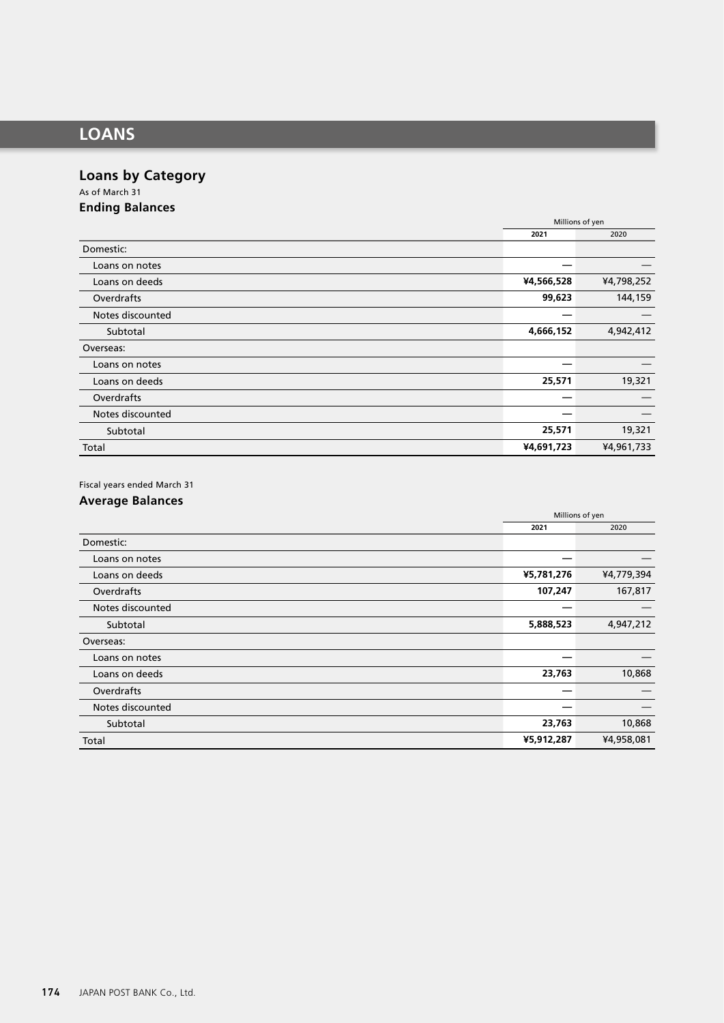# **LOANS**

# **Loans by Category**

As of March 31 **Ending Balances**

|                  | Millions of yen |            |
|------------------|-----------------|------------|
|                  | 2021            | 2020       |
| Domestic:        |                 |            |
| Loans on notes   |                 |            |
| Loans on deeds   | ¥4,566,528      | ¥4,798,252 |
| Overdrafts       | 99,623          | 144,159    |
| Notes discounted |                 |            |
| Subtotal         | 4,666,152       | 4,942,412  |
| Overseas:        |                 |            |
| Loans on notes   |                 |            |
| Loans on deeds   | 25,571          | 19,321     |
| Overdrafts       |                 |            |
| Notes discounted |                 |            |
| Subtotal         | 25,571          | 19,321     |
| Total            | ¥4,691,723      | ¥4,961,733 |

Fiscal years ended March 31

## **Average Balances**

|                  | Millions of yen<br>2021<br>2020 |            |  |
|------------------|---------------------------------|------------|--|
|                  |                                 |            |  |
| Domestic:        |                                 |            |  |
| Loans on notes   |                                 |            |  |
| Loans on deeds   | ¥5,781,276                      | ¥4,779,394 |  |
| Overdrafts       | 107,247                         | 167,817    |  |
| Notes discounted |                                 |            |  |
| Subtotal         | 5,888,523                       | 4,947,212  |  |
| Overseas:        |                                 |            |  |
| Loans on notes   |                                 |            |  |
| Loans on deeds   | 23,763                          | 10,868     |  |
| Overdrafts       |                                 |            |  |
| Notes discounted |                                 |            |  |
| Subtotal         | 23,763                          | 10,868     |  |
| Total            | ¥5,912,287                      | ¥4,958,081 |  |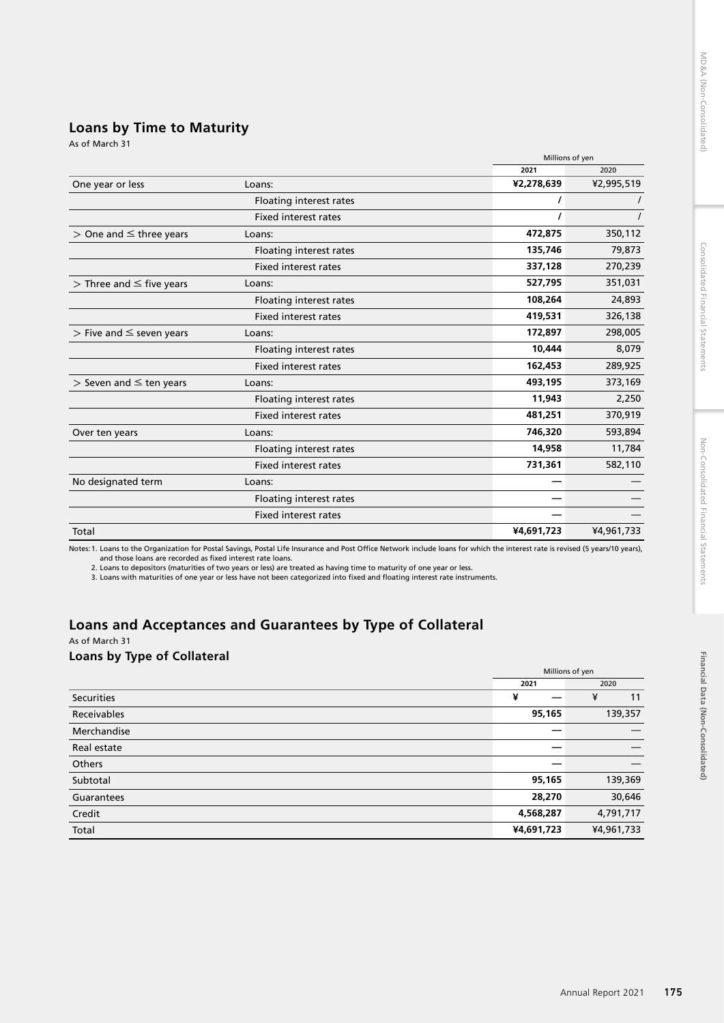**Financial Data (Non-Consolidated)**

Financial Data (Non-Consolidated)

## **Loans by Time to Maturity**

|                                 |                             |            | Millions of yen |  |  |
|---------------------------------|-----------------------------|------------|-----------------|--|--|
|                                 |                             | 2021       | 2020            |  |  |
| One year or less                | Loans:                      | ¥2,278,639 | ¥2,995,519      |  |  |
|                                 | Floating interest rates     |            |                 |  |  |
|                                 | <b>Fixed interest rates</b> |            |                 |  |  |
| $>$ One and $\leq$ three years  | Loans:                      | 472,875    | 350,112         |  |  |
|                                 | Floating interest rates     | 135,746    | 79,873          |  |  |
|                                 | <b>Fixed interest rates</b> | 337,128    | 270,239         |  |  |
| $>$ Three and $\leq$ five years | Loans:                      | 527,795    | 351,031         |  |  |
|                                 | Floating interest rates     | 108,264    | 24,893          |  |  |
|                                 | <b>Fixed interest rates</b> | 419,531    | 326,138         |  |  |
| $>$ Five and $\leq$ seven years | Loans:                      | 172,897    | 298,005         |  |  |
|                                 | Floating interest rates     | 10,444     | 8,079           |  |  |
|                                 | <b>Fixed interest rates</b> | 162,453    | 289,925         |  |  |
| $>$ Seven and $\leq$ ten years  | Loans:                      | 493,195    | 373,169         |  |  |
|                                 | Floating interest rates     | 11,943     | 2,250           |  |  |
|                                 | <b>Fixed interest rates</b> | 481,251    | 370,919         |  |  |
| Over ten years                  | Loans:                      | 746,320    | 593,894         |  |  |
|                                 | Floating interest rates     | 14,958     | 11,784          |  |  |
|                                 | Fixed interest rates        | 731,361    | 582,110         |  |  |
| No designated term              | Loans:                      |            |                 |  |  |
|                                 | Floating interest rates     |            |                 |  |  |
|                                 | <b>Fixed interest rates</b> |            |                 |  |  |
| Total                           |                             | ¥4,691,723 | ¥4,961,733      |  |  |

Notes:1. Loans to the Organization for Postal Savings, Postal Life Insurance and Post Office Network include loans for which the interest rate is revised (5 years/10 years),

and those loans are recorded as fixed interest rate loans.<br>2. Loans to depositors (maturities of two years or less) are treated as having time to maturity of one year or less.<br>3. Loans with maturities of one year or less h

# **Loans and Acceptances and Guarantees by Type of Collateral**

As of March 31

### **Loans by Type of Collateral**

|                   | Millions of yen |            |  |
|-------------------|-----------------|------------|--|
|                   | 2021            | 2020       |  |
| <b>Securities</b> | ¥               | ¥<br>11    |  |
| Receivables       | 95,165          | 139,357    |  |
| Merchandise       |                 |            |  |
| Real estate       |                 |            |  |
| <b>Others</b>     |                 |            |  |
| Subtotal          | 95,165          | 139,369    |  |
| Guarantees        | 28,270          | 30,646     |  |
| Credit            | 4,568,287       | 4,791,717  |  |
| Total             | ¥4,691,723      | ¥4,961,733 |  |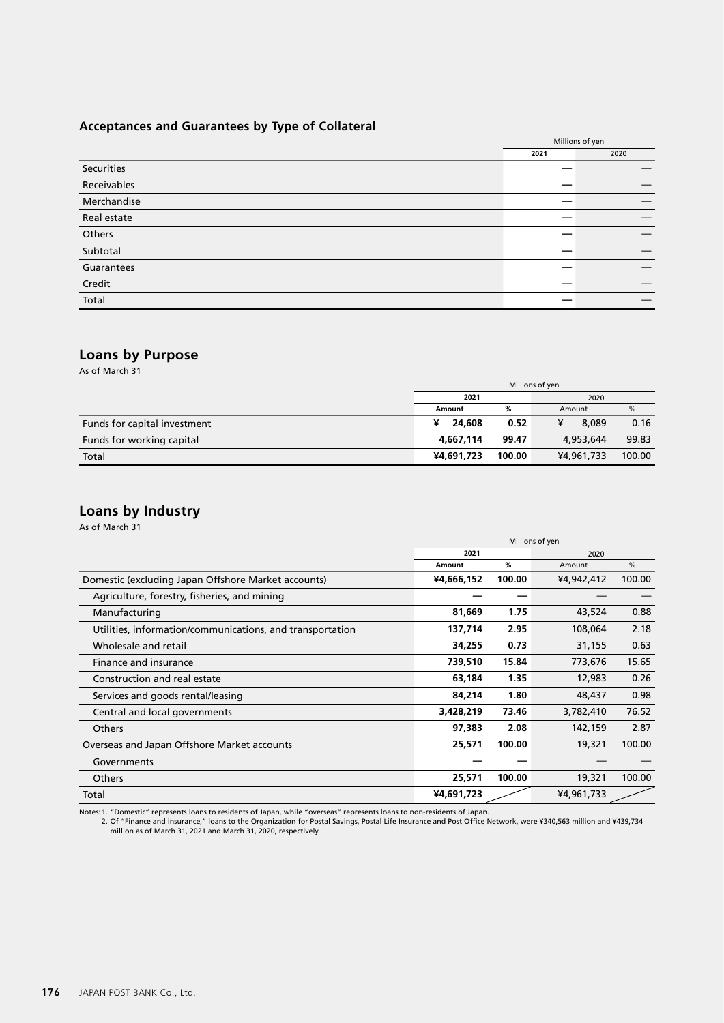## **Acceptances and Guarantees by Type of Collateral**

|             | Millions of yen |      |
|-------------|-----------------|------|
|             | 2021            | 2020 |
| Securities  |                 |      |
| Receivables |                 |      |
| Merchandise |                 |      |
| Real estate |                 |      |
| Others      |                 |      |
| Subtotal    |                 |      |
| Guarantees  |                 |      |
| Credit      |                 |      |
| Total       |                 |      |

# **Loans by Purpose**

As of March 31

|                              | Millions of yen      |       |            |        |  |
|------------------------------|----------------------|-------|------------|--------|--|
|                              | 2021                 |       |            | 2020   |  |
|                              | Amount               | %     | Amount     | $\%$   |  |
| Funds for capital investment | ¥<br>24,608          | 0.52  | ¥<br>8.089 | 0.16   |  |
| Funds for working capital    | 4.667.114            | 99.47 | 4,953,644  | 99.83  |  |
| Total                        | 100.00<br>¥4,691,723 |       | ¥4,961,733 | 100.00 |  |

# **Loans by Industry**

As of March 31

|                                                           | Millions of yen |        |            |               |
|-----------------------------------------------------------|-----------------|--------|------------|---------------|
|                                                           | 2021            |        | 2020       |               |
|                                                           | Amount          | %      | Amount     | $\frac{0}{0}$ |
| Domestic (excluding Japan Offshore Market accounts)       | ¥4,666,152      | 100.00 | ¥4,942,412 | 100.00        |
| Agriculture, forestry, fisheries, and mining              |                 |        |            |               |
| Manufacturing                                             | 81,669          | 1.75   | 43,524     | 0.88          |
| Utilities, information/communications, and transportation | 137,714         | 2.95   | 108,064    | 2.18          |
| Wholesale and retail                                      | 34,255          | 0.73   | 31,155     | 0.63          |
| Finance and insurance                                     | 739,510         | 15.84  | 773,676    | 15.65         |
| Construction and real estate                              | 63,184          | 1.35   | 12,983     | 0.26          |
| Services and goods rental/leasing                         | 84,214          | 1.80   | 48,437     | 0.98          |
| Central and local governments                             | 3,428,219       | 73.46  | 3,782,410  | 76.52         |
| <b>Others</b>                                             | 97,383          | 2.08   | 142,159    | 2.87          |
| Overseas and Japan Offshore Market accounts               | 25,571          | 100.00 | 19,321     | 100.00        |
| Governments                                               |                 |        |            |               |
| Others                                                    | 25,571          | 100.00 | 19,321     | 100.00        |
| Total                                                     | ¥4,691,723      |        | ¥4,961,733 |               |

Notes: 1. "Domestic" represents loans to residents of Japan, while "overseas" represents loans to non-residents of Japan.<br>2. Of "Finance and insurance," loans to the Organization for Postal Savings, Postal Life Insurance a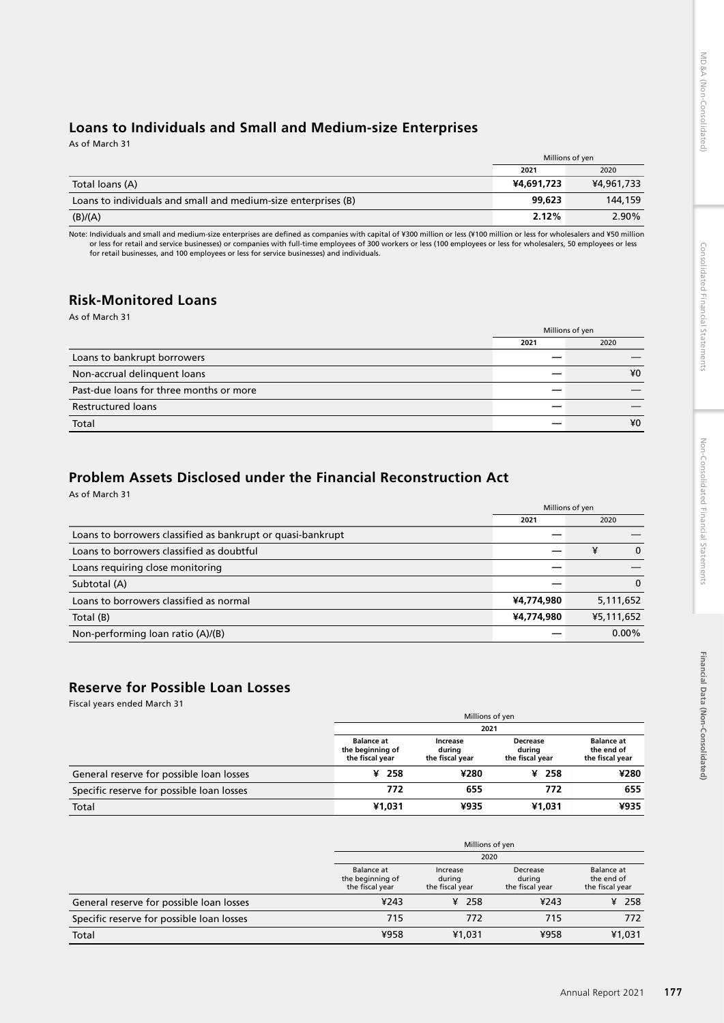# Financial Data (Non-Consolidated) **Financial Data (Non-Consolidated)**

## **Loans to Individuals and Small and Medium-size Enterprises**

As of March 31

|                                                                | Millions of yen |            |
|----------------------------------------------------------------|-----------------|------------|
|                                                                | 2021            | 2020       |
| Total loans (A)                                                | ¥4,691,723      | ¥4,961,733 |
| Loans to individuals and small and medium-size enterprises (B) | 99.623          | 144,159    |
| (B)/(A)                                                        | 2.12%           | 2.90%      |

Note: Individuals and small and medium-size enterprises are defined as companies with capital of ¥300 million or less (¥100 million or less for wholesalers and ¥50 million or less for retail and service businesses) or companies with full-time employees of 300 workers or less (100 employees or less for wholesalers, 50 employees or less<br>for retail businesses, and 100 employees or less for serv

#### **Risk-Monitored Loans** As of March 31

|                                         |      | Millions of yen |
|-----------------------------------------|------|-----------------|
|                                         | 2021 | 2020            |
| Loans to bankrupt borrowers             |      |                 |
| Non-accrual delinquent loans            |      | ¥0              |
| Past-due loans for three months or more |      |                 |
| <b>Restructured loans</b>               |      |                 |
| Total                                   |      | ¥0              |

# **Problem Assets Disclosed under the Financial Reconstruction Act**

As of March 31

|                                                             | Millions of yen |            |
|-------------------------------------------------------------|-----------------|------------|
|                                                             | 2021            | 2020       |
| Loans to borrowers classified as bankrupt or quasi-bankrupt |                 |            |
| Loans to borrowers classified as doubtful                   |                 | ¥<br>0     |
| Loans requiring close monitoring                            |                 |            |
| Subtotal (A)                                                |                 | 0          |
| Loans to borrowers classified as normal                     | ¥4,774,980      | 5,111,652  |
| Total (B)                                                   | ¥4,774,980      | ¥5,111,652 |
| Non-performing loan ratio (A)/(B)                           |                 | $0.00\%$   |

# **Reserve for Possible Loan Losses**

Fiscal years ended March 31

|                                           | Millions of yen                                          |                                                                                       |           |                                                    |  |  |  |
|-------------------------------------------|----------------------------------------------------------|---------------------------------------------------------------------------------------|-----------|----------------------------------------------------|--|--|--|
|                                           |                                                          | 2021                                                                                  |           |                                                    |  |  |  |
|                                           | <b>Balance at</b><br>the beginning of<br>the fiscal year | <b>Decrease</b><br>Increase<br>durina<br>durina<br>the fiscal year<br>the fiscal year |           | <b>Balance at</b><br>the end of<br>the fiscal year |  |  |  |
| General reserve for possible loan losses  | ¥ 258                                                    | ¥280                                                                                  | -258<br>¥ | ¥280                                               |  |  |  |
| Specific reserve for possible loan losses | 772                                                      | 655                                                                                   | 772       | 655                                                |  |  |  |
| Total                                     | ¥1.031                                                   | ¥935                                                                                  | ¥1.031    | ¥935                                               |  |  |  |

|                                           | Millions of yen                                                                                                                                               |        |      |         |  |  |
|-------------------------------------------|---------------------------------------------------------------------------------------------------------------------------------------------------------------|--------|------|---------|--|--|
|                                           | 2020                                                                                                                                                          |        |      |         |  |  |
|                                           | <b>Balance</b> at<br>Decrease<br>Increase<br>the beginning of<br>during<br>during<br>the fiscal year<br>the fiscal year<br>the fiscal year<br>the fiscal year |        |      |         |  |  |
| General reserve for possible loan losses  | ¥243                                                                                                                                                          | ¥ 258  | ¥243 | $¥$ 258 |  |  |
| Specific reserve for possible loan losses | 715                                                                                                                                                           | 772    | 715  | 772     |  |  |
| Total                                     | ¥958                                                                                                                                                          | ¥1,031 | ¥958 | ¥1,031  |  |  |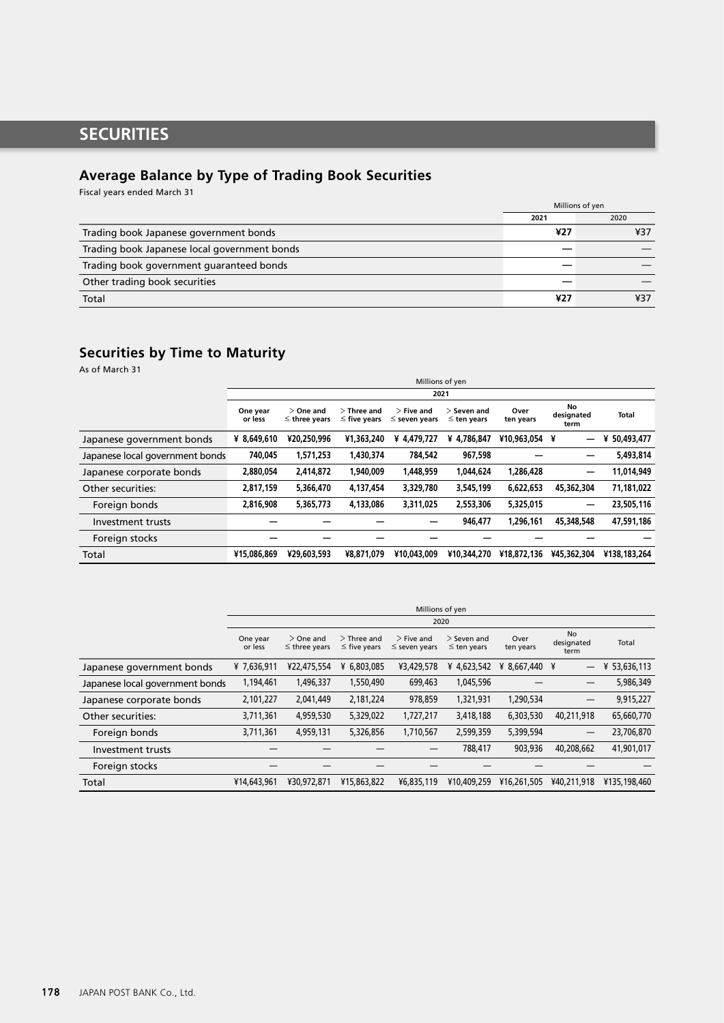# **SECURITIES**

## **Average Balance by Type of Trading Book Securities**

Fiscal years ended March 31

|                                              | Millions of yen |      |
|----------------------------------------------|-----------------|------|
|                                              | 2021            | 2020 |
| Trading book Japanese government bonds       | ¥27             | ¥37  |
| Trading book Japanese local government bonds |                 |      |
| Trading book government guaranteed bonds     |                 |      |
| Other trading book securities                |                 |      |
| Total                                        | ¥27             | ¥37  |

# **Securities by Time to Maturity**

As of March 31

|                                 |                     | Millions of yen                   |                                    |                                    |                                   |                   |                          |                 |
|---------------------------------|---------------------|-----------------------------------|------------------------------------|------------------------------------|-----------------------------------|-------------------|--------------------------|-----------------|
|                                 |                     |                                   |                                    | 2021                               |                                   |                   |                          |                 |
|                                 | One year<br>or less | $>$ One and<br>$\leq$ three years | $>$ Three and<br>$\leq$ five years | $>$ Five and<br>$\leq$ seven years | $>$ Seven and<br>$\leq$ ten years | Over<br>ten years | No<br>designated<br>term | <b>Total</b>    |
| Japanese government bonds       | ¥ 8.649.610         | ¥20,250,996                       | ¥1.363.240                         | 4.479.727<br>¥                     | 4.786.847<br>¥                    | ¥10,963,054       | ¥<br>—                   | 50,493,477<br>¥ |
| Japanese local government bonds | 740,045             | 1,571,253                         | 1,430,374                          | 784,542                            | 967,598                           |                   | -                        | 5,493,814       |
| Japanese corporate bonds        | 2,880,054           | 2,414,872                         | 1.940.009                          | 1,448,959                          | 1.044.624                         | 1.286.428         | —                        | 11.014.949      |
| Other securities:               | 2,817,159           | 5.366.470                         | 4.137.454                          | 3,329,780                          | 3.545.199                         | 6.622.653         | 45.362.304               | 71.181.022      |
| Foreign bonds                   | 2,816,908           | 5,365,773                         | 4,133,086                          | 3,311,025                          | 2,553,306                         | 5,325,015         | —                        | 23,505,116      |
| Investment trusts               |                     |                                   |                                    |                                    | 946,477                           | 1.296.161         | 45.348.548               | 47.591.186      |
| Foreign stocks                  |                     |                                   |                                    |                                    |                                   |                   |                          |                 |
| Total                           | ¥15,086,869         | ¥29,603,593                       | ¥8,871,079                         | ¥10.043.009                        | ¥10.344.270                       | ¥18,872,136       | ¥45.362.304              | ¥138.183.264    |

|                                 |                     | Millions of yen                   |                                    |                                    |                                   |                   |                                 |              |
|---------------------------------|---------------------|-----------------------------------|------------------------------------|------------------------------------|-----------------------------------|-------------------|---------------------------------|--------------|
|                                 |                     |                                   |                                    | 2020                               |                                   |                   |                                 |              |
|                                 | One year<br>or less | $>$ One and<br>$\leq$ three years | $>$ Three and<br>$\leq$ five years | $>$ Five and<br>$\leq$ seven years | $>$ Seven and<br>$\leq$ ten years | Over<br>ten years | <b>No</b><br>designated<br>term | Total        |
| Japanese government bonds       | ¥7,636,911          | ¥22,475,554                       | ¥ 6,803,085                        | ¥3,429,578                         | ¥ 4,623,542                       | ¥ 8,667,440 ¥     | $\overline{\phantom{0}}$        | 53,636,113   |
| Japanese local government bonds | 1,194,461           | 1,496,337                         | 1,550,490                          | 699,463                            | 1,045,596                         |                   |                                 | 5,986,349    |
| Japanese corporate bonds        | 2,101,227           | 2,041,449                         | 2,181,224                          | 978,859                            | 1,321,931                         | 1,290,534         | —                               | 9,915,227    |
| Other securities:               | 3,711,361           | 4,959,530                         | 5,329,022                          | 1,727,217                          | 3,418,188                         | 6,303,530         | 40.211.918                      | 65,660,770   |
| Foreign bonds                   | 3,711,361           | 4,959,131                         | 5,326,856                          | 1,710,567                          | 2,599,359                         | 5,399,594         |                                 | 23,706,870   |
| Investment trusts               |                     |                                   |                                    |                                    | 788,417                           | 903,936           | 40,208,662                      | 41,901,017   |
| Foreign stocks                  |                     |                                   |                                    |                                    |                                   |                   |                                 |              |
| Total                           | ¥14,643,961         | ¥30,972,871                       | ¥15,863,822                        | ¥6,835,119                         | ¥10,409,259                       | ¥16,261,505       | ¥40.211.918                     | ¥135,198,460 |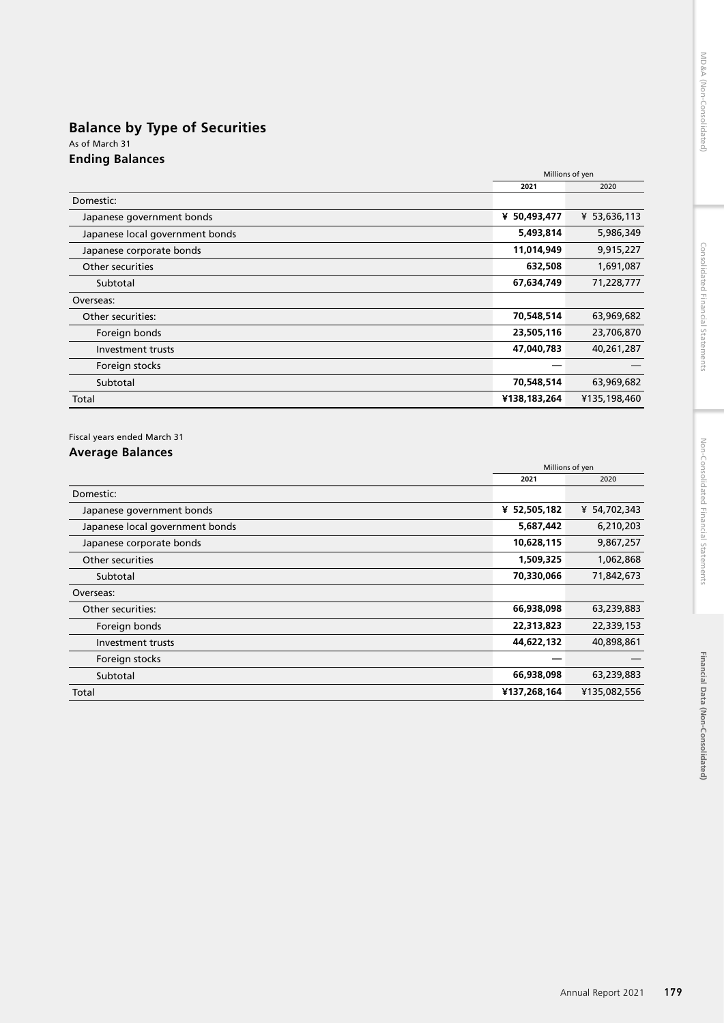## **Balance by Type of Securities** As of March 31 **Ending Balances**

|                                 | Millions of yen |              |
|---------------------------------|-----------------|--------------|
|                                 | 2021            | 2020         |
| Domestic:                       |                 |              |
| Japanese government bonds       | ¥ 50,493,477    | ¥ 53,636,113 |
| Japanese local government bonds | 5,493,814       | 5,986,349    |
| Japanese corporate bonds        | 11,014,949      | 9,915,227    |
| Other securities                | 632,508         | 1,691,087    |
| Subtotal                        | 67,634,749      | 71,228,777   |
| Overseas:                       |                 |              |
| Other securities:               | 70,548,514      | 63,969,682   |
| Foreign bonds                   | 23,505,116      | 23,706,870   |
| Investment trusts               | 47,040,783      | 40,261,287   |
| Foreign stocks                  |                 |              |
| Subtotal                        | 70,548,514      | 63,969,682   |
| Total                           | ¥138,183,264    | ¥135,198,460 |

## Fiscal years ended March 31

## **Average Balances**

|                                 | Millions of yen |              |
|---------------------------------|-----------------|--------------|
|                                 | 2021            | 2020         |
| Domestic:                       |                 |              |
| Japanese government bonds       | ¥ 52,505,182    | ¥ 54,702,343 |
| Japanese local government bonds | 5,687,442       | 6,210,203    |
| Japanese corporate bonds        | 10,628,115      | 9,867,257    |
| Other securities                | 1,509,325       | 1,062,868    |
| Subtotal                        | 70,330,066      | 71,842,673   |
| Overseas:                       |                 |              |
| Other securities:               | 66,938,098      | 63,239,883   |
| Foreign bonds                   | 22,313,823      | 22,339,153   |
| Investment trusts               | 44,622,132      | 40,898,861   |
| Foreign stocks                  |                 |              |
| Subtotal                        | 66,938,098      | 63,239,883   |
| Total                           | ¥137,268,164    | ¥135,082,556 |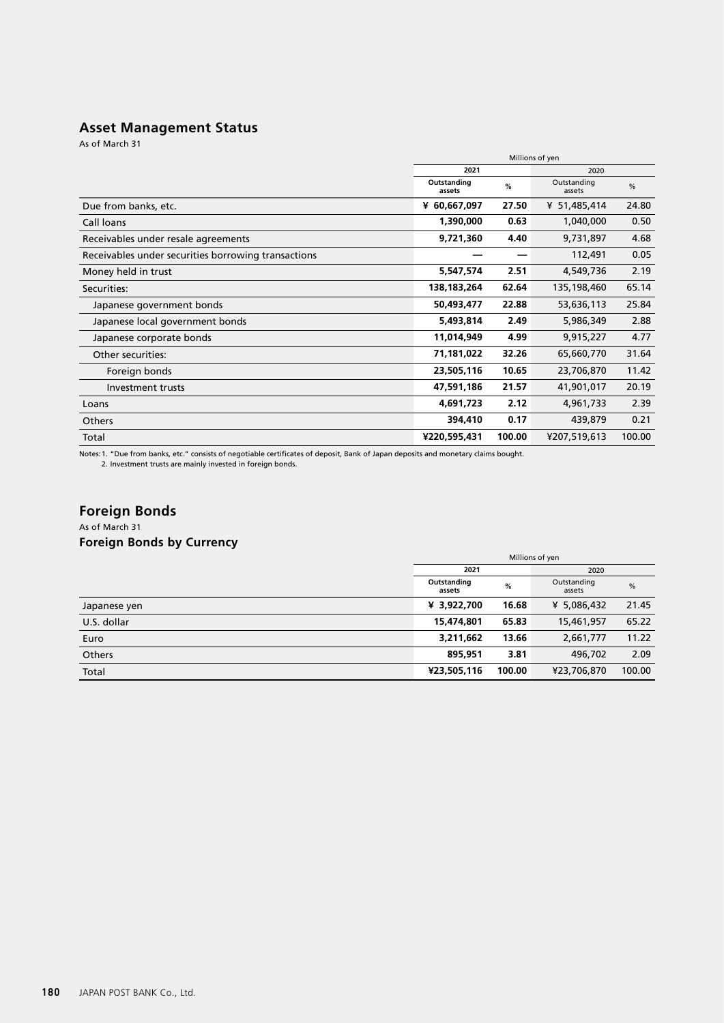## **Asset Management Status**

As of March 31

|                                                     | Millions of yen            |        |                       |        |  |
|-----------------------------------------------------|----------------------------|--------|-----------------------|--------|--|
|                                                     | 2021                       |        | 2020                  |        |  |
|                                                     | Outstanding<br>%<br>assets |        | Outstanding<br>assets | %      |  |
| Due from banks, etc.                                | ¥ 60,667,097               | 27.50  | ¥ 51,485,414          | 24.80  |  |
| Call loans                                          | 1,390,000                  | 0.63   | 1,040,000             | 0.50   |  |
| Receivables under resale agreements                 | 9,721,360                  | 4.40   | 9,731,897             | 4.68   |  |
| Receivables under securities borrowing transactions |                            |        | 112,491               | 0.05   |  |
| Money held in trust                                 | 5,547,574                  | 2.51   | 4,549,736             | 2.19   |  |
| Securities:                                         | 138,183,264                | 62.64  | 135,198,460           | 65.14  |  |
| Japanese government bonds                           | 50,493,477                 | 22.88  | 53,636,113            | 25.84  |  |
| Japanese local government bonds                     | 5,493,814                  | 2.49   | 5,986,349             | 2.88   |  |
| Japanese corporate bonds                            | 11,014,949                 | 4.99   | 9,915,227             | 4.77   |  |
| Other securities:                                   | 71,181,022                 | 32.26  | 65,660,770            | 31.64  |  |
| Foreign bonds                                       | 23,505,116                 | 10.65  | 23,706,870            | 11.42  |  |
| Investment trusts                                   | 47,591,186                 | 21.57  | 41,901,017            | 20.19  |  |
| Loans                                               | 4,691,723                  | 2.12   | 4,961,733             | 2.39   |  |
| Others                                              | 394,410                    | 0.17   | 439,879               | 0.21   |  |
| Total                                               | ¥220,595,431               | 100.00 | ¥207,519,613          | 100.00 |  |

Notes:1. "Due from banks, etc." consists of negotiable certificates of deposit, Bank of Japan deposits and monetary claims bought. 2. Investment trusts are mainly invested in foreign bonds.

# **Foreign Bonds**

## As of March 31 **Foreign Bonds by Currency**

|              | Millions of yen       |        |                                        |        |
|--------------|-----------------------|--------|----------------------------------------|--------|
|              | 2021                  |        | 2020                                   |        |
|              | Outstanding<br>assets | %      | Outstanding<br>$\frac{0}{0}$<br>assets |        |
| Japanese yen | ¥ 3,922,700           | 16.68  | ¥ 5,086,432                            | 21.45  |
| U.S. dollar  | 15,474,801            | 65.83  | 15,461,957                             | 65.22  |
| Euro         | 3,211,662             | 13.66  | 2,661,777                              | 11.22  |
| Others       | 895.951               | 3.81   | 496,702                                | 2.09   |
| Total        | ¥23,505,116           | 100.00 | ¥23,706,870                            | 100.00 |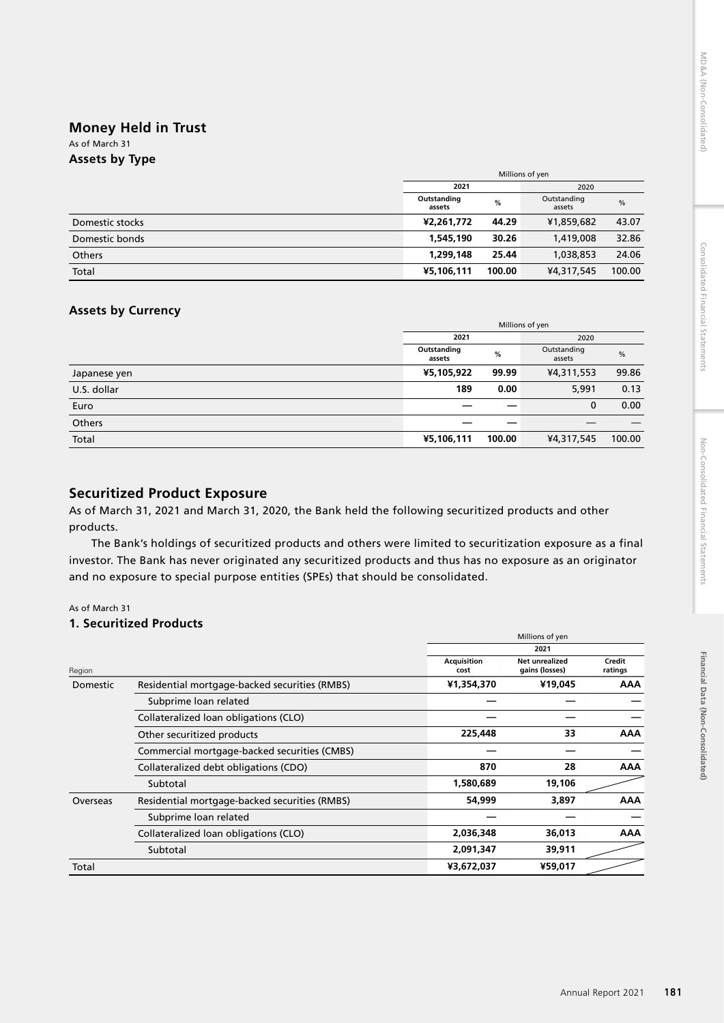# Financial Data (Non-Consolidated) **Financial Data (Non-Consolidated)**

# **Money Held in Trust**

#### As of March 31 **Assets by Type**

| - -             | Millions of yen       |        |                                        |        |  |
|-----------------|-----------------------|--------|----------------------------------------|--------|--|
|                 | 2021<br>2020          |        |                                        |        |  |
|                 | Outstanding<br>assets | %      | Outstanding<br>$\frac{0}{0}$<br>assets |        |  |
| Domestic stocks | ¥2,261,772            | 44.29  | ¥1,859,682                             | 43.07  |  |
| Domestic bonds  | 1,545,190             | 30.26  | 1,419,008                              | 32.86  |  |
| Others          | 1,299,148             | 25.44  | 1,038,853                              | 24.06  |  |
| Total           | ¥5,106,111            | 100.00 | ¥4,317,545                             | 100.00 |  |

## **Assets by Currency**

|              | Millions of yen       |        |                                        |        |
|--------------|-----------------------|--------|----------------------------------------|--------|
|              | 2021                  |        | 2020                                   |        |
|              | Outstanding<br>assets | %      | Outstanding<br>$\frac{0}{0}$<br>assets |        |
| Japanese yen | ¥5,105,922            | 99.99  | ¥4,311,553                             | 99.86  |
| U.S. dollar  | 189                   | 0.00   | 5,991                                  | 0.13   |
| Euro         |                       |        | 0                                      | 0.00   |
| Others       |                       |        |                                        |        |
| Total        | ¥5,106,111            | 100.00 | ¥4,317,545                             | 100.00 |

## **Securitized Product Exposure**

As of March 31, 2021 and March 31, 2020, the Bank held the following securitized products and other products.

The Bank's holdings of securitized products and others were limited to securitization exposure as a final investor. The Bank has never originated any securitized products and thus has no exposure as an originator and no exposure to special purpose entities (SPEs) that should be consolidated.

### As of March 31

## **1. Securitized Products**

|          |                                               |                            | Millions of yen                         |                   |  |  |
|----------|-----------------------------------------------|----------------------------|-----------------------------------------|-------------------|--|--|
|          |                                               |                            | 2021                                    |                   |  |  |
| Region   |                                               | <b>Acquisition</b><br>cost | <b>Net unrealized</b><br>gains (losses) | Credit<br>ratings |  |  |
| Domestic | Residential mortgage-backed securities (RMBS) | ¥1,354,370                 | ¥19,045                                 | <b>AAA</b>        |  |  |
|          | Subprime loan related                         |                            |                                         |                   |  |  |
|          | Collateralized loan obligations (CLO)         |                            |                                         |                   |  |  |
|          | Other securitized products                    | 225,448                    | 33                                      | <b>AAA</b>        |  |  |
|          | Commercial mortgage-backed securities (CMBS)  |                            |                                         |                   |  |  |
|          | Collateralized debt obligations (CDO)         | 870                        | 28                                      | <b>AAA</b>        |  |  |
|          | Subtotal                                      | 1,580,689                  | 19,106                                  |                   |  |  |
| Overseas | Residential mortgage-backed securities (RMBS) | 54,999                     | 3,897                                   | <b>AAA</b>        |  |  |
|          | Subprime loan related                         |                            |                                         |                   |  |  |
|          | Collateralized loan obligations (CLO)         | 2,036,348                  | 36,013                                  | <b>AAA</b>        |  |  |
|          | Subtotal                                      | 2,091,347                  | 39,911                                  |                   |  |  |
| Total    |                                               | ¥3,672,037                 | ¥59,017                                 |                   |  |  |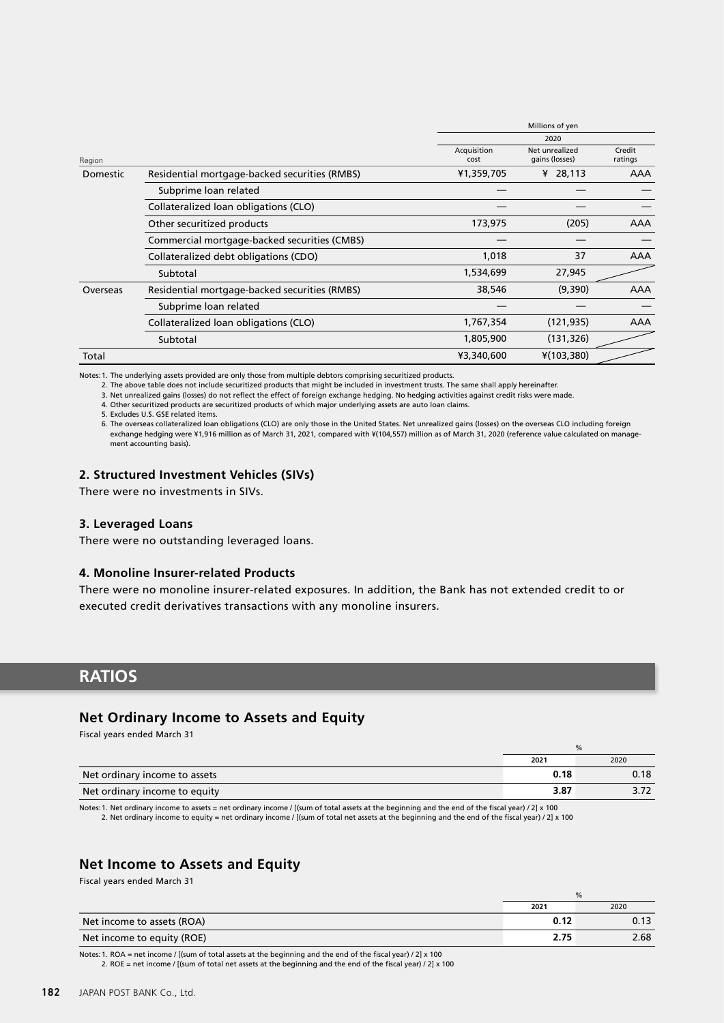|          |                                               |                                  | Millions of yen   |     |
|----------|-----------------------------------------------|----------------------------------|-------------------|-----|
|          |                                               |                                  | 2020              |     |
| Region   | Acquisition<br>cost                           | Net unrealized<br>gains (losses) | Credit<br>ratings |     |
| Domestic | Residential mortgage-backed securities (RMBS) | ¥1,359,705                       | ¥ 28,113          | AAA |
|          | Subprime loan related                         |                                  |                   |     |
|          | Collateralized loan obligations (CLO)         |                                  |                   |     |
|          | Other securitized products                    | 173,975                          | (205)             | AAA |
|          | Commercial mortgage-backed securities (CMBS)  |                                  |                   |     |
|          | Collateralized debt obligations (CDO)         | 1,018                            | 37                | AAA |
|          | Subtotal                                      | 1,534,699                        | 27,945            |     |
| Overseas | Residential mortgage-backed securities (RMBS) | 38,546                           | (9,390)           | AAA |
|          | Subprime loan related                         |                                  |                   |     |
|          | Collateralized loan obligations (CLO)         | 1,767,354                        | (121, 935)        | AAA |
|          | Subtotal                                      | 1,805,900                        | (131, 326)        |     |
| Total    |                                               | ¥3,340,600                       | $*(103,380)$      |     |

Notes:1. The underlying assets provided are only those from multiple debtors comprising securitized products.

2. The above table does not include securitized products that might be included in investment trusts. The same shall apply hereinafter.

3. Net unrealized gains (losses) do not reflect the effect of foreign exchange hedging. No hedging activities against credit risks were made.

4. Other securitized products are securitized products of which major underlying assets are auto loan claims.

5. Excludes U.S. GSE related items.

6. The overseas collateralized loan obligations (CLO) are only those in the United States. Net unrealized gains (losses) on the overseas CLO including foreign<br>-exchange hedging were ¥1,916 million as of March 31, 2021, com ment accounting basis).

### **2. Structured Investment Vehicles (SIVs)**

There were no investments in SIVs.

#### **3. Leveraged Loans**

There were no outstanding leveraged loans.

#### **4. Monoline Insurer-related Products**

There were no monoline insurer-related exposures. In addition, the Bank has not extended credit to or executed credit derivatives transactions with any monoline insurers.

# **RATIOS**

### **Net Ordinary Income to Assets and Equity**

Fiscal years ended March 31

|                               | $\%$ |      |
|-------------------------------|------|------|
|                               | 2021 | 2020 |
| Net ordinary income to assets | 0.18 | 0.18 |
| Net ordinary income to equity | 3.87 |      |
|                               |      |      |

Notes:1. Net ordinary income to assets = net ordinary income / [(sum of total assets at the beginning and the end of the fiscal year) / 2] x 100 2. Net ordinary income to equity = net ordinary income / [(sum of total net assets at the beginning and the end of the fiscal year) / 2] x 100

## **Net Income to Assets and Equity**

Fiscal years ended March 31

|                            | %    |      |
|----------------------------|------|------|
|                            | 2021 | 2020 |
| Net income to assets (ROA) | 0.12 |      |
| Net income to equity (ROE) | 2.75 | 2.68 |

Notes:1. ROA = net income / [(sum of total assets at the beginning and the end of the fiscal year) / 2] x 100 2. ROE = net income / [(sum of total net assets at the beginning and the end of the fiscal year) / 2] x 100

182 JAPAN POST BANK Co., Ltd.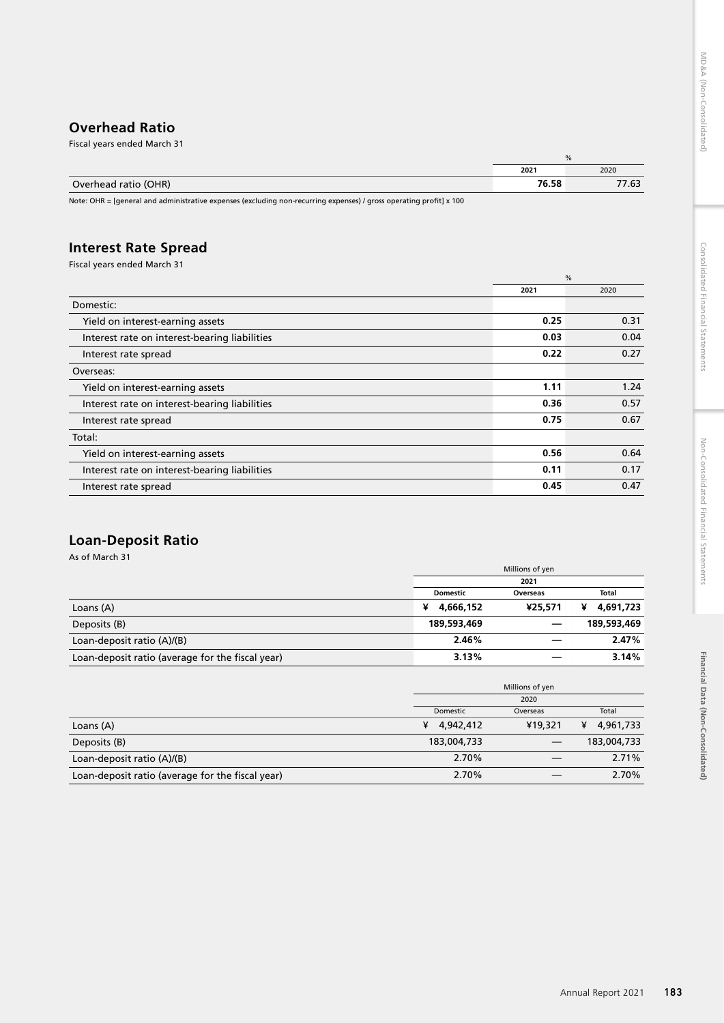**Financial Data (Non-Consolidated)**

Financial Data (Non-Consolidated)

## **Overhead Ratio** Fiscal years ended March 31

| _____                | Ya    |       |
|----------------------|-------|-------|
|                      | 2021  | 2020  |
| Overhead ratio (OHR) | 76.58 | 77.63 |

Note: OHR = [general and administrative expenses (excluding non-recurring expenses) / gross operating profit] x 100

# **Interest Rate Spread**

Fiscal years ended March 31

| %    |      |  |
|------|------|--|
| 2021 | 2020 |  |
|      |      |  |
| 0.25 | 0.31 |  |
| 0.03 | 0.04 |  |
| 0.22 | 0.27 |  |
|      |      |  |
| 1.11 | 1.24 |  |
| 0.36 | 0.57 |  |
| 0.75 | 0.67 |  |
|      |      |  |
| 0.56 | 0.64 |  |
| 0.11 | 0.17 |  |
| 0.45 | 0.47 |  |
|      |      |  |

# **Loan-Deposit Ratio**

As of March 31

|                                                  | Millions of yen |          |                |
|--------------------------------------------------|-----------------|----------|----------------|
|                                                  |                 | 2021     |                |
|                                                  | <b>Domestic</b> | Overseas | Total          |
| Loans (A)                                        | 4,666,152<br>¥  | ¥25,571  | 4,691,723<br>¥ |
| Deposits (B)                                     | 189,593,469     |          | 189,593,469    |
| Loan-deposit ratio (A)/(B)                       | 2.46%           |          | 2.47%          |
| Loan-deposit ratio (average for the fiscal year) | 3.13%           |          | 3.14%          |

|                                                  |                | Millions of yen |                |
|--------------------------------------------------|----------------|-----------------|----------------|
|                                                  |                | 2020            |                |
|                                                  | Domestic       | Overseas        | Total          |
| Loans (A)                                        | 4,942,412<br>¥ | ¥19,321         | 4,961,733<br>¥ |
| Deposits (B)                                     | 183,004,733    |                 | 183,004,733    |
| Loan-deposit ratio (A)/(B)                       | 2.70%          |                 | 2.71%          |
| Loan-deposit ratio (average for the fiscal year) | 2.70%          |                 | 2.70%          |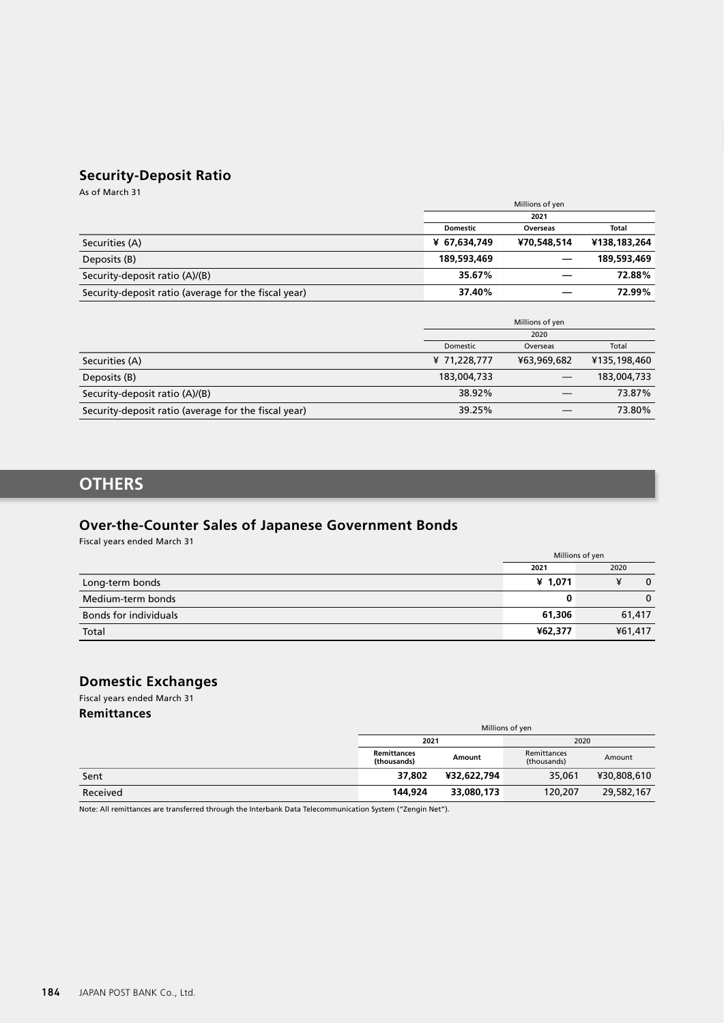# **Security-Deposit Ratio**

As of March 31

|                                                      | Millions of yen |             |              |
|------------------------------------------------------|-----------------|-------------|--------------|
|                                                      | 2021            |             |              |
|                                                      | <b>Domestic</b> | Overseas    | <b>Total</b> |
| Securities (A)                                       | ¥ 67,634,749    | ¥70,548,514 | ¥138,183,264 |
| Deposits (B)                                         | 189,593,469     |             | 189,593,469  |
| Security-deposit ratio (A)/(B)                       | 35.67%          |             | 72.88%       |
| Security-deposit ratio (average for the fiscal year) | 37.40%          |             | 72.99%       |

|                                                      | Millions of yen |             |              |
|------------------------------------------------------|-----------------|-------------|--------------|
|                                                      | 2020            |             |              |
|                                                      | Domestic        | Overseas    | Total        |
| Securities (A)                                       | ¥ 71,228,777    | ¥63,969,682 | ¥135,198,460 |
| Deposits (B)                                         | 183,004,733     |             | 183,004,733  |
| Security-deposit ratio (A)/(B)                       | 38.92%          |             | 73.87%       |
| Security-deposit ratio (average for the fiscal year) | 39.25%          |             | 73.80%       |

# **OTHERS**

# **Over-the-Counter Sales of Japanese Government Bonds**

Fiscal years ended March 31

|                              | Millions of yen |              |  |
|------------------------------|-----------------|--------------|--|
|                              | 2021            | 2020         |  |
| Long-term bonds              | ¥ 1,071         | $\mathbf{0}$ |  |
| Medium-term bonds            | 0               | $\Omega$     |  |
| <b>Bonds for individuals</b> | 61,306          | 61,417       |  |
| Total                        | ¥62,377         | ¥61,417      |  |

## **Domestic Exchanges**

Fiscal years ended March 31

**Remittances**

|          | Millions of yen                   |             |                            |             |  |
|----------|-----------------------------------|-------------|----------------------------|-------------|--|
|          | 2021<br>2020                      |             |                            |             |  |
|          | <b>Remittances</b><br>(thousands) | Amount      | Remittances<br>(thousands) | Amount      |  |
| Sent     | 37,802                            | ¥32,622,794 | 35,061                     | ¥30,808,610 |  |
| Received | 144,924                           | 33,080,173  | 120,207                    | 29,582,167  |  |

Note: All remittances are transferred through the Interbank Data Telecommunication System ("Zengin Net").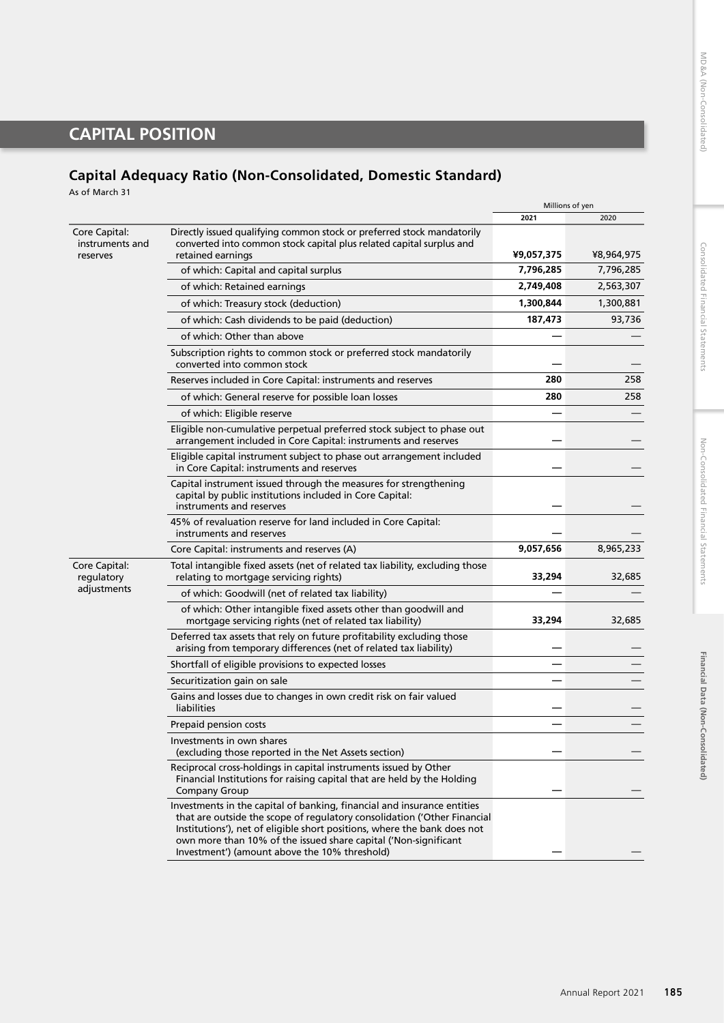$\mathcal{L}$ 

# **CAPITAL POSITION**

# **Capital Adequacy Ratio (Non-Consolidated, Domestic Standard)**

As of March 31

|                                              |                                                                                                                                                                                                                                                                                                                                                     | <b>IVIIIIIOIIS OF VEH</b> |            |
|----------------------------------------------|-----------------------------------------------------------------------------------------------------------------------------------------------------------------------------------------------------------------------------------------------------------------------------------------------------------------------------------------------------|---------------------------|------------|
|                                              |                                                                                                                                                                                                                                                                                                                                                     | 2021                      | 2020       |
| Core Capital:<br>instruments and<br>reserves | Directly issued qualifying common stock or preferred stock mandatorily<br>converted into common stock capital plus related capital surplus and<br>retained earnings                                                                                                                                                                                 | ¥9,057,375                | ¥8,964,975 |
|                                              | of which: Capital and capital surplus                                                                                                                                                                                                                                                                                                               | 7,796,285                 | 7,796,285  |
|                                              | of which: Retained earnings                                                                                                                                                                                                                                                                                                                         | 2,749,408                 | 2,563,307  |
|                                              | of which: Treasury stock (deduction)                                                                                                                                                                                                                                                                                                                | 1,300,844                 | 1,300,881  |
|                                              | of which: Cash dividends to be paid (deduction)                                                                                                                                                                                                                                                                                                     | 187,473                   | 93,736     |
|                                              | of which: Other than above                                                                                                                                                                                                                                                                                                                          |                           |            |
|                                              | Subscription rights to common stock or preferred stock mandatorily<br>converted into common stock                                                                                                                                                                                                                                                   |                           |            |
|                                              | Reserves included in Core Capital: instruments and reserves                                                                                                                                                                                                                                                                                         | 280                       | 258        |
|                                              | of which: General reserve for possible loan losses                                                                                                                                                                                                                                                                                                  | 280                       | 258        |
|                                              | of which: Eligible reserve                                                                                                                                                                                                                                                                                                                          |                           |            |
|                                              | Eligible non-cumulative perpetual preferred stock subject to phase out<br>arrangement included in Core Capital: instruments and reserves                                                                                                                                                                                                            |                           |            |
|                                              | Eligible capital instrument subject to phase out arrangement included<br>in Core Capital: instruments and reserves                                                                                                                                                                                                                                  |                           |            |
|                                              | Capital instrument issued through the measures for strengthening<br>capital by public institutions included in Core Capital:<br>instruments and reserves                                                                                                                                                                                            |                           |            |
|                                              | 45% of revaluation reserve for land included in Core Capital:<br>instruments and reserves                                                                                                                                                                                                                                                           |                           |            |
|                                              | Core Capital: instruments and reserves (A)                                                                                                                                                                                                                                                                                                          | 9,057,656                 | 8,965,233  |
| Core Capital:<br>regulatory                  | Total intangible fixed assets (net of related tax liability, excluding those<br>relating to mortgage servicing rights)                                                                                                                                                                                                                              | 33,294                    | 32,685     |
| adjustments                                  | of which: Goodwill (net of related tax liability)                                                                                                                                                                                                                                                                                                   |                           |            |
|                                              | of which: Other intangible fixed assets other than goodwill and<br>mortgage servicing rights (net of related tax liability)                                                                                                                                                                                                                         | 33,294                    | 32,685     |
|                                              | Deferred tax assets that rely on future profitability excluding those<br>arising from temporary differences (net of related tax liability)                                                                                                                                                                                                          |                           |            |
|                                              | Shortfall of eligible provisions to expected losses                                                                                                                                                                                                                                                                                                 |                           |            |
|                                              | Securitization gain on sale                                                                                                                                                                                                                                                                                                                         |                           |            |
|                                              | Gains and losses due to changes in own credit risk on fair valued<br>liabilities                                                                                                                                                                                                                                                                    |                           |            |
|                                              | Prepaid pension costs                                                                                                                                                                                                                                                                                                                               |                           |            |
|                                              | Investments in own shares<br>(excluding those reported in the Net Assets section)                                                                                                                                                                                                                                                                   |                           |            |
|                                              | Reciprocal cross-holdings in capital instruments issued by Other<br>Financial Institutions for raising capital that are held by the Holding<br><b>Company Group</b>                                                                                                                                                                                 |                           |            |
|                                              | Investments in the capital of banking, financial and insurance entities<br>that are outside the scope of regulatory consolidation ('Other Financial<br>Institutions'), net of eligible short positions, where the bank does not<br>own more than 10% of the issued share capital ('Non-significant<br>Investment') (amount above the 10% threshold) |                           |            |
|                                              |                                                                                                                                                                                                                                                                                                                                                     |                           |            |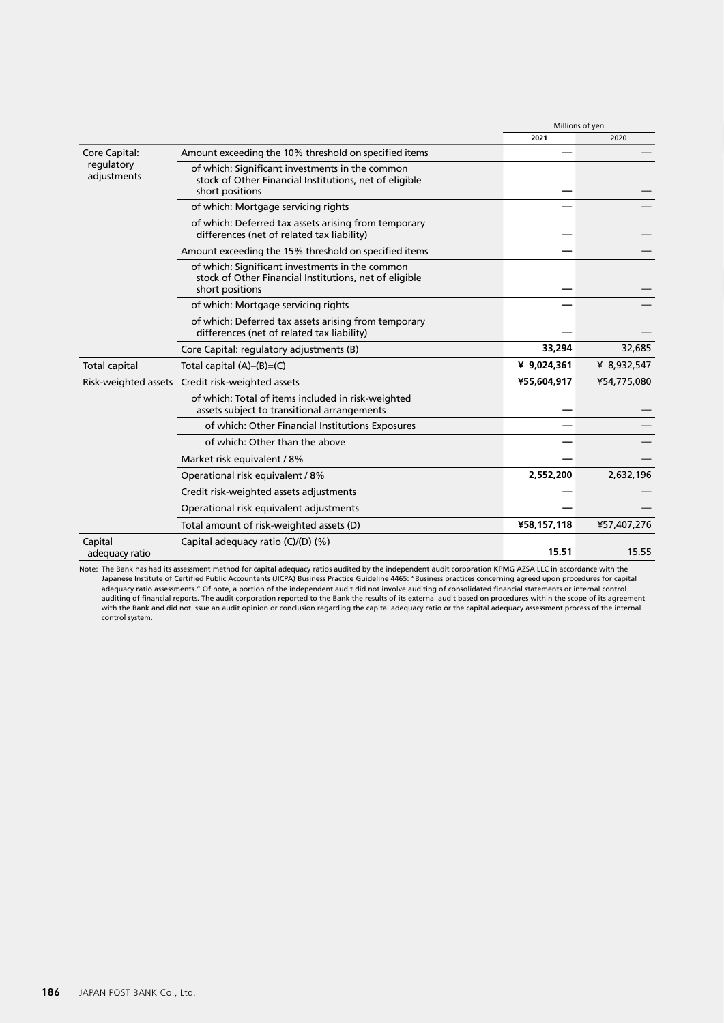|                           |                                                                                                                              | Millions of yen |             |
|---------------------------|------------------------------------------------------------------------------------------------------------------------------|-----------------|-------------|
|                           |                                                                                                                              | 2021            | 2020        |
| Core Capital:             | Amount exceeding the 10% threshold on specified items                                                                        |                 |             |
| regulatory<br>adjustments | of which: Significant investments in the common<br>stock of Other Financial Institutions, net of eligible<br>short positions |                 |             |
|                           | of which: Mortgage servicing rights                                                                                          |                 |             |
|                           | of which: Deferred tax assets arising from temporary<br>differences (net of related tax liability)                           |                 |             |
|                           | Amount exceeding the 15% threshold on specified items                                                                        |                 |             |
|                           | of which: Significant investments in the common<br>stock of Other Financial Institutions, net of eligible<br>short positions |                 |             |
|                           | of which: Mortgage servicing rights                                                                                          |                 |             |
|                           | of which: Deferred tax assets arising from temporary<br>differences (net of related tax liability)                           |                 |             |
|                           | Core Capital: regulatory adjustments (B)                                                                                     | 33,294          | 32,685      |
| <b>Total capital</b>      | Total capital (A)-(B)=(C)                                                                                                    | ¥ 9,024,361     | ¥ 8,932,547 |
|                           | Risk-weighted assets Credit risk-weighted assets                                                                             | ¥55,604,917     | ¥54,775,080 |
|                           | of which: Total of items included in risk-weighted<br>assets subject to transitional arrangements                            |                 |             |
|                           | of which: Other Financial Institutions Exposures                                                                             |                 |             |
|                           | of which: Other than the above                                                                                               |                 |             |
|                           | Market risk equivalent / 8%                                                                                                  |                 |             |
|                           | Operational risk equivalent / 8%                                                                                             | 2,552,200       | 2,632,196   |
|                           | Credit risk-weighted assets adjustments                                                                                      |                 |             |
|                           | Operational risk equivalent adjustments                                                                                      |                 |             |
|                           | Total amount of risk-weighted assets (D)                                                                                     | ¥58,157,118     | ¥57,407,276 |
| Capital<br>adequacy ratio | Capital adequacy ratio $(C)/(D)$ (%)                                                                                         | 15.51           | 15.55       |

Note: The Bank has had its assessment method for capital adequacy ratios audited by the independent audit corporation KPMG AZSA LLC in accordance with the Japanese Institute of Certified Public Accountants (JICPA) Business Practice Guideline 4465: "Business practices concerning agreed upon procedures for capital adequacy ratio assessments." Of note, a portion of the independent audit did not involve auditing of consolidated financial statements or internal control auditing of financial reports. The audit corporation reported to the Bank the results of its external audit based on procedures within the scope of its agreement with the Bank and did not issue an audit opinion or conclusion regarding the capital adequacy ratio or the capital adequacy assessment process of the internal<br>control system.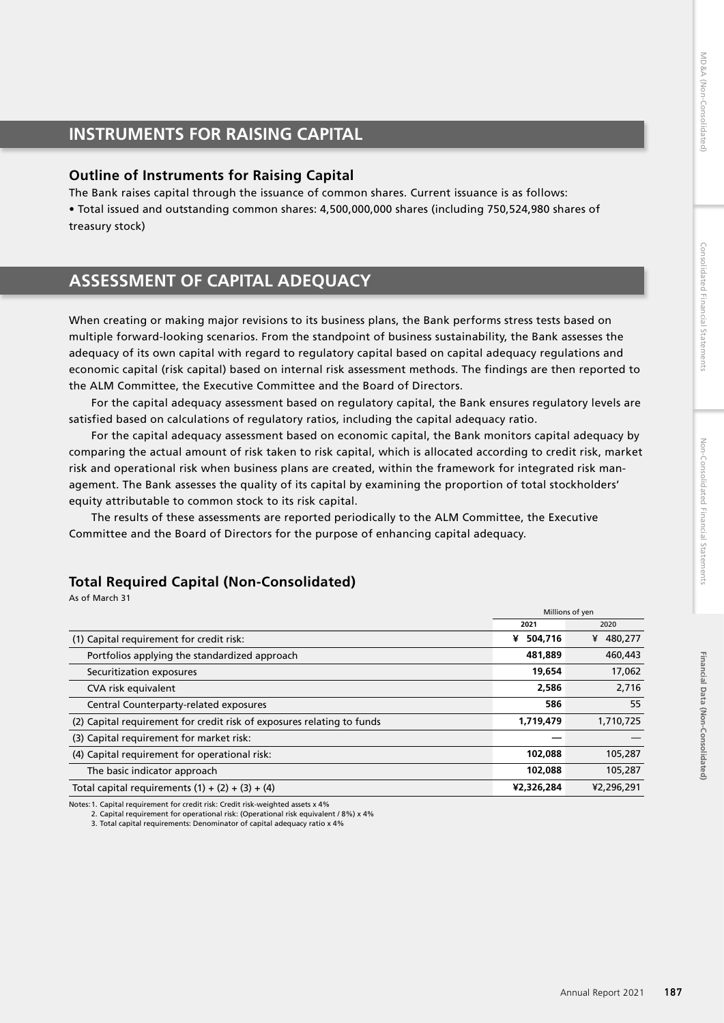# Financial Data (Non-Consolidated) **Financial Data (Non-Consolidated)**

# **INSTRUMENTS FOR RAISING CAPITAL**

# **Outline of Instruments for Raising Capital**

The Bank raises capital through the issuance of common shares. Current issuance is as follows: • Total issued and outstanding common shares: 4,500,000,000 shares (including 750,524,980 shares of treasury stock)

# **ASSESSMENT OF CAPITAL ADEQUACY**

When creating or making major revisions to its business plans, the Bank performs stress tests based on multiple forward-looking scenarios. From the standpoint of business sustainability, the Bank assesses the adequacy of its own capital with regard to regulatory capital based on capital adequacy regulations and economic capital (risk capital) based on internal risk assessment methods. The findings are then reported to the ALM Committee, the Executive Committee and the Board of Directors.

For the capital adequacy assessment based on regulatory capital, the Bank ensures regulatory levels are satisfied based on calculations of regulatory ratios, including the capital adequacy ratio.

For the capital adequacy assessment based on economic capital, the Bank monitors capital adequacy by comparing the actual amount of risk taken to risk capital, which is allocated according to credit risk, market risk and operational risk when business plans are created, within the framework for integrated risk management. The Bank assesses the quality of its capital by examining the proportion of total stockholders' equity attributable to common stock to its risk capital.

The results of these assessments are reported periodically to the ALM Committee, the Executive Committee and the Board of Directors for the purpose of enhancing capital adequacy.

# **Total Required Capital (Non-Consolidated)**

As of March 31

|                                                                        | Millions of yen |            |
|------------------------------------------------------------------------|-----------------|------------|
|                                                                        | 2021<br>2020    |            |
| (1) Capital requirement for credit risk:                               | 504,716<br>¥    | ¥ 480,277  |
| Portfolios applying the standardized approach                          | 481,889         | 460,443    |
| Securitization exposures                                               | 19,654          | 17,062     |
| CVA risk equivalent                                                    | 2,586           | 2,716      |
| Central Counterparty-related exposures                                 | 586             | 55         |
| (2) Capital requirement for credit risk of exposures relating to funds | 1,719,479       | 1,710,725  |
| (3) Capital requirement for market risk:                               |                 |            |
| (4) Capital requirement for operational risk:                          | 102,088         | 105,287    |
| The basic indicator approach                                           | 102,088         | 105,287    |
| Total capital requirements $(1) + (2) + (3) + (4)$                     | ¥2,326,284      | ¥2,296,291 |

Notes:1. Capital requirement for credit risk: Credit risk-weighted assets x 4%

3. Total capital requirements: Denominator of capital adequacy ratio x 4%

<sup>2.</sup> Capital requirement for operational risk: (Operational risk equivalent / 8%) x 4%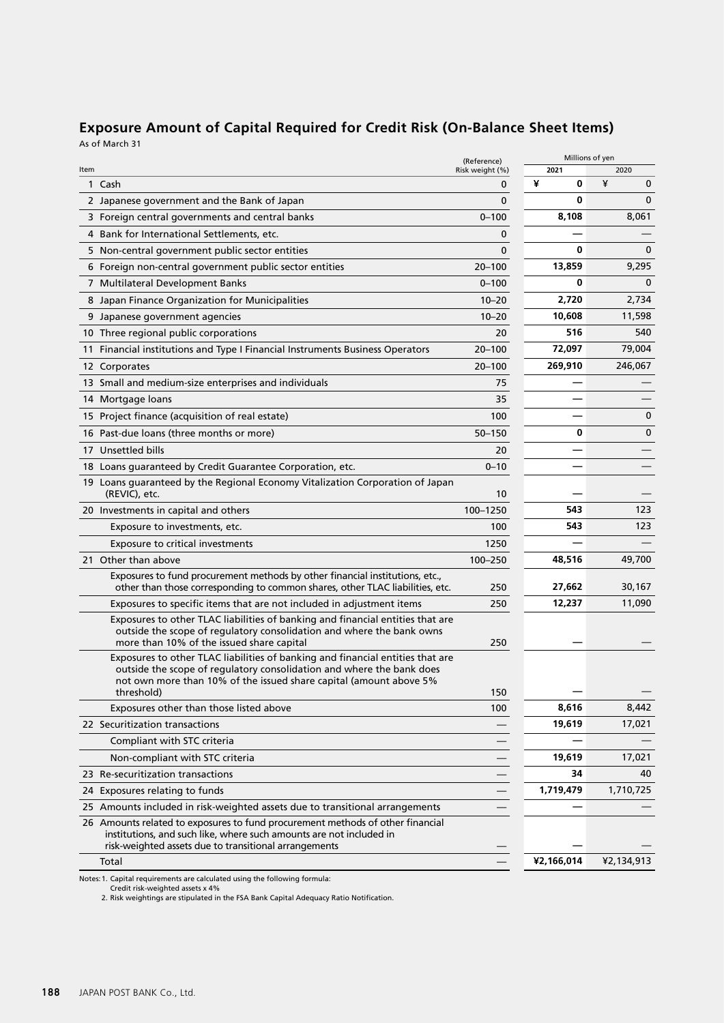| <b>Exposure Amount of Capital Required for Credit Risk (On-Balance Sheet Items)</b> |  |
|-------------------------------------------------------------------------------------|--|
| As of March 31                                                                      |  |

|                 |                                                                                                                                                                                                                                             | (Reference)     |            | Millions of yen  |
|-----------------|---------------------------------------------------------------------------------------------------------------------------------------------------------------------------------------------------------------------------------------------|-----------------|------------|------------------|
| Item            |                                                                                                                                                                                                                                             | Risk weight (%) | 2021       | 2020             |
|                 | 1 Cash                                                                                                                                                                                                                                      | 0               | ¥<br>0     | ¥<br>$\mathbf 0$ |
|                 | 2 Japanese government and the Bank of Japan                                                                                                                                                                                                 | 0               | 0          | $\mathbf{0}$     |
|                 | 3 Foreign central governments and central banks                                                                                                                                                                                             | $0 - 100$       | 8,108      | 8,061            |
|                 | 4 Bank for International Settlements, etc.                                                                                                                                                                                                  | 0               |            |                  |
|                 | 5 Non-central government public sector entities                                                                                                                                                                                             | $\mathbf{0}$    | 0          | $\mathbf{0}$     |
|                 | 6 Foreign non-central government public sector entities                                                                                                                                                                                     | $20 - 100$      | 13,859     | 9,295            |
|                 | 7 Multilateral Development Banks                                                                                                                                                                                                            | $0 - 100$       | 0          | $\mathbf{0}$     |
|                 | 8 Japan Finance Organization for Municipalities                                                                                                                                                                                             | $10 - 20$       | 2,720      | 2,734            |
|                 | 9 Japanese government agencies                                                                                                                                                                                                              | $10 - 20$       | 10,608     | 11,598           |
|                 | 10 Three regional public corporations                                                                                                                                                                                                       | 20              | 516        | 540              |
| 11              | Financial institutions and Type I Financial Instruments Business Operators                                                                                                                                                                  | $20 - 100$      | 72,097     | 79,004           |
|                 | 12 Corporates                                                                                                                                                                                                                               | $20 - 100$      | 269,910    | 246,067          |
|                 | 13 Small and medium-size enterprises and individuals                                                                                                                                                                                        | 75              |            |                  |
| 14              | Mortgage loans                                                                                                                                                                                                                              | 35              |            |                  |
|                 | 15 Project finance (acquisition of real estate)                                                                                                                                                                                             | 100             |            | $\mathbf 0$      |
|                 | 16 Past-due loans (three months or more)                                                                                                                                                                                                    | $50 - 150$      | 0          | $\mathbf 0$      |
| 17 <sup>2</sup> | Unsettled bills                                                                                                                                                                                                                             | 20              |            |                  |
|                 | 18 Loans guaranteed by Credit Guarantee Corporation, etc.                                                                                                                                                                                   | $0 - 10$        |            |                  |
|                 | 19 Loans guaranteed by the Regional Economy Vitalization Corporation of Japan<br>(REVIC), etc.                                                                                                                                              | 10              |            |                  |
|                 | 20 Investments in capital and others                                                                                                                                                                                                        | 100-1250        | 543        | 123              |
|                 | Exposure to investments, etc.                                                                                                                                                                                                               | 100             | 543        | 123              |
|                 | Exposure to critical investments                                                                                                                                                                                                            | 1250            |            |                  |
|                 | 21 Other than above                                                                                                                                                                                                                         | 100-250         | 48,516     | 49,700           |
|                 | Exposures to fund procurement methods by other financial institutions, etc.,<br>other than those corresponding to common shares, other TLAC liabilities, etc.                                                                               | 250             | 27,662     | 30,167           |
|                 | Exposures to specific items that are not included in adjustment items                                                                                                                                                                       | 250             | 12,237     | 11,090           |
|                 | Exposures to other TLAC liabilities of banking and financial entities that are<br>outside the scope of regulatory consolidation and where the bank owns<br>more than 10% of the issued share capital                                        | 250             |            |                  |
|                 | Exposures to other TLAC liabilities of banking and financial entities that are<br>outside the scope of regulatory consolidation and where the bank does<br>not own more than 10% of the issued share capital (amount above 5%<br>threshold) | 150             |            |                  |
|                 | Exposures other than those listed above                                                                                                                                                                                                     | 100             | 8,616      | 8,442            |
|                 | 22 Securitization transactions                                                                                                                                                                                                              |                 | 19,619     | 17,021           |
|                 | Compliant with STC criteria                                                                                                                                                                                                                 |                 |            |                  |
|                 | Non-compliant with STC criteria                                                                                                                                                                                                             |                 | 19,619     | 17,021           |
|                 | 23 Re-securitization transactions                                                                                                                                                                                                           |                 | 34         | 40               |
|                 | 24 Exposures relating to funds                                                                                                                                                                                                              |                 | 1,719,479  | 1,710,725        |
|                 | 25 Amounts included in risk-weighted assets due to transitional arrangements                                                                                                                                                                |                 |            |                  |
|                 | 26 Amounts related to exposures to fund procurement methods of other financial<br>institutions, and such like, where such amounts are not included in<br>risk-weighted assets due to transitional arrangements                              |                 |            |                  |
|                 | Total                                                                                                                                                                                                                                       |                 | ¥2,166,014 | ¥2,134,913       |

Notes:1. Capital requirements are calculated using the following formula: Credit risk-weighted assets x 4% 2. Risk weightings are stipulated in the FSA Bank Capital Adequacy Ratio Notification.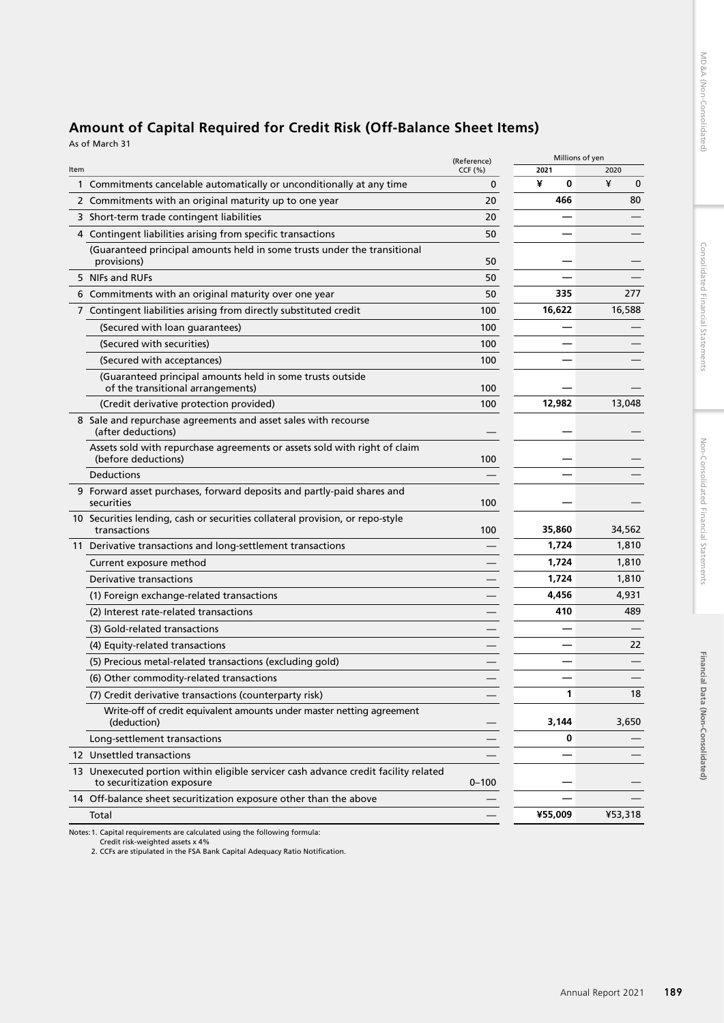# **Amount of Capital Required for Credit Risk (Off-Balance Sheet Items)**

As of March 31

| CCF(%)<br>2021<br>Item<br>¥<br>¥<br>0<br>$\mathbf 0$<br>1 Commitments cancelable automatically or unconditionally at any time<br>0<br>466<br>80<br>2 Commitments with an original maturity up to one year<br>20<br>3 Short-term trade contingent liabilities<br>20<br>4 Contingent liabilities arising from specific transactions<br>50<br>(Guaranteed principal amounts held in some trusts under the transitional<br>provisions)<br>50<br>5 NIFs and RUFs<br>50<br>335<br>6 Commitments with an original maturity over one year<br>50<br>16,622<br>7 Contingent liabilities arising from directly substituted credit<br>100<br>(Secured with loan guarantees)<br>100<br>(Secured with securities)<br>100<br>(Secured with acceptances)<br>100<br>(Guaranteed principal amounts held in some trusts outside<br>of the transitional arrangements)<br>100<br>12,982<br>(Credit derivative protection provided)<br>100<br>8 Sale and repurchase agreements and asset sales with recourse<br>(after deductions)<br>Assets sold with repurchase agreements or assets sold with right of claim<br>(before deductions)<br>100<br>Deductions<br>9 Forward asset purchases, forward deposits and partly-paid shares and<br>securities<br>100<br>10 Securities lending, cash or securities collateral provision, or repo-style<br>transactions<br>100<br>35,860<br>1,724<br>11 Derivative transactions and long-settlement transactions<br>1,724<br>Current exposure method<br>Derivative transactions<br>1,724<br>4,456<br>(1) Foreign exchange-related transactions<br>410<br>(2) Interest rate-related transactions<br>(3) Gold-related transactions<br>(4) Equity-related transactions<br>(5) Precious metal-related transactions (excluding gold)<br>(6) Other commodity-related transactions<br>(7) Credit derivative transactions (counterparty risk)<br>1<br>Write-off of credit equivalent amounts under master netting agreement<br>3,144<br>(deduction)<br>Long-settlement transactions<br>0<br>12 Unsettled transactions<br>13 Unexecuted portion within eligible servicer cash advance credit facility related<br>to securitization exposure<br>$0 - 100$<br>14 Off-balance sheet securitization exposure other than the above<br>¥55,009<br>Total |  | (Reference) | Millions of yen |         |
|--------------------------------------------------------------------------------------------------------------------------------------------------------------------------------------------------------------------------------------------------------------------------------------------------------------------------------------------------------------------------------------------------------------------------------------------------------------------------------------------------------------------------------------------------------------------------------------------------------------------------------------------------------------------------------------------------------------------------------------------------------------------------------------------------------------------------------------------------------------------------------------------------------------------------------------------------------------------------------------------------------------------------------------------------------------------------------------------------------------------------------------------------------------------------------------------------------------------------------------------------------------------------------------------------------------------------------------------------------------------------------------------------------------------------------------------------------------------------------------------------------------------------------------------------------------------------------------------------------------------------------------------------------------------------------------------------------------------------------------------------------------------------------------------------------------------------------------------------------------------------------------------------------------------------------------------------------------------------------------------------------------------------------------------------------------------------------------------------------------------------------------------------------------------------------------------------------------------------------------------------------|--|-------------|-----------------|---------|
|                                                                                                                                                                                                                                                                                                                                                                                                                                                                                                                                                                                                                                                                                                                                                                                                                                                                                                                                                                                                                                                                                                                                                                                                                                                                                                                                                                                                                                                                                                                                                                                                                                                                                                                                                                                                                                                                                                                                                                                                                                                                                                                                                                                                                                                        |  |             |                 | 2020    |
|                                                                                                                                                                                                                                                                                                                                                                                                                                                                                                                                                                                                                                                                                                                                                                                                                                                                                                                                                                                                                                                                                                                                                                                                                                                                                                                                                                                                                                                                                                                                                                                                                                                                                                                                                                                                                                                                                                                                                                                                                                                                                                                                                                                                                                                        |  |             |                 |         |
|                                                                                                                                                                                                                                                                                                                                                                                                                                                                                                                                                                                                                                                                                                                                                                                                                                                                                                                                                                                                                                                                                                                                                                                                                                                                                                                                                                                                                                                                                                                                                                                                                                                                                                                                                                                                                                                                                                                                                                                                                                                                                                                                                                                                                                                        |  |             |                 |         |
|                                                                                                                                                                                                                                                                                                                                                                                                                                                                                                                                                                                                                                                                                                                                                                                                                                                                                                                                                                                                                                                                                                                                                                                                                                                                                                                                                                                                                                                                                                                                                                                                                                                                                                                                                                                                                                                                                                                                                                                                                                                                                                                                                                                                                                                        |  |             |                 |         |
|                                                                                                                                                                                                                                                                                                                                                                                                                                                                                                                                                                                                                                                                                                                                                                                                                                                                                                                                                                                                                                                                                                                                                                                                                                                                                                                                                                                                                                                                                                                                                                                                                                                                                                                                                                                                                                                                                                                                                                                                                                                                                                                                                                                                                                                        |  |             |                 |         |
|                                                                                                                                                                                                                                                                                                                                                                                                                                                                                                                                                                                                                                                                                                                                                                                                                                                                                                                                                                                                                                                                                                                                                                                                                                                                                                                                                                                                                                                                                                                                                                                                                                                                                                                                                                                                                                                                                                                                                                                                                                                                                                                                                                                                                                                        |  |             |                 |         |
|                                                                                                                                                                                                                                                                                                                                                                                                                                                                                                                                                                                                                                                                                                                                                                                                                                                                                                                                                                                                                                                                                                                                                                                                                                                                                                                                                                                                                                                                                                                                                                                                                                                                                                                                                                                                                                                                                                                                                                                                                                                                                                                                                                                                                                                        |  |             |                 |         |
|                                                                                                                                                                                                                                                                                                                                                                                                                                                                                                                                                                                                                                                                                                                                                                                                                                                                                                                                                                                                                                                                                                                                                                                                                                                                                                                                                                                                                                                                                                                                                                                                                                                                                                                                                                                                                                                                                                                                                                                                                                                                                                                                                                                                                                                        |  |             |                 | 277     |
|                                                                                                                                                                                                                                                                                                                                                                                                                                                                                                                                                                                                                                                                                                                                                                                                                                                                                                                                                                                                                                                                                                                                                                                                                                                                                                                                                                                                                                                                                                                                                                                                                                                                                                                                                                                                                                                                                                                                                                                                                                                                                                                                                                                                                                                        |  |             |                 | 16,588  |
|                                                                                                                                                                                                                                                                                                                                                                                                                                                                                                                                                                                                                                                                                                                                                                                                                                                                                                                                                                                                                                                                                                                                                                                                                                                                                                                                                                                                                                                                                                                                                                                                                                                                                                                                                                                                                                                                                                                                                                                                                                                                                                                                                                                                                                                        |  |             |                 |         |
|                                                                                                                                                                                                                                                                                                                                                                                                                                                                                                                                                                                                                                                                                                                                                                                                                                                                                                                                                                                                                                                                                                                                                                                                                                                                                                                                                                                                                                                                                                                                                                                                                                                                                                                                                                                                                                                                                                                                                                                                                                                                                                                                                                                                                                                        |  |             |                 |         |
|                                                                                                                                                                                                                                                                                                                                                                                                                                                                                                                                                                                                                                                                                                                                                                                                                                                                                                                                                                                                                                                                                                                                                                                                                                                                                                                                                                                                                                                                                                                                                                                                                                                                                                                                                                                                                                                                                                                                                                                                                                                                                                                                                                                                                                                        |  |             |                 |         |
|                                                                                                                                                                                                                                                                                                                                                                                                                                                                                                                                                                                                                                                                                                                                                                                                                                                                                                                                                                                                                                                                                                                                                                                                                                                                                                                                                                                                                                                                                                                                                                                                                                                                                                                                                                                                                                                                                                                                                                                                                                                                                                                                                                                                                                                        |  |             |                 |         |
|                                                                                                                                                                                                                                                                                                                                                                                                                                                                                                                                                                                                                                                                                                                                                                                                                                                                                                                                                                                                                                                                                                                                                                                                                                                                                                                                                                                                                                                                                                                                                                                                                                                                                                                                                                                                                                                                                                                                                                                                                                                                                                                                                                                                                                                        |  |             |                 | 13,048  |
|                                                                                                                                                                                                                                                                                                                                                                                                                                                                                                                                                                                                                                                                                                                                                                                                                                                                                                                                                                                                                                                                                                                                                                                                                                                                                                                                                                                                                                                                                                                                                                                                                                                                                                                                                                                                                                                                                                                                                                                                                                                                                                                                                                                                                                                        |  |             |                 |         |
|                                                                                                                                                                                                                                                                                                                                                                                                                                                                                                                                                                                                                                                                                                                                                                                                                                                                                                                                                                                                                                                                                                                                                                                                                                                                                                                                                                                                                                                                                                                                                                                                                                                                                                                                                                                                                                                                                                                                                                                                                                                                                                                                                                                                                                                        |  |             |                 |         |
|                                                                                                                                                                                                                                                                                                                                                                                                                                                                                                                                                                                                                                                                                                                                                                                                                                                                                                                                                                                                                                                                                                                                                                                                                                                                                                                                                                                                                                                                                                                                                                                                                                                                                                                                                                                                                                                                                                                                                                                                                                                                                                                                                                                                                                                        |  |             |                 |         |
|                                                                                                                                                                                                                                                                                                                                                                                                                                                                                                                                                                                                                                                                                                                                                                                                                                                                                                                                                                                                                                                                                                                                                                                                                                                                                                                                                                                                                                                                                                                                                                                                                                                                                                                                                                                                                                                                                                                                                                                                                                                                                                                                                                                                                                                        |  |             |                 |         |
|                                                                                                                                                                                                                                                                                                                                                                                                                                                                                                                                                                                                                                                                                                                                                                                                                                                                                                                                                                                                                                                                                                                                                                                                                                                                                                                                                                                                                                                                                                                                                                                                                                                                                                                                                                                                                                                                                                                                                                                                                                                                                                                                                                                                                                                        |  |             |                 | 34,562  |
|                                                                                                                                                                                                                                                                                                                                                                                                                                                                                                                                                                                                                                                                                                                                                                                                                                                                                                                                                                                                                                                                                                                                                                                                                                                                                                                                                                                                                                                                                                                                                                                                                                                                                                                                                                                                                                                                                                                                                                                                                                                                                                                                                                                                                                                        |  |             |                 | 1,810   |
|                                                                                                                                                                                                                                                                                                                                                                                                                                                                                                                                                                                                                                                                                                                                                                                                                                                                                                                                                                                                                                                                                                                                                                                                                                                                                                                                                                                                                                                                                                                                                                                                                                                                                                                                                                                                                                                                                                                                                                                                                                                                                                                                                                                                                                                        |  |             |                 | 1,810   |
|                                                                                                                                                                                                                                                                                                                                                                                                                                                                                                                                                                                                                                                                                                                                                                                                                                                                                                                                                                                                                                                                                                                                                                                                                                                                                                                                                                                                                                                                                                                                                                                                                                                                                                                                                                                                                                                                                                                                                                                                                                                                                                                                                                                                                                                        |  |             |                 | 1,810   |
|                                                                                                                                                                                                                                                                                                                                                                                                                                                                                                                                                                                                                                                                                                                                                                                                                                                                                                                                                                                                                                                                                                                                                                                                                                                                                                                                                                                                                                                                                                                                                                                                                                                                                                                                                                                                                                                                                                                                                                                                                                                                                                                                                                                                                                                        |  |             |                 | 4,931   |
|                                                                                                                                                                                                                                                                                                                                                                                                                                                                                                                                                                                                                                                                                                                                                                                                                                                                                                                                                                                                                                                                                                                                                                                                                                                                                                                                                                                                                                                                                                                                                                                                                                                                                                                                                                                                                                                                                                                                                                                                                                                                                                                                                                                                                                                        |  |             |                 | 489     |
|                                                                                                                                                                                                                                                                                                                                                                                                                                                                                                                                                                                                                                                                                                                                                                                                                                                                                                                                                                                                                                                                                                                                                                                                                                                                                                                                                                                                                                                                                                                                                                                                                                                                                                                                                                                                                                                                                                                                                                                                                                                                                                                                                                                                                                                        |  |             |                 |         |
|                                                                                                                                                                                                                                                                                                                                                                                                                                                                                                                                                                                                                                                                                                                                                                                                                                                                                                                                                                                                                                                                                                                                                                                                                                                                                                                                                                                                                                                                                                                                                                                                                                                                                                                                                                                                                                                                                                                                                                                                                                                                                                                                                                                                                                                        |  |             |                 | 22      |
|                                                                                                                                                                                                                                                                                                                                                                                                                                                                                                                                                                                                                                                                                                                                                                                                                                                                                                                                                                                                                                                                                                                                                                                                                                                                                                                                                                                                                                                                                                                                                                                                                                                                                                                                                                                                                                                                                                                                                                                                                                                                                                                                                                                                                                                        |  |             |                 |         |
|                                                                                                                                                                                                                                                                                                                                                                                                                                                                                                                                                                                                                                                                                                                                                                                                                                                                                                                                                                                                                                                                                                                                                                                                                                                                                                                                                                                                                                                                                                                                                                                                                                                                                                                                                                                                                                                                                                                                                                                                                                                                                                                                                                                                                                                        |  |             |                 |         |
|                                                                                                                                                                                                                                                                                                                                                                                                                                                                                                                                                                                                                                                                                                                                                                                                                                                                                                                                                                                                                                                                                                                                                                                                                                                                                                                                                                                                                                                                                                                                                                                                                                                                                                                                                                                                                                                                                                                                                                                                                                                                                                                                                                                                                                                        |  |             |                 | 18      |
|                                                                                                                                                                                                                                                                                                                                                                                                                                                                                                                                                                                                                                                                                                                                                                                                                                                                                                                                                                                                                                                                                                                                                                                                                                                                                                                                                                                                                                                                                                                                                                                                                                                                                                                                                                                                                                                                                                                                                                                                                                                                                                                                                                                                                                                        |  |             |                 | 3,650   |
|                                                                                                                                                                                                                                                                                                                                                                                                                                                                                                                                                                                                                                                                                                                                                                                                                                                                                                                                                                                                                                                                                                                                                                                                                                                                                                                                                                                                                                                                                                                                                                                                                                                                                                                                                                                                                                                                                                                                                                                                                                                                                                                                                                                                                                                        |  |             |                 |         |
|                                                                                                                                                                                                                                                                                                                                                                                                                                                                                                                                                                                                                                                                                                                                                                                                                                                                                                                                                                                                                                                                                                                                                                                                                                                                                                                                                                                                                                                                                                                                                                                                                                                                                                                                                                                                                                                                                                                                                                                                                                                                                                                                                                                                                                                        |  |             |                 |         |
|                                                                                                                                                                                                                                                                                                                                                                                                                                                                                                                                                                                                                                                                                                                                                                                                                                                                                                                                                                                                                                                                                                                                                                                                                                                                                                                                                                                                                                                                                                                                                                                                                                                                                                                                                                                                                                                                                                                                                                                                                                                                                                                                                                                                                                                        |  |             |                 |         |
|                                                                                                                                                                                                                                                                                                                                                                                                                                                                                                                                                                                                                                                                                                                                                                                                                                                                                                                                                                                                                                                                                                                                                                                                                                                                                                                                                                                                                                                                                                                                                                                                                                                                                                                                                                                                                                                                                                                                                                                                                                                                                                                                                                                                                                                        |  |             |                 |         |
|                                                                                                                                                                                                                                                                                                                                                                                                                                                                                                                                                                                                                                                                                                                                                                                                                                                                                                                                                                                                                                                                                                                                                                                                                                                                                                                                                                                                                                                                                                                                                                                                                                                                                                                                                                                                                                                                                                                                                                                                                                                                                                                                                                                                                                                        |  |             |                 | ¥53,318 |

Notes:1. Capital requirements are calculated using the following formula: Credit risk-weighted assets x 4% 2. CCFs are stipulated in the FSA Bank Capital Adequacy Ratio Notification.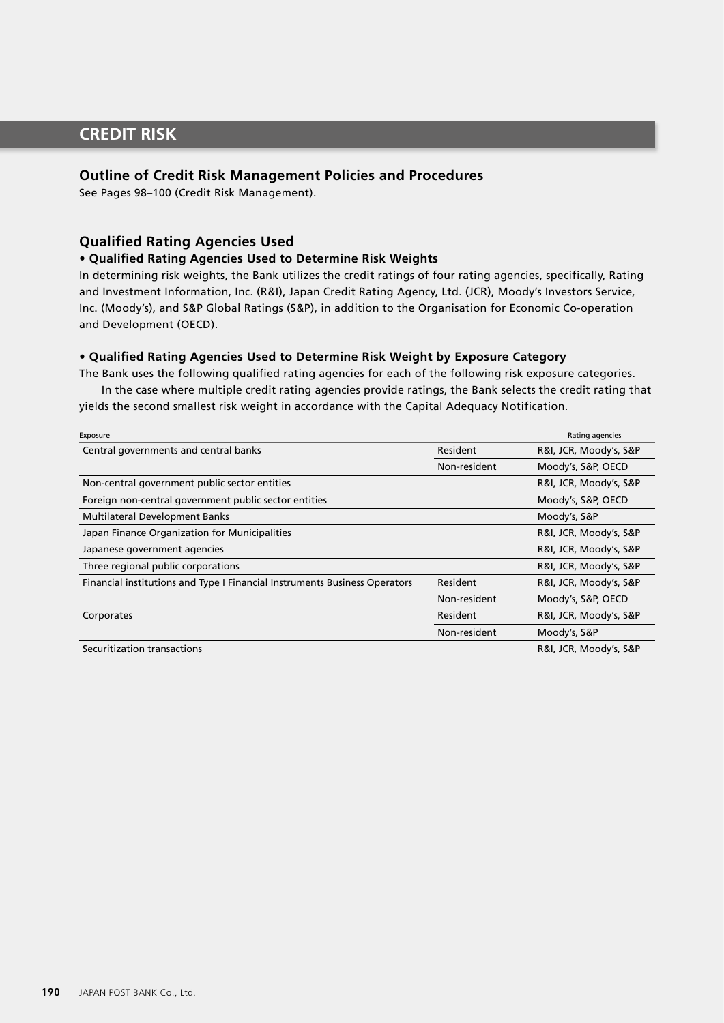# **CREDIT RISK**

## **Outline of Credit Risk Management Policies and Procedures**

See Pages 98–100 (Credit Risk Management).

## **Qualified Rating Agencies Used**

### **• Qualified Rating Agencies Used to Determine Risk Weights**

In determining risk weights, the Bank utilizes the credit ratings of four rating agencies, specifically, Rating and Investment Information, Inc. (R&I), Japan Credit Rating Agency, Ltd. (JCR), Moody's Investors Service, Inc. (Moody's), and S&P Global Ratings (S&P), in addition to the Organisation for Economic Co-operation and Development (OECD).

## **• Qualified Rating Agencies Used to Determine Risk Weight by Exposure Category**

The Bank uses the following qualified rating agencies for each of the following risk exposure categories.

In the case where multiple credit rating agencies provide ratings, the Bank selects the credit rating that yields the second smallest risk weight in accordance with the Capital Adequacy Notification.

| Exposure                                                                   |              | Rating agencies        |
|----------------------------------------------------------------------------|--------------|------------------------|
| Central governments and central banks                                      | Resident     | R&I, JCR, Moody's, S&P |
|                                                                            | Non-resident | Moody's, S&P, OECD     |
| Non-central government public sector entities                              |              | R&I, JCR, Moody's, S&P |
| Foreign non-central government public sector entities                      |              | Moody's, S&P, OECD     |
| <b>Multilateral Development Banks</b>                                      |              | Moody's, S&P           |
| Japan Finance Organization for Municipalities                              |              | R&I, JCR, Moody's, S&P |
| Japanese government agencies                                               |              | R&I, JCR, Moody's, S&P |
| Three regional public corporations                                         |              | R&I, JCR, Moody's, S&P |
| Financial institutions and Type I Financial Instruments Business Operators | Resident     | R&I, JCR, Moody's, S&P |
|                                                                            | Non-resident | Moody's, S&P, OECD     |
| Corporates                                                                 | Resident     | R&I, JCR, Moody's, S&P |
|                                                                            | Non-resident | Moody's, S&P           |
| Securitization transactions                                                |              | R&I, JCR, Moody's, S&P |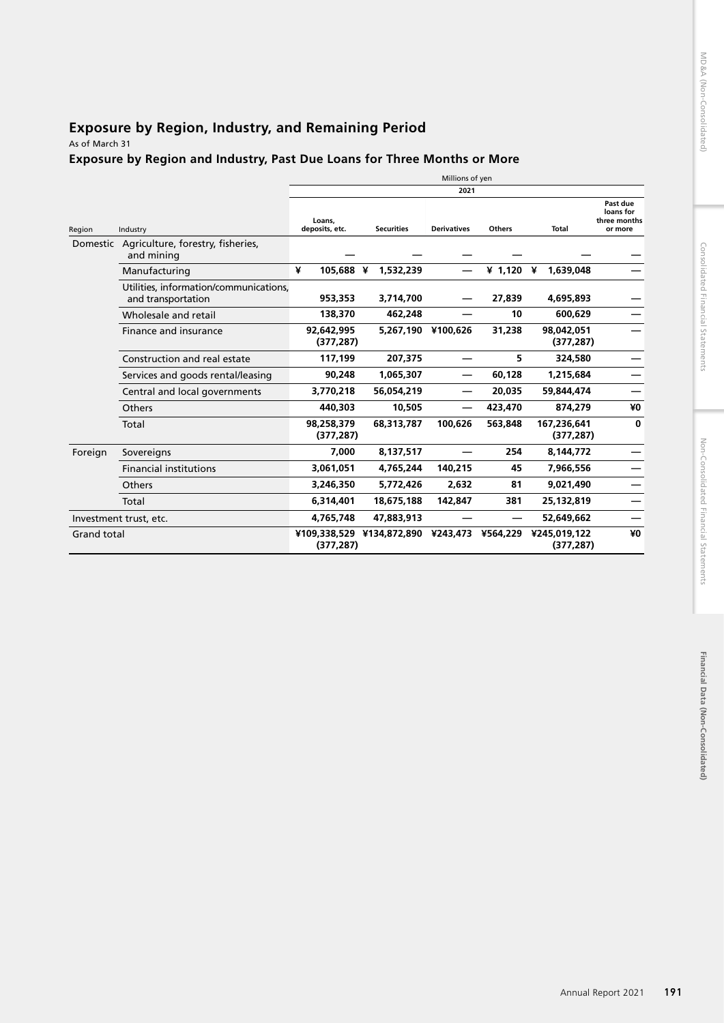# Financial Data (Non-Consolidated) **Financial Data (Non-Consolidated)**

# **Exposure by Region, Industry, and Remaining Period**

As of March 31

## **Exposure by Region and Industry, Past Due Loans for Three Months or More**

|                    |                                                              |                          |                           | Millions of yen    |               |                            |                                                  |
|--------------------|--------------------------------------------------------------|--------------------------|---------------------------|--------------------|---------------|----------------------------|--------------------------------------------------|
|                    |                                                              |                          |                           | 2021               |               |                            |                                                  |
| Region             | Industry                                                     | Loans.<br>deposits, etc. | <b>Securities</b>         | <b>Derivatives</b> | <b>Others</b> | Total                      | Past due<br>loans for<br>three months<br>or more |
|                    | Domestic Agriculture, forestry, fisheries,<br>and mining     |                          |                           |                    |               |                            |                                                  |
|                    | Manufacturing                                                | ¥<br>105,688 ¥           | 1,532,239                 |                    | ¥ 1,120 ¥     | 1,639,048                  |                                                  |
|                    | Utilities, information/communications,<br>and transportation | 953,353                  | 3,714,700                 |                    | 27,839        | 4,695,893                  |                                                  |
|                    | Wholesale and retail                                         | 138,370                  | 462,248                   |                    | 10            | 600,629                    |                                                  |
|                    | Finance and insurance                                        | 92,642,995<br>(377, 287) | 5,267,190                 | ¥100,626           | 31,238        | 98,042,051<br>(377, 287)   |                                                  |
|                    | Construction and real estate                                 | 117,199                  | 207,375                   |                    | 5             | 324,580                    |                                                  |
|                    | Services and goods rental/leasing                            | 90,248                   | 1.065.307                 |                    | 60,128        | 1,215,684                  |                                                  |
|                    | Central and local governments                                | 3,770,218                | 56,054,219                |                    | 20,035        | 59.844.474                 |                                                  |
|                    | Others                                                       | 440,303                  | 10,505                    |                    | 423,470       | 874,279                    | ¥0                                               |
|                    | Total                                                        | 98,258,379<br>(377, 287) | 68,313,787                | 100,626            | 563,848       | 167,236,641<br>(377, 287)  | $\mathbf{0}$                                     |
| Foreign            | Sovereigns                                                   | 7,000                    | 8,137,517                 |                    | 254           | 8,144,772                  |                                                  |
|                    | <b>Financial institutions</b>                                | 3,061,051                | 4,765,244                 | 140,215            | 45            | 7,966,556                  |                                                  |
|                    | Others                                                       | 3,246,350                | 5,772,426                 | 2,632              | 81            | 9.021.490                  |                                                  |
|                    | Total                                                        | 6,314,401                | 18,675,188                | 142,847            | 381           | 25,132,819                 |                                                  |
|                    | Investment trust, etc.                                       | 4,765,748                | 47,883,913                |                    |               | 52,649,662                 |                                                  |
| <b>Grand total</b> |                                                              | (377, 287)               | ¥109.338.529 ¥134.872.890 | ¥243.473           | ¥564,229      | ¥245.019.122<br>(377, 287) | ¥0                                               |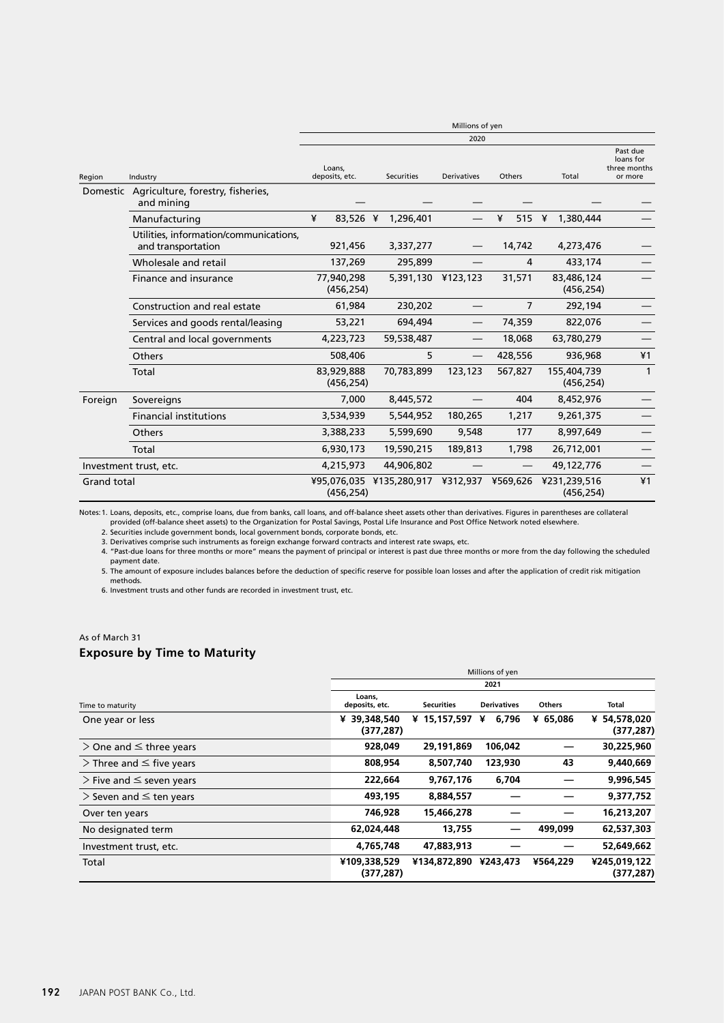|                    |                                                              | Millions of yen          |                                   |                    |                        |                            |                                                  |
|--------------------|--------------------------------------------------------------|--------------------------|-----------------------------------|--------------------|------------------------|----------------------------|--------------------------------------------------|
|                    |                                                              |                          |                                   | 2020               |                        |                            |                                                  |
| Region             | Industry                                                     | Loans.<br>deposits, etc. | <b>Securities</b>                 | <b>Derivatives</b> | Others                 | Total                      | Past due<br>loans for<br>three months<br>or more |
|                    | Domestic Agriculture, forestry, fisheries,<br>and mining     |                          |                                   |                    |                        |                            |                                                  |
|                    | Manufacturing                                                | ¥<br>83,526 ¥            | 1,296,401                         |                    | ¥<br>515 $\frac{1}{2}$ | 1,380,444                  |                                                  |
|                    | Utilities, information/communications,<br>and transportation | 921,456                  | 3,337,277                         |                    | 14,742                 | 4,273,476                  |                                                  |
|                    | Wholesale and retail                                         | 137,269                  | 295,899                           |                    | 4                      | 433,174                    |                                                  |
|                    | Finance and insurance                                        | 77,940,298<br>(456, 254) |                                   | 5,391,130 ¥123,123 | 31,571                 | 83,486,124<br>(456, 254)   |                                                  |
|                    | Construction and real estate                                 | 61,984                   | 230,202                           |                    | $\overline{7}$         | 292,194                    |                                                  |
|                    | Services and goods rental/leasing                            | 53,221                   | 694,494                           |                    | 74,359                 | 822,076                    |                                                  |
|                    | Central and local governments                                | 4,223,723                | 59,538,487                        |                    | 18,068                 | 63,780,279                 |                                                  |
|                    | Others                                                       | 508,406                  | 5                                 |                    | 428,556                | 936,968                    | ¥1                                               |
|                    | Total                                                        | 83,929,888<br>(456, 254) | 70,783,899                        | 123,123            | 567,827                | 155,404,739<br>(456, 254)  | $\mathbf{1}$                                     |
| Foreign            | Sovereigns                                                   | 7,000                    | 8,445,572                         |                    | 404                    | 8,452,976                  |                                                  |
|                    | <b>Financial institutions</b>                                | 3,534,939                | 5,544,952                         | 180,265            | 1,217                  | 9,261,375                  |                                                  |
|                    | <b>Others</b>                                                | 3,388,233                | 5,599,690                         | 9,548              | 177                    | 8,997,649                  |                                                  |
|                    | Total                                                        | 6,930,173                | 19,590,215                        | 189,813            | 1,798                  | 26,712,001                 |                                                  |
|                    | Investment trust, etc.                                       | 4,215,973                | 44,906,802                        |                    |                        | 49,122,776                 |                                                  |
| <b>Grand total</b> |                                                              | (456, 254)               | ¥95,076,035 ¥135,280,917 ¥312,937 |                    | ¥569,626               | ¥231,239,516<br>(456, 254) | ¥1                                               |

Notes: 1. Loans, deposits, etc., comprise Ioans, due from banks, call Ioans, and off-balance sheet assets other than derivatives. Figures in parentheses are collateral<br>provided (off-balance sheet assets) to the Organizatio

3. Derivatives comprise such instruments as foreign exchange forward contracts and interest rate swaps, etc.

4. "Past-due loans for three months or more" means the payment of principal or interest is past due three months or more from the day following the scheduled

payment date. 5. The amount of exposure includes balances before the deduction of specific reserve for possible loan losses and after the application of credit risk mitigation methods.

6. Investment trusts and other funds are recorded in investment trust, etc.

## As of March 31

## **Exposure by Time to Maturity**

|                                    | Millions of yen            |                       |                    |               |                            |
|------------------------------------|----------------------------|-----------------------|--------------------|---------------|----------------------------|
|                                    | 2021                       |                       |                    |               |                            |
| Time to maturity                   | Loans,<br>deposits, etc.   | <b>Securities</b>     | <b>Derivatives</b> | <b>Others</b> | Total                      |
| One year or less                   | ¥ 39.348.540<br>(377, 287) | ¥ 15,157,597          | 6,796<br>¥         | ¥ 65,086      | ¥ 54,578,020<br>(377, 287) |
| $>$ One and $\leq$ three years     | 928,049                    | 29,191,869            | 106,042            |               | 30,225,960                 |
| $\geq$ Three and $\leq$ five years | 808,954                    | 8,507,740             | 123,930            | 43            | 9,440,669                  |
| $\geq$ Five and $\leq$ seven years | 222,664                    | 9,767,176             | 6,704              |               | 9,996,545                  |
| $>$ Seven and $\leq$ ten years     | 493,195                    | 8,884,557             |                    |               | 9,377,752                  |
| Over ten years                     | 746,928                    | 15,466,278            |                    |               | 16,213,207                 |
| No designated term                 | 62,024,448                 | 13,755                |                    | 499.099       | 62,537,303                 |
| Investment trust, etc.             | 4,765,748                  | 47.883.913            |                    |               | 52,649,662                 |
| Total                              | ¥109,338,529<br>(377, 287) | ¥134,872,890 ¥243,473 |                    | ¥564,229      | ¥245,019,122<br>(377, 287) |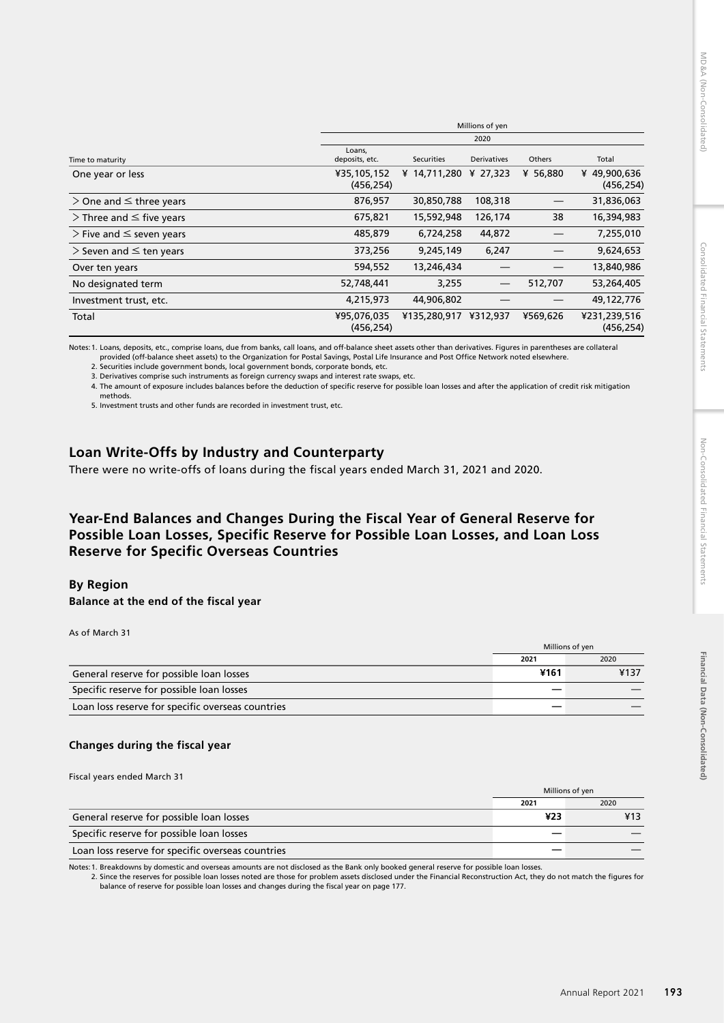|                                    | Millions of yen           |              |                    |               |                            |
|------------------------------------|---------------------------|--------------|--------------------|---------------|----------------------------|
|                                    | 2020                      |              |                    |               |                            |
| Time to maturity                   | Loans,<br>deposits, etc.  | Securities   | <b>Derivatives</b> | <b>Others</b> | Total                      |
| One year or less                   | ¥35,105,152<br>(456, 254) | ¥ 14,711,280 | ¥ 27.323           | ¥ 56,880      | ¥49,900,636<br>(456, 254)  |
| $>$ One and $\leq$ three years     | 876,957                   | 30,850,788   | 108,318            |               | 31,836,063                 |
| $\geq$ Three and $\leq$ five years | 675,821                   | 15,592,948   | 126,174            | 38            | 16,394,983                 |
| $\geq$ Five and $\leq$ seven years | 485,879                   | 6,724,258    | 44,872             |               | 7,255,010                  |
| $>$ Seven and $\leq$ ten years     | 373,256                   | 9,245,149    | 6,247              |               | 9,624,653                  |
| Over ten years                     | 594,552                   | 13,246,434   |                    |               | 13,840,986                 |
| No designated term                 | 52,748,441                | 3,255        |                    | 512,707       | 53,264,405                 |
| Investment trust, etc.             | 4,215,973                 | 44,906,802   |                    |               | 49,122,776                 |
| Total                              | ¥95,076,035<br>(456, 254) | ¥135,280,917 | ¥312,937           | ¥569,626      | ¥231,239,516<br>(456, 254) |

Notes:1. Loans, deposits, etc., comprise loans, due from banks, call loans, and off-balance sheet assets other than derivatives. Figures in parentheses are collateral provided (off-balance sheet assets) to the Organization for Postal Savings, Postal Life Insurance and Post Office Network noted elsewhere. 2. Securities include government bonds, local government bonds, corporate bonds, etc.

3. Derivatives comprise such instruments as foreign currency swaps and interest rate swaps, etc.

4. The amount of exposure includes balances before the deduction of specific reserve for possible loan losses and after the application of credit risk mitigation methods.

5. Investment trusts and other funds are recorded in investment trust, etc.

# **Loan Write-Offs by Industry and Counterparty**

There were no write-offs of loans during the fiscal years ended March 31, 2021 and 2020.

## **Year-End Balances and Changes During the Fiscal Year of General Reserve for Possible Loan Losses, Specific Reserve for Possible Loan Losses, and Loan Loss Reserve for Specific Overseas Countries**

## **By Region**

**Balance at the end of the fiscal year**

As of March 31

|                                                   |      | Millions of yen |
|---------------------------------------------------|------|-----------------|
|                                                   | 2021 | 2020            |
| General reserve for possible loan losses          | ¥161 | ¥137            |
| Specific reserve for possible loan losses         |      |                 |
| Loan loss reserve for specific overseas countries |      |                 |

## **Changes during the fiscal year**

Fiscal years ended March 31

|                                                   | Millions of yen |      |
|---------------------------------------------------|-----------------|------|
|                                                   | 2021            | 2020 |
| General reserve for possible loan losses          | ¥23             |      |
| Specific reserve for possible loan losses         |                 |      |
| Loan loss reserve for specific overseas countries |                 |      |

Notes: 1. Breakdowns by domestic and overseas amounts are not disclosed as the Bank only booked general reserve for possible loan losses.<br>2. Since the reserves for possible loan losses noted are those for problem assets di balance of reserve for possible loan losses and changes during the fiscal year on page 177.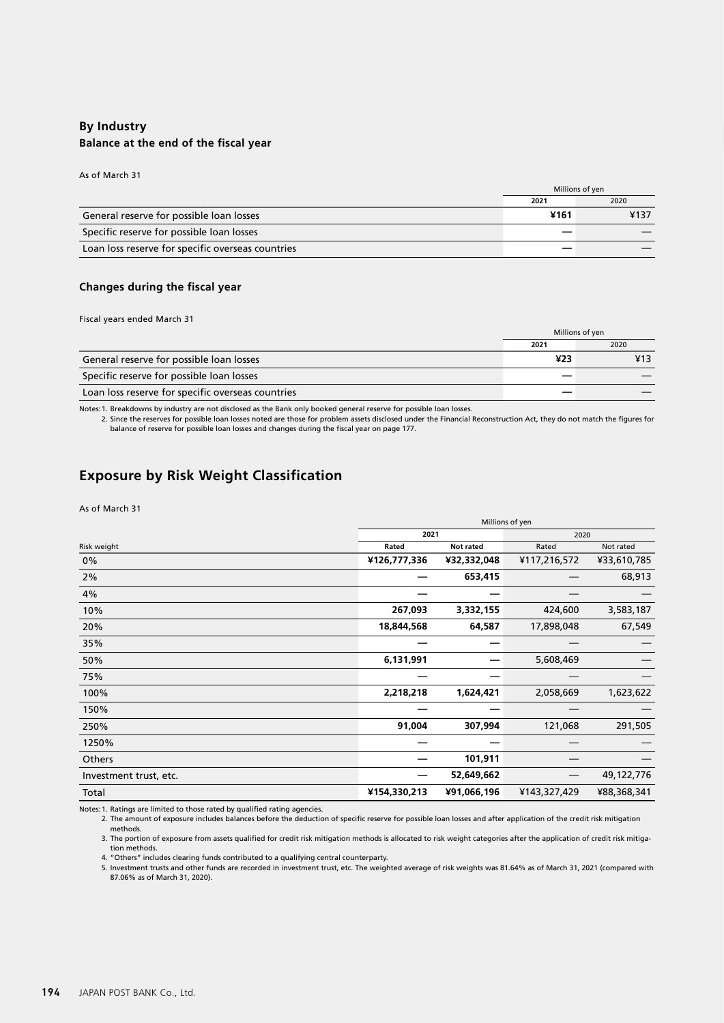## **By Industry Balance at the end of the fiscal year**

As of March 31

|                                                   |      | Millions of yen |
|---------------------------------------------------|------|-----------------|
|                                                   | 2021 | 2020            |
| General reserve for possible loan losses          | ¥161 | ¥137            |
| Specific reserve for possible loan losses         |      |                 |
| Loan loss reserve for specific overseas countries |      |                 |

#### **Changes during the fiscal year**

#### Fiscal years ended March 31

|                                                   | Millions of yen |      |
|---------------------------------------------------|-----------------|------|
|                                                   | 2021            | 2020 |
| General reserve for possible loan losses          | ¥23             |      |
| Specific reserve for possible loan losses         |                 |      |
| Loan loss reserve for specific overseas countries |                 |      |

Notes:1. Breakdowns by industry are not disclosed as the Bank only booked general reserve for possible loan losses.

2. Since the reserves for possible loan losses noted are those for problem assets disclosed under the Financial Reconstruction Act, they do not match the figures for balance of reserve for possible loan losses and changes during the fiscal year on page 177.

## **Exposure by Risk Weight Classification**

#### As of March 31

|                        | Millions of yen |             |              |             |
|------------------------|-----------------|-------------|--------------|-------------|
|                        | 2021<br>2020    |             |              |             |
| Risk weight            | Rated           | Not rated   | Rated        | Not rated   |
| $0\%$                  | ¥126,777,336    | ¥32,332,048 | ¥117,216,572 | ¥33,610,785 |
| 2%                     |                 | 653,415     |              | 68,913      |
| 4%                     |                 |             |              |             |
| 10%                    | 267,093         | 3,332,155   | 424,600      | 3,583,187   |
| 20%                    | 18,844,568      | 64,587      | 17,898,048   | 67,549      |
| 35%                    |                 |             |              |             |
| 50%                    | 6,131,991       |             | 5,608,469    |             |
| 75%                    |                 |             |              |             |
| 100%                   | 2,218,218       | 1,624,421   | 2,058,669    | 1,623,622   |
| 150%                   |                 |             |              |             |
| 250%                   | 91,004          | 307,994     | 121,068      | 291,505     |
| 1250%                  |                 |             |              |             |
| Others                 |                 | 101,911     |              |             |
| Investment trust, etc. |                 | 52,649,662  |              | 49,122,776  |
| Total                  | ¥154,330,213    | ¥91,066,196 | ¥143,327,429 | ¥88,368,341 |

Notes:1. Ratings are limited to those rated by qualified rating agencies.

2. The amount of exposure includes balances before the deduction of specific reserve for possible loan losses and after application of the credit risk mitigation methods.

3. The portion of exposure from assets qualified for credit risk mitigation methods is allocated to risk weight categories after the application of credit risk mitigation methods.

4. "Others" includes clearing funds contributed to a qualifying central counterparty.<br>5. Investment trusts and other funds are recorded in investment trust, etc. The weighted average of risk weights was 81.64% as of March 87.06% as of March 31, 2020).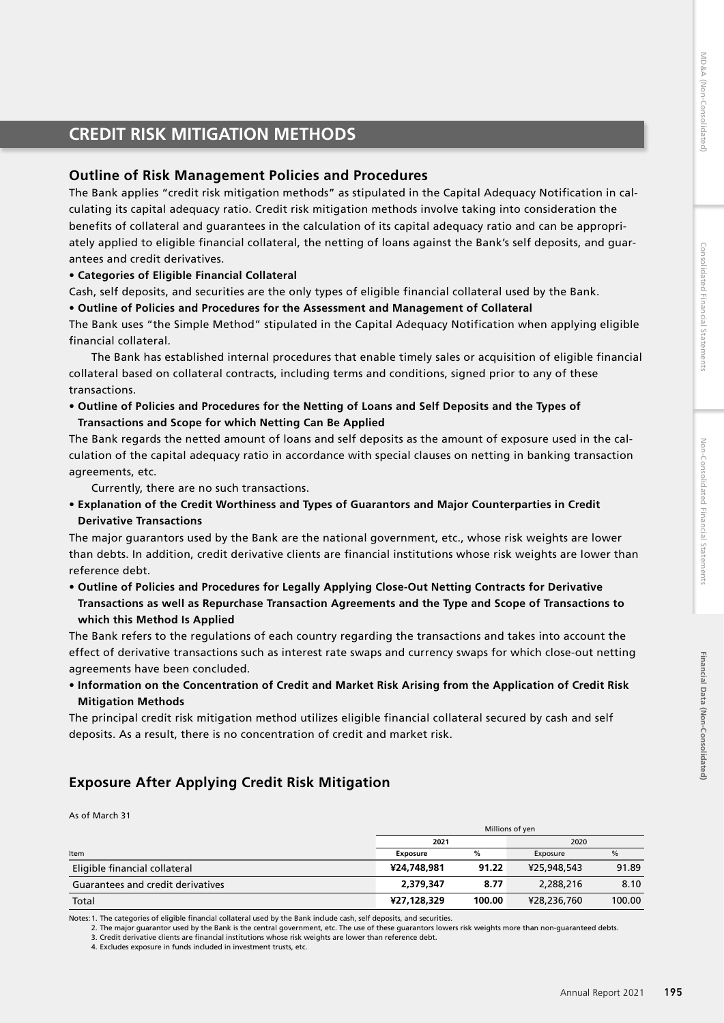# **CREDIT RISK MITIGATION METHODS**

## **Outline of Risk Management Policies and Procedures**

The Bank applies "credit risk mitigation methods" as stipulated in the Capital Adequacy Notification in calculating its capital adequacy ratio. Credit risk mitigation methods involve taking into consideration the benefits of collateral and guarantees in the calculation of its capital adequacy ratio and can be appropriately applied to eligible financial collateral, the netting of loans against the Bank's self deposits, and guarantees and credit derivatives.

### **• Categories of Eligible Financial Collateral**

Cash, self deposits, and securities are the only types of eligible financial collateral used by the Bank.

#### **• Outline of Policies and Procedures for the Assessment and Management of Collateral**

The Bank uses "the Simple Method" stipulated in the Capital Adequacy Notification when applying eligible financial collateral.

The Bank has established internal procedures that enable timely sales or acquisition of eligible financial collateral based on collateral contracts, including terms and conditions, signed prior to any of these transactions.

**• Outline of Policies and Procedures for the Netting of Loans and Self Deposits and the Types of Transactions and Scope for which Netting Can Be Applied**

The Bank regards the netted amount of loans and self deposits as the amount of exposure used in the calculation of the capital adequacy ratio in accordance with special clauses on netting in banking transaction agreements, etc.

Currently, there are no such transactions.

**• Explanation of the Credit Worthiness and Types of Guarantors and Major Counterparties in Credit Derivative Transactions**

The major guarantors used by the Bank are the national government, etc., whose risk weights are lower than debts. In addition, credit derivative clients are financial institutions whose risk weights are lower than reference debt.

**• Outline of Policies and Procedures for Legally Applying Close-Out Netting Contracts for Derivative Transactions as well as Repurchase Transaction Agreements and the Type and Scope of Transactions to which this Method Is Applied**

The Bank refers to the regulations of each country regarding the transactions and takes into account the effect of derivative transactions such as interest rate swaps and currency swaps for which close-out netting agreements have been concluded.

**• Information on the Concentration of Credit and Market Risk Arising from the Application of Credit Risk Mitigation Methods**

The principal credit risk mitigation method utilizes eligible financial collateral secured by cash and self deposits. As a result, there is no concentration of credit and market risk.

# **Exposure After Applying Credit Risk Mitigation**

As of March 31

|                                   | Millions of yen |        |             |        |
|-----------------------------------|-----------------|--------|-------------|--------|
|                                   | 2021            |        | 2020        |        |
| Item                              | <b>Exposure</b> | %      | Exposure    | %      |
| Eligible financial collateral     | ¥24,748,981     | 91.22  | ¥25,948,543 | 91.89  |
| Guarantees and credit derivatives | 2,379,347       | 8.77   | 2,288,216   | 8.10   |
| Total                             | ¥27,128,329     | 100.00 | ¥28,236,760 | 100.00 |

Notes:1. The categories of eligible financial collateral used by the Bank include cash, self deposits, and securities.

2. The major guarantor used by the Bank is the central government, etc. The use of these guarantors lowers risk weights more than non-guaranteed debts. 3. Credit derivative clients are financial institutions whose risk weights are lower than reference debt.

4. Excludes exposure in funds included in investment trusts, etc.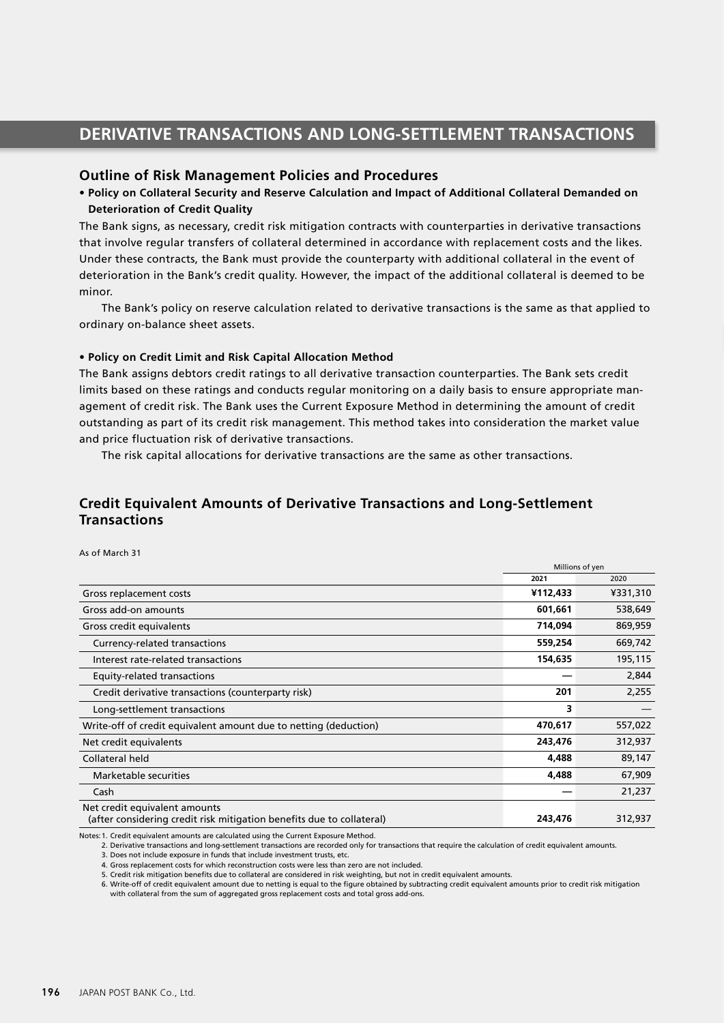# **DERIVATIVE TRANSACTIONS AND LONG-SETTLEMENT TRANSACTIONS**

### **Outline of Risk Management Policies and Procedures**

## **• Policy on Collateral Security and Reserve Calculation and Impact of Additional Collateral Demanded on Deterioration of Credit Quality**

The Bank signs, as necessary, credit risk mitigation contracts with counterparties in derivative transactions that involve regular transfers of collateral determined in accordance with replacement costs and the likes. Under these contracts, the Bank must provide the counterparty with additional collateral in the event of deterioration in the Bank's credit quality. However, the impact of the additional collateral is deemed to be minor.

The Bank's policy on reserve calculation related to derivative transactions is the same as that applied to ordinary on-balance sheet assets.

#### **• Policy on Credit Limit and Risk Capital Allocation Method**

The Bank assigns debtors credit ratings to all derivative transaction counterparties. The Bank sets credit limits based on these ratings and conducts regular monitoring on a daily basis to ensure appropriate management of credit risk. The Bank uses the Current Exposure Method in determining the amount of credit outstanding as part of its credit risk management. This method takes into consideration the market value and price fluctuation risk of derivative transactions.

The risk capital allocations for derivative transactions are the same as other transactions.

## **Credit Equivalent Amounts of Derivative Transactions and Long-Settlement Transactions**

As of March 31

|                                                                                                        |          | Millions of yen |
|--------------------------------------------------------------------------------------------------------|----------|-----------------|
|                                                                                                        | 2021     | 2020            |
| Gross replacement costs                                                                                | ¥112,433 | ¥331,310        |
| Gross add-on amounts                                                                                   | 601,661  | 538,649         |
| Gross credit equivalents                                                                               | 714,094  | 869,959         |
| Currency-related transactions                                                                          | 559,254  | 669,742         |
| Interest rate-related transactions                                                                     | 154,635  | 195,115         |
| Equity-related transactions                                                                            |          | 2,844           |
| Credit derivative transactions (counterparty risk)                                                     | 201      | 2,255           |
| Long-settlement transactions                                                                           | 3        |                 |
| Write-off of credit equivalent amount due to netting (deduction)                                       | 470,617  | 557,022         |
| Net credit equivalents                                                                                 | 243,476  | 312,937         |
| Collateral held                                                                                        | 4,488    | 89,147          |
| Marketable securities                                                                                  | 4,488    | 67,909          |
| Cash                                                                                                   |          | 21,237          |
| Net credit equivalent amounts<br>(after considering credit risk mitigation benefits due to collateral) | 243,476  | 312,937         |

Notes:1. Credit equivalent amounts are calculated using the Current Exposure Method.

2. Derivative transactions and long-settlement transactions are recorded only for transactions that require the calculation of credit equivalent amounts.

3. Does not include exposure in funds that include investment trusts, etc.

4. Gross replacement costs for which reconstruction costs were less than zero are not included.

5. Credit risk mitigation benefits due to collateral are considered in risk weighting, but not in credit equivalent amounts.

6. Write-off of credit equivalent amount due to netting is equal to the figure obtained by subtracting credit equivalent amounts prior to credit risk mitigation with collateral from the sum of aggregated gross replacement costs and total gross add-ons.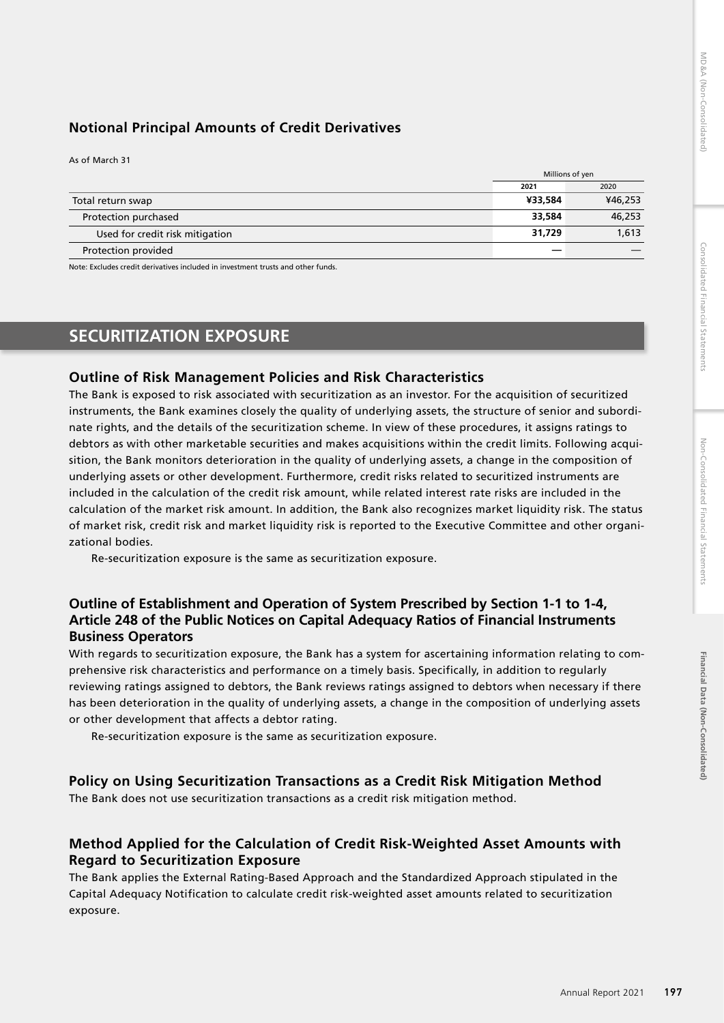# Financial Data (Non-Consolidated) **Financial Data (Non-Consolidated)**

# **Notional Principal Amounts of Credit Derivatives**

As of March 31

|                                 | Millions of yen |         |
|---------------------------------|-----------------|---------|
|                                 | 2021            | 2020    |
| Total return swap               | ¥33.584         | ¥46,253 |
| Protection purchased            | 33.584          | 46,253  |
| Used for credit risk mitigation | 31,729          | 1,613   |
| Protection provided             |                 |         |

Note: Excludes credit derivatives included in investment trusts and other funds.

# **SECURITIZATION EXPOSURE**

## **Outline of Risk Management Policies and Risk Characteristics**

The Bank is exposed to risk associated with securitization as an investor. For the acquisition of securitized instruments, the Bank examines closely the quality of underlying assets, the structure of senior and subordinate rights, and the details of the securitization scheme. In view of these procedures, it assigns ratings to debtors as with other marketable securities and makes acquisitions within the credit limits. Following acquisition, the Bank monitors deterioration in the quality of underlying assets, a change in the composition of underlying assets or other development. Furthermore, credit risks related to securitized instruments are included in the calculation of the credit risk amount, while related interest rate risks are included in the calculation of the market risk amount. In addition, the Bank also recognizes market liquidity risk. The status of market risk, credit risk and market liquidity risk is reported to the Executive Committee and other organizational bodies.

Re-securitization exposure is the same as securitization exposure.

# **Outline of Establishment and Operation of System Prescribed by Section 1-1 to 1-4, Article 248 of the Public Notices on Capital Adequacy Ratios of Financial Instruments Business Operators**

With regards to securitization exposure, the Bank has a system for ascertaining information relating to comprehensive risk characteristics and performance on a timely basis. Specifically, in addition to regularly reviewing ratings assigned to debtors, the Bank reviews ratings assigned to debtors when necessary if there has been deterioration in the quality of underlying assets, a change in the composition of underlying assets or other development that affects a debtor rating.

Re-securitization exposure is the same as securitization exposure.

## **Policy on Using Securitization Transactions as a Credit Risk Mitigation Method**

The Bank does not use securitization transactions as a credit risk mitigation method.

# **Method Applied for the Calculation of Credit Risk-Weighted Asset Amounts with Regard to Securitization Exposure**

The Bank applies the External Rating-Based Approach and the Standardized Approach stipulated in the Capital Adequacy Notification to calculate credit risk-weighted asset amounts related to securitization exposure.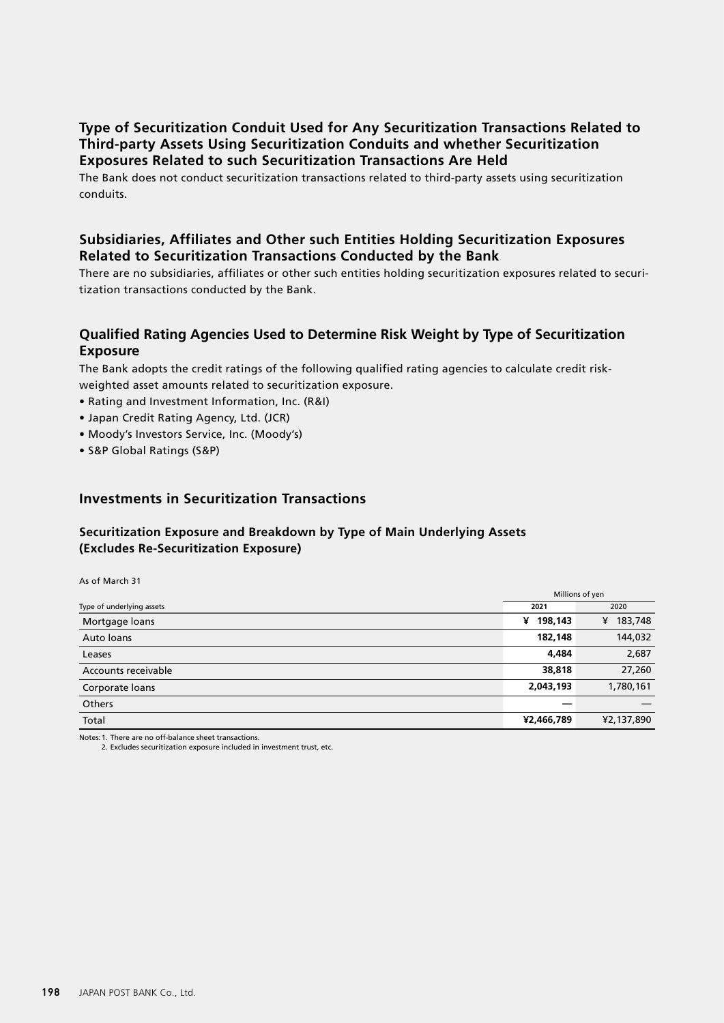## **Type of Securitization Conduit Used for Any Securitization Transactions Related to Third-party Assets Using Securitization Conduits and whether Securitization Exposures Related to such Securitization Transactions Are Held**

The Bank does not conduct securitization transactions related to third-party assets using securitization conduits.

## **Subsidiaries, Affiliates and Other such Entities Holding Securitization Exposures Related to Securitization Transactions Conducted by the Bank**

There are no subsidiaries, affiliates or other such entities holding securitization exposures related to securitization transactions conducted by the Bank.

## **Qualified Rating Agencies Used to Determine Risk Weight by Type of Securitization Exposure**

The Bank adopts the credit ratings of the following qualified rating agencies to calculate credit riskweighted asset amounts related to securitization exposure.

- Rating and Investment Information, Inc. (R&I)
- Japan Credit Rating Agency, Ltd. (JCR)
- Moody's Investors Service, Inc. (Moody's)
- S&P Global Ratings (S&P)

## **Investments in Securitization Transactions**

## **Securitization Exposure and Breakdown by Type of Main Underlying Assets (Excludes Re-Securitization Exposure)**

As of March 31

|                           |              | Millions of yen |
|---------------------------|--------------|-----------------|
| Type of underlying assets | 2021         | 2020            |
| Mortgage loans            | 198,143<br>¥ | 183,748<br>¥    |
| Auto loans                | 182,148      | 144,032         |
| Leases                    | 4,484        | 2,687           |
| Accounts receivable       | 38,818       | 27,260          |
| Corporate loans           | 2,043,193    | 1,780,161       |
| Others                    |              |                 |
| Total                     | ¥2,466,789   | ¥2,137,890      |

Notes:1. There are no off-balance sheet transactions.

2. Excludes securitization exposure included in investment trust, etc.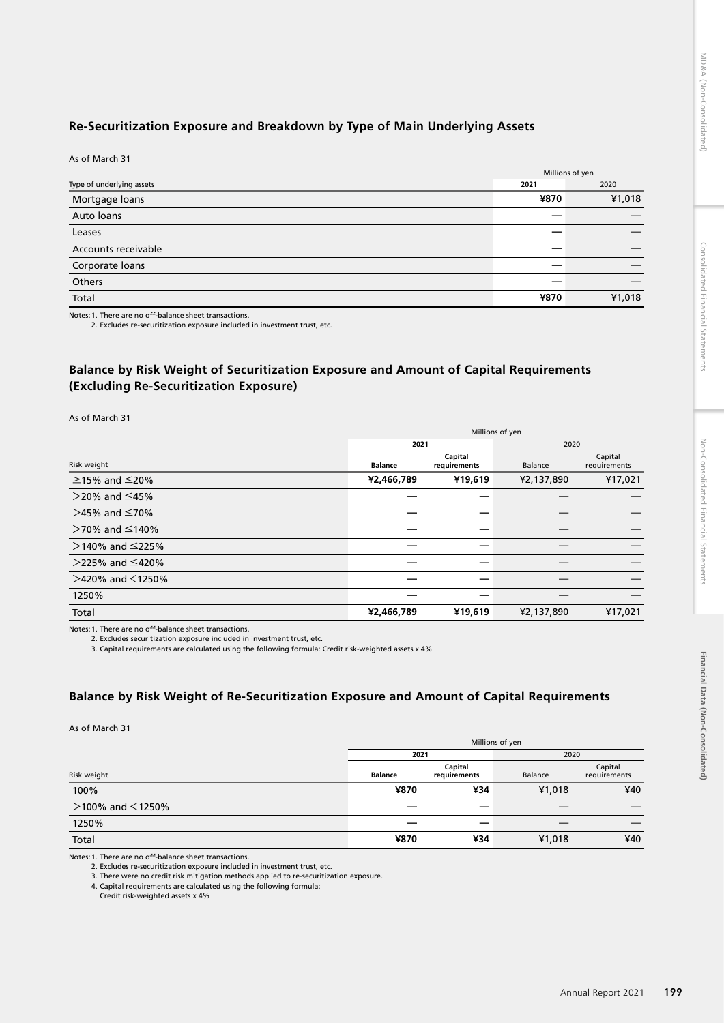# **Re-Securitization Exposure and Breakdown by Type of Main Underlying Assets**

As of March 31

|                           |      | Millions of yen |
|---------------------------|------|-----------------|
| Type of underlying assets | 2021 | 2020            |
| Mortgage loans            | ¥870 | ¥1,018          |
| Auto loans                |      |                 |
| Leases                    |      |                 |
| Accounts receivable       |      |                 |
| Corporate loans           |      |                 |
| Others                    |      |                 |
| Total                     | ¥870 | ¥1,018          |

Notes:1. There are no off-balance sheet transactions.

2. Excludes re-securitization exposure included in investment trust, etc.

## **Balance by Risk Weight of Securitization Exposure and Amount of Capital Requirements (Excluding Re-Securitization Exposure)**

As of March 31

|                           | Millions of yen |                         |            |                         |
|---------------------------|-----------------|-------------------------|------------|-------------------------|
|                           | 2021            |                         | 2020       |                         |
| Risk weight               | <b>Balance</b>  | Capital<br>requirements | Balance    | Capital<br>requirements |
| $\geq$ 15% and $\leq$ 20% | ¥2,466,789      | ¥19,619                 | ¥2,137,890 | ¥17,021                 |
| $>$ 20% and ≤45%          |                 |                         |            |                         |
| $>45\%$ and ≤70%          |                 |                         |            |                         |
| $>$ 70% and ≤140%         |                 |                         |            |                         |
| $>$ 140% and ≤225%        |                 |                         |            |                         |
| $>$ 225% and ≤420%        |                 |                         |            |                         |
| $>$ 420% and $\leq$ 1250% |                 |                         |            |                         |
| 1250%                     |                 |                         |            |                         |
| Total                     | ¥2,466,789      | ¥19,619                 | ¥2,137,890 | ¥17,021                 |

Notes: 1. There are no off-balance sheet transactions.<br>2. Excludes securitization exposure included in investment trust, etc.<br>3. Capital requirements are calculated using the following formula: Credit risk-weighted assets

## **Balance by Risk Weight of Re-Securitization Exposure and Amount of Capital Requirements**

As of March 31

|                           | Millions of yen |                         |         |                         |  |
|---------------------------|-----------------|-------------------------|---------|-------------------------|--|
|                           |                 | 2021                    |         | 2020                    |  |
| Risk weight               | <b>Balance</b>  | Capital<br>requirements | Balance | Capital<br>requirements |  |
| 100%                      | ¥870            | ¥34                     | ¥1,018  | ¥40                     |  |
| $>$ 100% and $\leq$ 1250% | _               |                         |         |                         |  |
| 1250%                     |                 |                         |         |                         |  |
| Total                     | ¥870            | ¥34                     | ¥1,018  | ¥40                     |  |

Notes:1. There are no off-balance sheet transactions.

2. Excludes re-securitization exposure included in investment trust, etc.

3. There were no credit risk mitigation methods applied to re-securitization exposure.

4. Capital requirements are calculated using the following formula:

Credit risk-weighted assets x 4%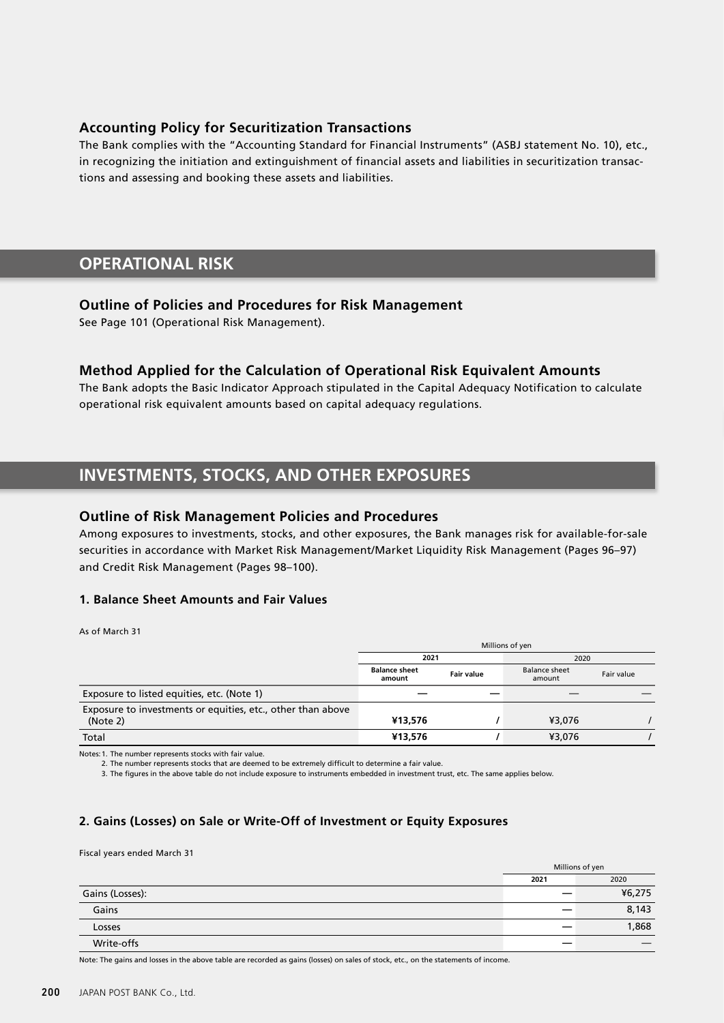## **Accounting Policy for Securitization Transactions**

The Bank complies with the "Accounting Standard for Financial Instruments" (ASBJ statement No. 10), etc., in recognizing the initiation and extinguishment of financial assets and liabilities in securitization transactions and assessing and booking these assets and liabilities.

# **OPERATIONAL RISK**

## **Outline of Policies and Procedures for Risk Management**

See Page 101 (Operational Risk Management).

## **Method Applied for the Calculation of Operational Risk Equivalent Amounts**

The Bank adopts the Basic Indicator Approach stipulated in the Capital Adequacy Notification to calculate operational risk equivalent amounts based on capital adequacy regulations.

# **INVESTMENTS, STOCKS, AND OTHER EXPOSURES**

## **Outline of Risk Management Policies and Procedures**

Among exposures to investments, stocks, and other exposures, the Bank manages risk for available-for-sale securities in accordance with Market Risk Management/Market Liquidity Risk Management (Pages 96–97) and Credit Risk Management (Pages 98–100).

## **1. Balance Sheet Amounts and Fair Values**

#### As of March 31

|                                                                         | Millions of yen                |                   |                                |            |
|-------------------------------------------------------------------------|--------------------------------|-------------------|--------------------------------|------------|
|                                                                         | 2021                           |                   | 2020                           |            |
|                                                                         | <b>Balance sheet</b><br>amount | <b>Fair value</b> | <b>Balance sheet</b><br>amount | Fair value |
| Exposure to listed equities, etc. (Note 1)                              |                                |                   |                                |            |
| Exposure to investments or equities, etc., other than above<br>(Note 2) | ¥13.576                        |                   | ¥3,076                         |            |
| Total                                                                   | ¥13.576                        |                   | ¥3,076                         |            |

Notes:1. The number represents stocks with fair value.

2. The number represents stocks that are deemed to be extremely difficult to determine a fair value.

3. The figures in the above table do not include exposure to instruments embedded in investment trust, etc. The same applies below.

## **2. Gains (Losses) on Sale or Write-Off of Investment or Equity Exposures**

Fiscal years ended March 31

|                 | Millions of yen |        |
|-----------------|-----------------|--------|
|                 | 2021            | 2020   |
| Gains (Losses): |                 | ¥6,275 |
| Gains           |                 | 8,143  |
| Losses          |                 | 1,868  |
| Write-offs      | _               |        |

Note: The gains and losses in the above table are recorded as gains (losses) on sales of stock, etc., on the statements of income.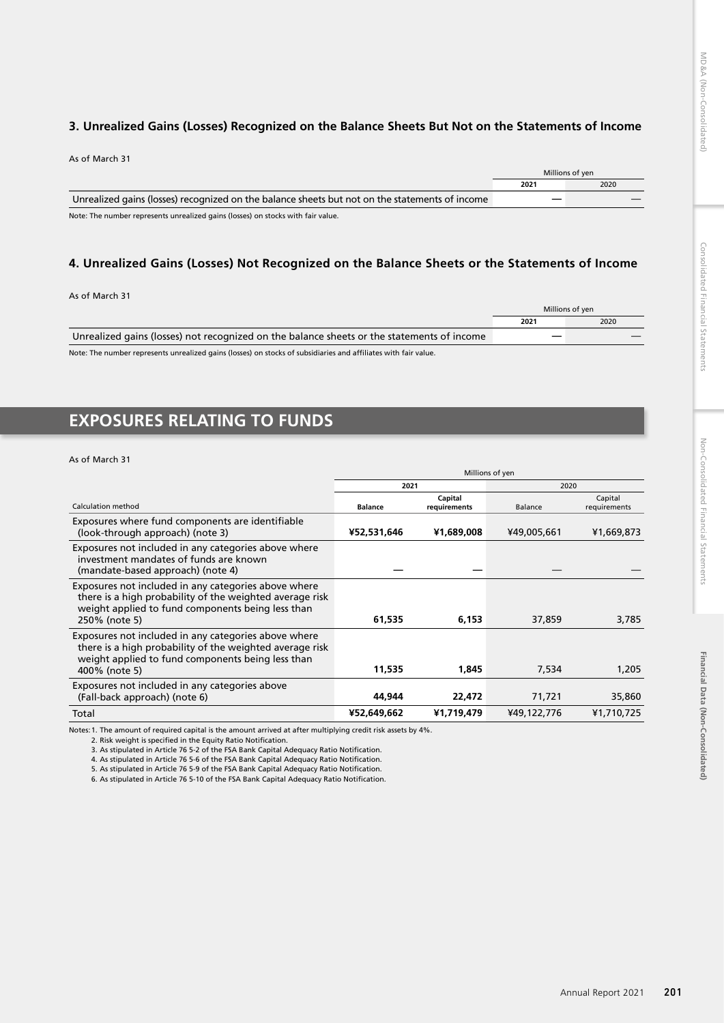## **3. Unrealized Gains (Losses) Recognized on the Balance Sheets But Not on the Statements of Income**

| As of March 31                                                                                 |      |                 |
|------------------------------------------------------------------------------------------------|------|-----------------|
|                                                                                                |      | Millions of ven |
|                                                                                                | 2021 | 2020            |
| Unrealized gains (losses) recognized on the balance sheets but not on the statements of income |      |                 |
|                                                                                                |      |                 |

Note: The number represents unrealized gains (losses) on stocks with fair value.

## **4. Unrealized Gains (Losses) Not Recognized on the Balance Sheets or the Statements of Income**

| As of March 31                                                                                                  |      |                 |
|-----------------------------------------------------------------------------------------------------------------|------|-----------------|
|                                                                                                                 |      | Millions of yen |
|                                                                                                                 | 2021 | 2020            |
| Unrealized gains (losses) not recognized on the balance sheets or the statements of income                      |      |                 |
| Note: The number represents unrealized gains (losses) on stocks of subsidiaries and affiliates with fair value. |      |                 |

# **EXPOSURES RELATING TO FUNDS**

#### As of March 31

|                                                                                                                                                                                        | Millions of yen |                         |             |                         |
|----------------------------------------------------------------------------------------------------------------------------------------------------------------------------------------|-----------------|-------------------------|-------------|-------------------------|
|                                                                                                                                                                                        | 2021            |                         | 2020        |                         |
| Calculation method                                                                                                                                                                     | <b>Balance</b>  | Capital<br>requirements | Balance     | Capital<br>requirements |
| Exposures where fund components are identifiable<br>(look-through approach) (note 3)                                                                                                   | ¥52,531,646     | ¥1,689,008              | ¥49,005,661 | ¥1,669,873              |
| Exposures not included in any categories above where<br>investment mandates of funds are known<br>(mandate-based approach) (note 4)                                                    |                 |                         |             |                         |
| Exposures not included in any categories above where<br>there is a high probability of the weighted average risk<br>weight applied to fund components being less than<br>250% (note 5) | 61,535          | 6,153                   | 37,859      | 3,785                   |
| Exposures not included in any categories above where<br>there is a high probability of the weighted average risk<br>weight applied to fund components being less than<br>400% (note 5) | 11,535          | 1,845                   | 7,534       | 1,205                   |
| Exposures not included in any categories above<br>(Fall-back approach) (note 6)                                                                                                        | 44.944          | 22,472                  | 71,721      | 35,860                  |
| Total                                                                                                                                                                                  | ¥52,649,662     | ¥1,719,479              | ¥49,122,776 | ¥1,710,725              |

Notes:1. The amount of required capital is the amount arrived at after multiplying credit risk assets by 4%.

2. Risk weight is specified in the Equity Ratio Notification.

3. As stipulated in Article 76 5-2 of the FSA Bank Capital Adequacy Ratio Notification.

4. As stipulated in Article 76 5-6 of the FSA Bank Capital Adequacy Ratio Notification. 5. As stipulated in Article 76 5-9 of the FSA Bank Capital Adequacy Ratio Notification.

6. As stipulated in Article 76 5-10 of the FSA Bank Capital Adequacy Ratio Notification.